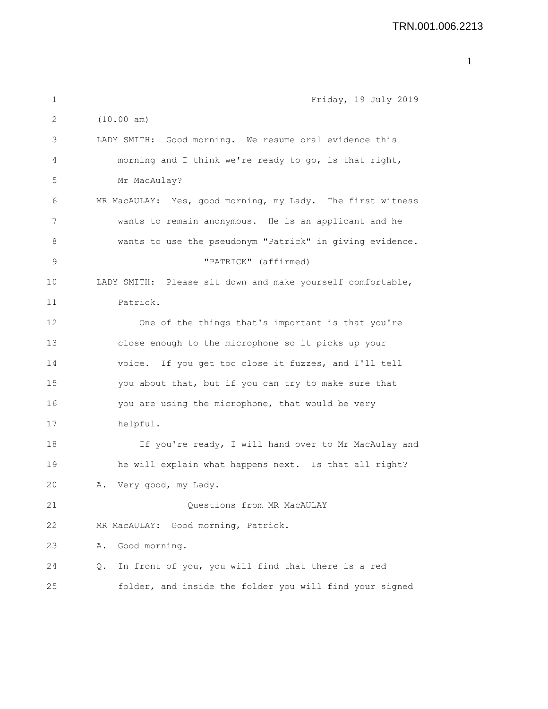| 1  | Friday, 19 July 2019                                            |
|----|-----------------------------------------------------------------|
| 2  | (10.00 am)                                                      |
| 3  | LADY SMITH: Good morning. We resume oral evidence this          |
| 4  | morning and I think we're ready to go, is that right,           |
| 5  | Mr MacAulay?                                                    |
| 6  | MR MacAULAY: Yes, good morning, my Lady. The first witness      |
| 7  | wants to remain anonymous. He is an applicant and he            |
| 8  | wants to use the pseudonym "Patrick" in giving evidence.        |
| 9  | "PATRICK" (affirmed)                                            |
| 10 | LADY SMITH: Please sit down and make yourself comfortable,      |
| 11 | Patrick.                                                        |
| 12 | One of the things that's important is that you're               |
| 13 | close enough to the microphone so it picks up your              |
| 14 | voice. If you get too close it fuzzes, and I'll tell            |
| 15 | you about that, but if you can try to make sure that            |
| 16 | you are using the microphone, that would be very                |
| 17 | helpful.                                                        |
| 18 | If you're ready, I will hand over to Mr MacAulay and            |
| 19 | he will explain what happens next. Is that all right?           |
| 20 | A. Very good, my Lady.                                          |
| 21 | Questions from MR MacAULAY                                      |
| 22 | Good morning, Patrick.<br>MR MacAULAY:                          |
| 23 | Good morning.<br>Α.                                             |
| 24 | In front of you, you will find that there is a red<br>$\circ$ . |
| 25 | folder, and inside the folder you will find your signed         |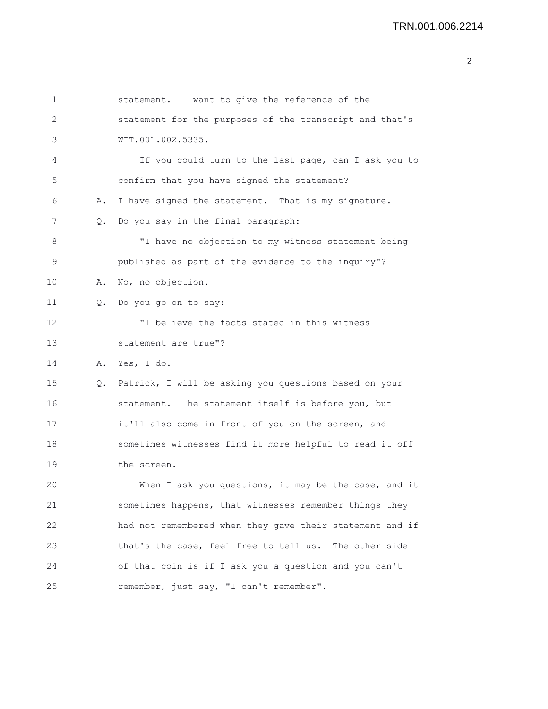```
1 statement. I want to give the reference of the
2 statement for the purposes of the transcript and that's
3 WIT.001.002.5335.
4 If you could turn to the last page, can I ask you to
5 confirm that you have signed the statement?
6 A. I have signed the statement. That is my signature.
7 Q. Do you say in the final paragraph:
8 "I have no objection to my witness statement being
9 published as part of the evidence to the inquiry"?
10 A. No, no objection.
11 Q. Do you go on to say:
12 "I believe the facts stated in this witness
13 statement are true"?
14 A. Yes, I do.
15 Q. Patrick, I will be asking you questions based on your
16 statement. The statement itself is before you, but
17 it'll also come in front of you on the screen, and
18 sometimes witnesses find it more helpful to read it off
19 the screen.
20 When I ask you questions, it may be the case, and it
21 sometimes happens, that witnesses remember things they
22 had not remembered when they gave their statement and if
23 that's the case, feel free to tell us. The other side
24 of that coin is if I ask you a question and you can't
25 remember, just say, "I can't remember".
```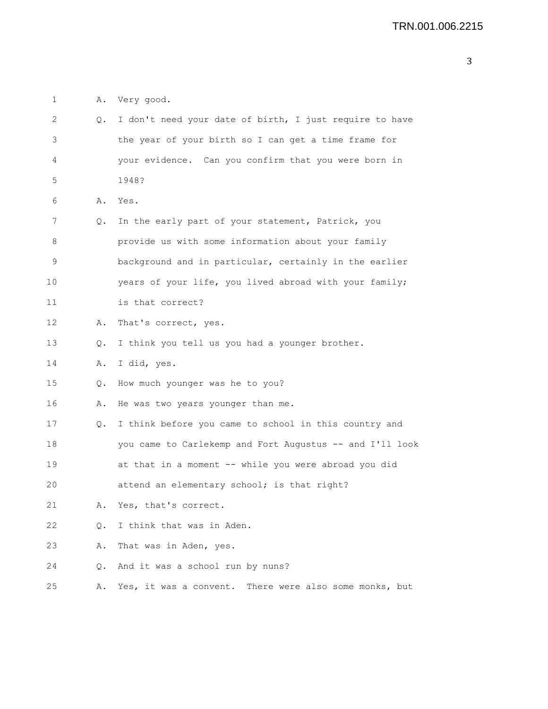1 A. Very good.

| 2           | Q. | I don't need your date of birth, I just require to have  |
|-------------|----|----------------------------------------------------------|
| 3           |    | the year of your birth so I can get a time frame for     |
| 4           |    | your evidence. Can you confirm that you were born in     |
| 5           |    | 1948?                                                    |
| 6           | Α. | Yes.                                                     |
| 7           | Q. | In the early part of your statement, Patrick, you        |
| 8           |    | provide us with some information about your family       |
| $\mathsf 9$ |    | background and in particular, certainly in the earlier   |
| 10          |    | years of your life, you lived abroad with your family;   |
| 11          |    | is that correct?                                         |
| 12          | Α. | That's correct, yes.                                     |
| 13          | Q. | I think you tell us you had a younger brother.           |
| 14          | Α. | I did, yes.                                              |
| 15          | Q. | How much younger was he to you?                          |
| 16          | Α. | He was two years younger than me.                        |
| 17          | Q. | I think before you came to school in this country and    |
| 18          |    | you came to Carlekemp and Fort Augustus -- and I'll look |
| 19          |    | at that in a moment -- while you were abroad you did     |
| 20          |    | attend an elementary school; is that right?              |
| 21          | Α. | Yes, that's correct.                                     |
| 22          | Q. | I think that was in Aden.                                |
| 23          | Α. | That was in Aden, yes.                                   |
| 24          | Q. | And it was a school run by nuns?                         |
| 25          | Α. | Yes, it was a convent. There were also some monks, but   |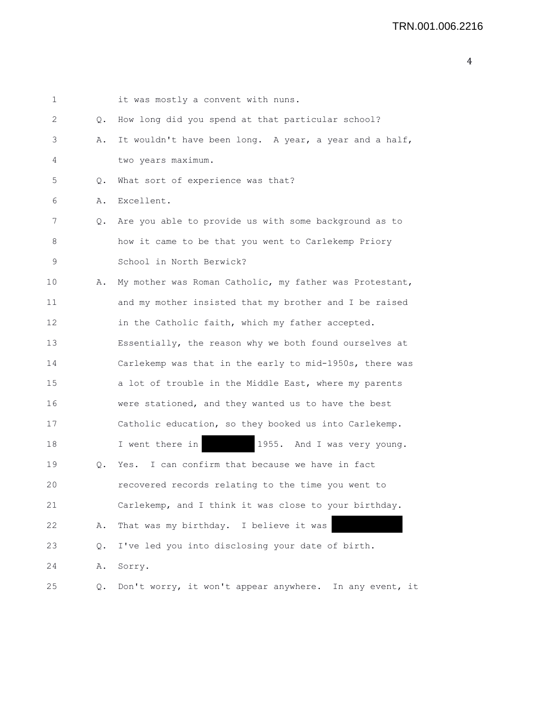| 1  |       | it was mostly a convent with nuns.                      |
|----|-------|---------------------------------------------------------|
| 2  | Q.    | How long did you spend at that particular school?       |
| 3  | Α.    | It wouldn't have been long. A year, a year and a half,  |
| 4  |       | two years maximum.                                      |
| 5  | Q.    | What sort of experience was that?                       |
| 6  | Α.    | Excellent.                                              |
| 7  | Q.    | Are you able to provide us with some background as to   |
| 8  |       | how it came to be that you went to Carlekemp Priory     |
| 9  |       | School in North Berwick?                                |
| 10 | Α.    | My mother was Roman Catholic, my father was Protestant, |
| 11 |       | and my mother insisted that my brother and I be raised  |
| 12 |       | in the Catholic faith, which my father accepted.        |
| 13 |       | Essentially, the reason why we both found ourselves at  |
| 14 |       | Carlekemp was that in the early to mid-1950s, there was |
| 15 |       | a lot of trouble in the Middle East, where my parents   |
| 16 |       | were stationed, and they wanted us to have the best     |
| 17 |       | Catholic education, so they booked us into Carlekemp.   |
| 18 |       | 1955. And I was very young.<br>I went there in          |
| 19 | Q.    | I can confirm that because we have in fact<br>Yes.      |
| 20 |       | recovered records relating to the time you went to      |
| 21 |       | Carlekemp, and I think it was close to your birthday.   |
| 22 | Α.    | That was my birthday. I believe it was                  |
| 23 | $Q$ . | I've led you into disclosing your date of birth.        |
| 24 | Α.    | Sorry.                                                  |
| 25 | Q.    | Don't worry, it won't appear anywhere. In any event, it |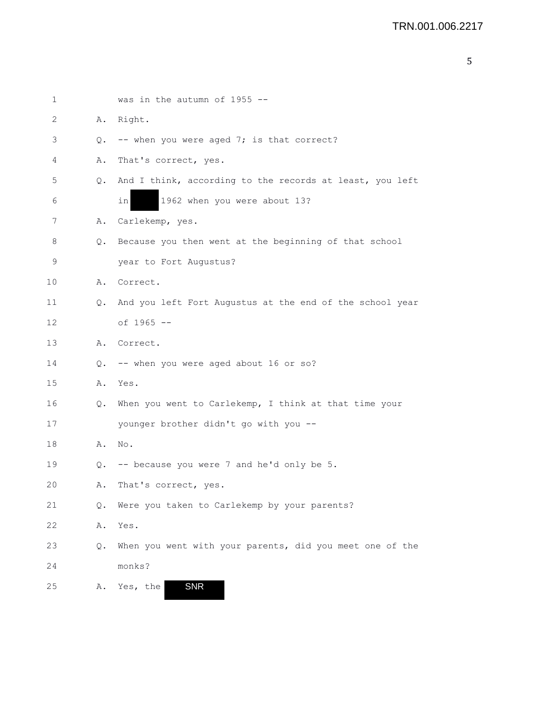| 1           |    | was in the autumn of $1955$ --                           |
|-------------|----|----------------------------------------------------------|
| 2           | Α. | Right.                                                   |
| 3           | Q. | -- when you were aged 7; is that correct?                |
| 4           | Α. | That's correct, yes.                                     |
| 5           | Q. | And I think, according to the records at least, you left |
| 6           |    | 1962 when you were about 13?<br>inl                      |
| 7           | Α. | Carlekemp, yes.                                          |
| 8           | Q. | Because you then went at the beginning of that school    |
| $\mathsf 9$ |    | year to Fort Augustus?                                   |
| 10          | Α. | Correct.                                                 |
| 11          | Q. | And you left Fort Augustus at the end of the school year |
| 12          |    | of 1965 --                                               |
| 13          |    | A. Correct.                                              |
| 14          | Q. | -- when you were aged about 16 or so?                    |
| 15          | Α. | Yes.                                                     |
| 16          | Q. | When you went to Carlekemp, I think at that time your    |
| 17          |    | younger brother didn't go with you --                    |
| 18          | Α. | No.                                                      |
| 19          |    | Q. -- because you were 7 and he'd only be 5.             |
| 20          | Α. | That's correct, yes.                                     |
| 21          | Q. | Were you taken to Carlekemp by your parents?             |
| 22          | Α. | Yes.                                                     |
| 23          | Q. | When you went with your parents, did you meet one of the |
| 24          |    | monks?                                                   |
| 25          | Α. | <b>SNR</b><br>Yes, the                                   |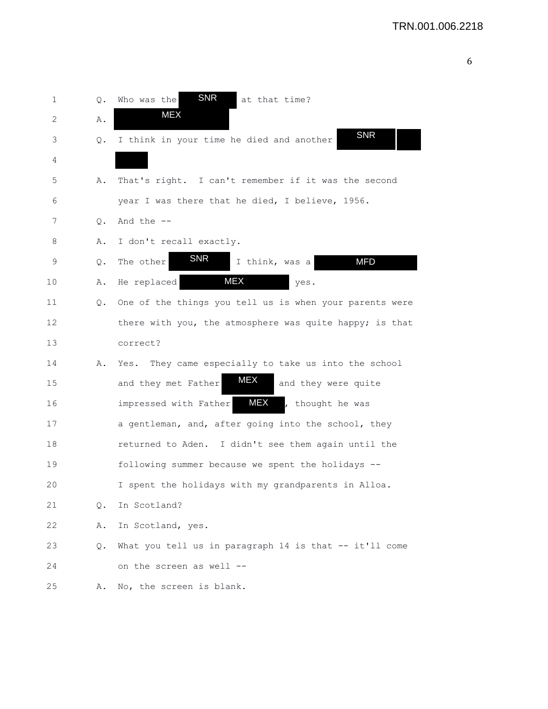| 1  | Q.        | <b>SNR</b><br>at that time?<br>Who was the                |
|----|-----------|-----------------------------------------------------------|
| 2  | Α.        | <b>MEX</b>                                                |
| 3  | Q.        | <b>SNR</b><br>I think in your time he died and another    |
| 4  |           |                                                           |
| 5  | Α.        | That's right. I can't remember if it was the second       |
| 6  |           | year I was there that he died, I believe, 1956.           |
| 7  | $\circ$ . | And the $-$                                               |
| 8  | Α.        | I don't recall exactly.                                   |
| 9  | $Q$ .     | <b>SNR</b><br><b>MFD</b><br>The other<br>I think, was a   |
| 10 | Α.        | MEX<br>He replaced<br>yes.                                |
| 11 | Q.        | One of the things you tell us is when your parents were   |
| 12 |           | there with you, the atmosphere was quite happy; is that   |
| 13 |           | correct?                                                  |
| 14 | Α.        | They came especially to take us into the school<br>Yes.   |
| 15 |           | <b>MEX</b><br>and they met Father<br>and they were quite  |
| 16 |           | MEX<br>impressed with Father<br>, thought he was          |
| 17 |           | a gentleman, and, after going into the school, they       |
| 18 |           | returned to Aden. I didn't see them again until the       |
| 19 |           | following summer because we spent the holidays --         |
| 20 |           | I spent the holidays with my grandparents in Alloa.       |
| 21 | $\circ$ . | In Scotland?                                              |
| 22 | Α.        | In Scotland, yes.                                         |
| 23 | Q.        | What you tell us in paragraph 14 is that $-$ - it'll come |
| 24 |           | on the screen as well --                                  |
| 25 | Α.        | No, the screen is blank.                                  |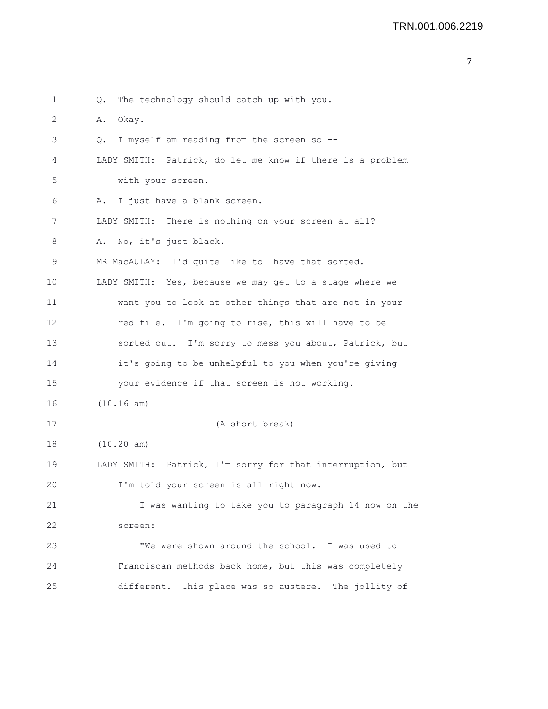1 Q. The technology should catch up with you. 2 A. Okay. 3 Q. I myself am reading from the screen so -- 4 LADY SMITH: Patrick, do let me know if there is a problem 5 with your screen. 6 A. I just have a blank screen. 7 LADY SMITH: There is nothing on your screen at all? 8 A. No, it's just black. 9 MR MacAULAY: I'd quite like to have that sorted. 10 LADY SMITH: Yes, because we may get to a stage where we 11 want you to look at other things that are not in your 12 red file. I'm going to rise, this will have to be 13 sorted out. I'm sorry to mess you about, Patrick, but 14 it's going to be unhelpful to you when you're giving 15 your evidence if that screen is not working. 16 (10.16 am) 17 (A short break) 18 (10.20 am) 19 LADY SMITH: Patrick, I'm sorry for that interruption, but 20 I'm told your screen is all right now. 21 I was wanting to take you to paragraph 14 now on the 22 screen: 23 "We were shown around the school. I was used to 24 Franciscan methods back home, but this was completely 25 different. This place was so austere. The jollity of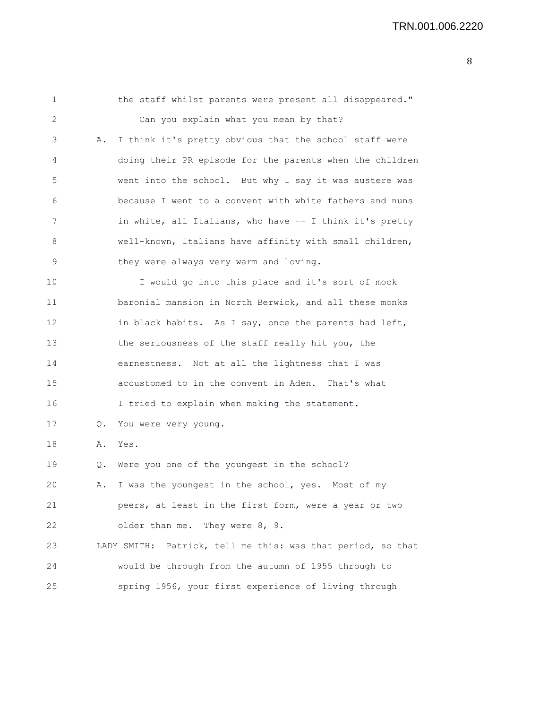| 1  |       | the staff whilst parents were present all disappeared."     |
|----|-------|-------------------------------------------------------------|
| 2  |       | Can you explain what you mean by that?                      |
| 3  | Α.    | I think it's pretty obvious that the school staff were      |
| 4  |       | doing their PR episode for the parents when the children    |
| 5  |       | went into the school. But why I say it was austere was      |
| 6  |       | because I went to a convent with white fathers and nuns     |
| 7  |       | in white, all Italians, who have -- I think it's pretty     |
| 8  |       | well-known, Italians have affinity with small children,     |
| 9  |       | they were always very warm and loving.                      |
| 10 |       | I would go into this place and it's sort of mock            |
| 11 |       | baronial mansion in North Berwick, and all these monks      |
| 12 |       | in black habits. As I say, once the parents had left,       |
| 13 |       | the seriousness of the staff really hit you, the            |
| 14 |       | earnestness. Not at all the lightness that I was            |
| 15 |       | accustomed to in the convent in Aden. That's what           |
| 16 |       | I tried to explain when making the statement.               |
| 17 | Q.    | You were very young.                                        |
| 18 | Α.    | Yes.                                                        |
| 19 | $Q$ . | Were you one of the youngest in the school?                 |
| 20 |       | A. I was the youngest in the school, yes. Most of my        |
| 21 |       | peers, at least in the first form, were a year or two       |
| 22 |       | older than me. They were 8, 9.                              |
| 23 |       | LADY SMITH: Patrick, tell me this: was that period, so that |
| 24 |       | would be through from the autumn of 1955 through to         |
| 25 |       | spring 1956, your first experience of living through        |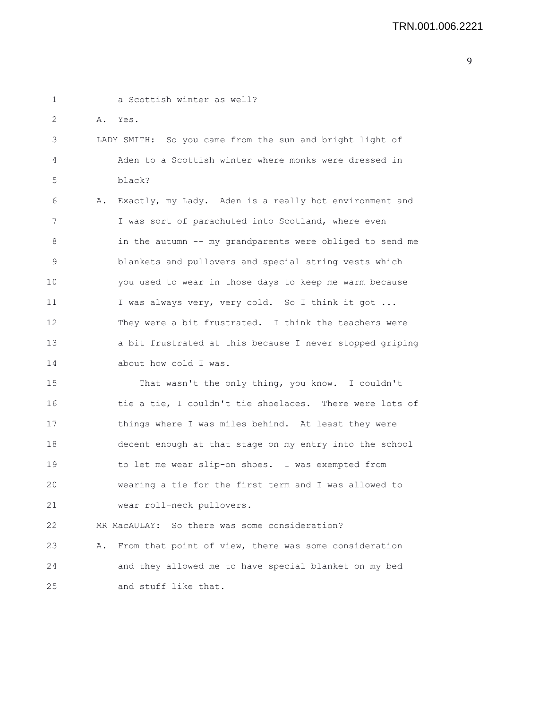1 a Scottish winter as well? 2 A. Yes. 3 LADY SMITH: So you came from the sun and bright light of 4 Aden to a Scottish winter where monks were dressed in 5 black? 6 A. Exactly, my Lady. Aden is a really hot environment and 7 I was sort of parachuted into Scotland, where even 8 in the autumn -- my grandparents were obliged to send me 9 blankets and pullovers and special string vests which 10 you used to wear in those days to keep me warm because 11 I was always very, very cold. So I think it got ... 12 They were a bit frustrated. I think the teachers were 13 a bit frustrated at this because I never stopped griping 14 about how cold I was. 15 That wasn't the only thing, you know. I couldn't 16 tie a tie, I couldn't tie shoelaces. There were lots of 17 things where I was miles behind. At least they were 18 decent enough at that stage on my entry into the school 19 to let me wear slip-on shoes. I was exempted from 20 wearing a tie for the first term and I was allowed to 21 wear roll-neck pullovers. 22 MR MacAULAY: So there was some consideration? 23 A. From that point of view, there was some consideration 24 and they allowed me to have special blanket on my bed 25 and stuff like that.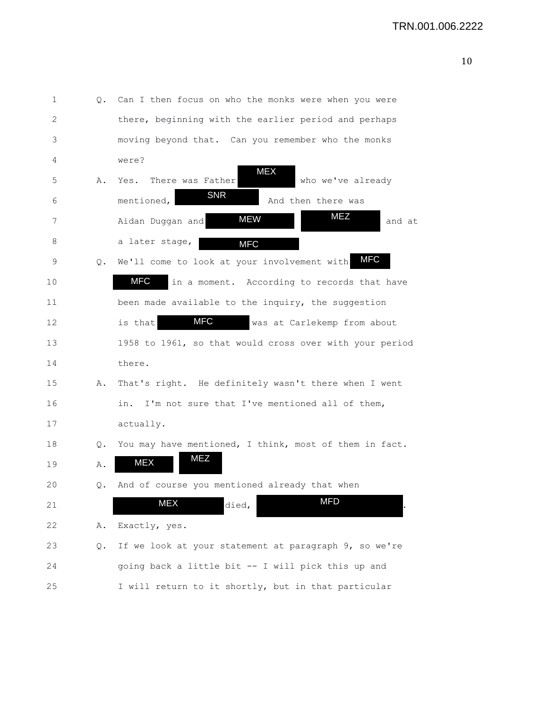| 1  | Q. | Can I then focus on who the monks were when you were        |
|----|----|-------------------------------------------------------------|
| 2  |    | there, beginning with the earlier period and perhaps        |
| 3  |    | moving beyond that. Can you remember who the monks          |
| 4  |    | were?                                                       |
| 5  | Α. | <b>MEX</b><br>who we've already<br>There was Father<br>Yes. |
| 6  |    | <b>SNR</b><br>mentioned,<br>And then there was              |
| 7  |    | <b>MEZ</b><br><b>MEW</b><br>Aidan Duggan and<br>and at      |
| 8  |    | a later stage,<br><b>MFC</b>                                |
| 9  | Q. | MFC<br>We'll come to look at your involvement with          |
| 10 |    | MFC<br>in a moment. According to records that have          |
| 11 |    | been made available to the inquiry, the suggestion          |
| 12 |    | <b>MFC</b><br>is that<br>was at Carlekemp from about        |
| 13 |    | 1958 to 1961, so that would cross over with your period     |
| 14 |    | there.                                                      |
| 15 | Α. | That's right. He definitely wasn't there when I went        |
| 16 |    | I'm not sure that I've mentioned all of them,<br>in.        |
| 17 |    | actually.                                                   |
| 18 | Q. | You may have mentioned, I think, most of them in fact.      |
| 19 | Α. | MEZ<br><b>MEX</b>                                           |
| 20 | Q. | And of course you mentioned already that when               |
| 21 |    | <b>MFD</b><br>MEX<br>died,                                  |
| 22 | Α. | Exactly, yes.                                               |
| 23 | Q. | If we look at your statement at paragraph 9, so we're       |
| 24 |    | going back a little bit -- I will pick this up and          |
| 25 |    | I will return to it shortly, but in that particular         |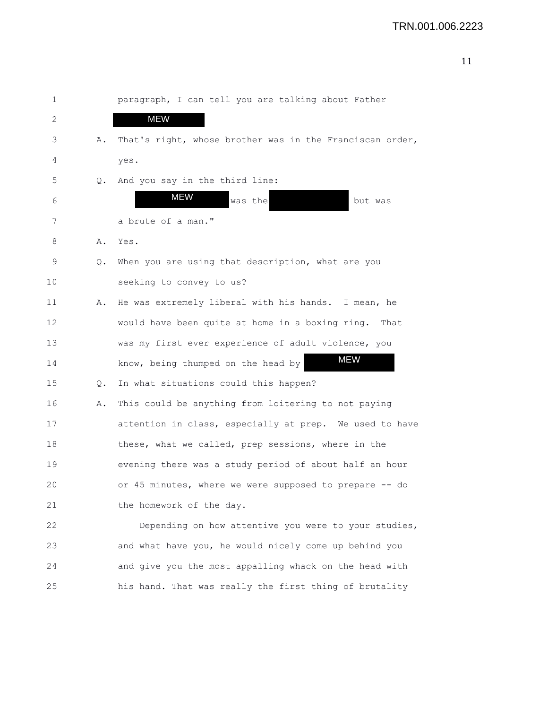| 1  |    | paragraph, I can tell you are talking about Father       |
|----|----|----------------------------------------------------------|
| 2  |    | <b>MEW</b>                                               |
| 3  | Α. | That's right, whose brother was in the Franciscan order, |
| 4  |    | yes.                                                     |
| 5  | Q. | And you say in the third line:                           |
| 6  |    | <b>MEW</b><br>was the<br>but was                         |
| 7  |    | a brute of a man."                                       |
| 8  | Α. | Yes.                                                     |
| 9  | Q. | When you are using that description, what are you        |
| 10 |    | seeking to convey to us?                                 |
| 11 | Α. | He was extremely liberal with his hands. I mean, he      |
| 12 |    | would have been quite at home in a boxing ring.<br>That  |
| 13 |    | was my first ever experience of adult violence, you      |
| 14 |    | MEW<br>know, being thumped on the head by                |
| 15 | Q. | In what situations could this happen?                    |
| 16 | Α. | This could be anything from loitering to not paying      |
| 17 |    | attention in class, especially at prep. We used to have  |
| 18 |    | these, what we called, prep sessions, where in the       |
| 19 |    | evening there was a study period of about half an hour   |
| 20 |    | or 45 minutes, where we were supposed to prepare -- do   |
| 21 |    | the homework of the day.                                 |
| 22 |    | Depending on how attentive you were to your studies,     |
| 23 |    | and what have you, he would nicely come up behind you    |
| 24 |    | and give you the most appalling whack on the head with   |
| 25 |    | his hand. That was really the first thing of brutality   |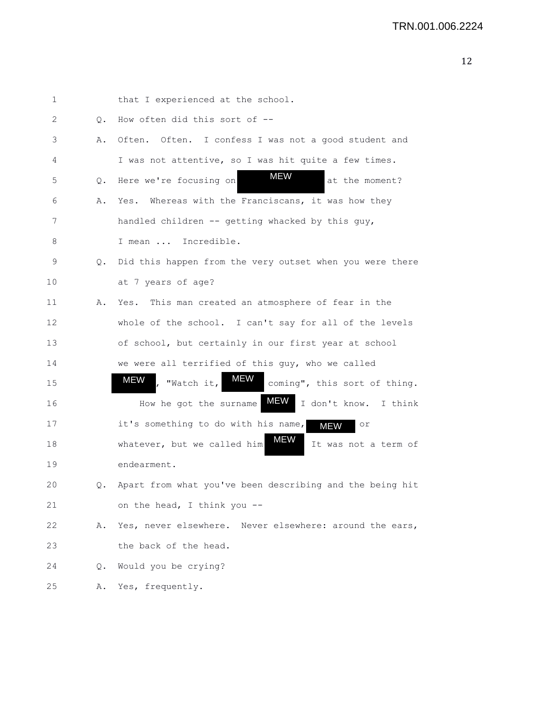| 1  |           | that I experienced at the school.                                            |
|----|-----------|------------------------------------------------------------------------------|
| 2  | Q.        | How often did this sort of --                                                |
| 3  | Α.        | Often. Often. I confess I was not a good student and                         |
| 4  |           | I was not attentive, so I was hit quite a few times.                         |
| 5  | $\circ$ . | <b>MEW</b><br>Here we're focusing on<br>at the moment?                       |
| 6  | Α.        | Whereas with the Franciscans, it was how they<br>Yes.                        |
| 7  |           | handled children -- getting whacked by this guy,                             |
| 8  |           | I mean  Incredible.                                                          |
| 9  | Q.        | Did this happen from the very outset when you were there                     |
| 10 |           | at 7 years of age?                                                           |
| 11 | Α.        | Yes. This man created an atmosphere of fear in the                           |
| 12 |           | whole of the school. I can't say for all of the levels                       |
| 13 |           | of school, but certainly in our first year at school                         |
| 14 |           | we were all terrified of this guy, who we called                             |
| 15 |           | MEW<br><b>MEW</b><br>$\vert$ ,<br>"Watch it,<br>coming", this sort of thing. |
| 16 |           | <b>MEW</b><br>I don't know.<br>How he got the surname<br>I think             |
| 17 |           | it's something to do with his name,<br>or<br><b>MEW</b>                      |
| 18 |           | MEW<br>whatever, but we called him<br>It was not a term of                   |
| 19 |           | endearment.                                                                  |
| 20 | Q.        | Apart from what you've been describing and the being hit                     |
| 21 |           | on the head, I think you --                                                  |
| 22 |           | A. Yes, never elsewhere. Never elsewhere: around the ears,                   |
| 23 |           | the back of the head.                                                        |
| 24 | Q.        | Would you be crying?                                                         |
| 25 | Α.        | Yes, frequently.                                                             |
|    |           |                                                                              |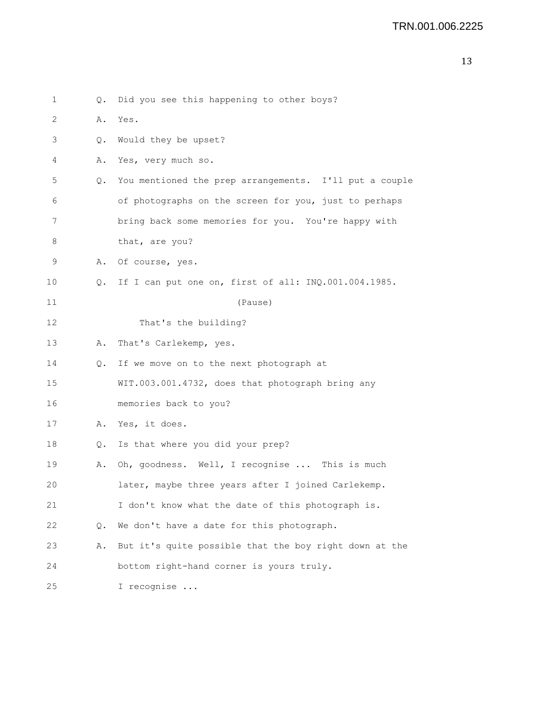```
1 Q. Did you see this happening to other boys?
2 A. Yes.
3 Q. Would they be upset?
4 A. Yes, very much so.
5 Q. You mentioned the prep arrangements. I'll put a couple
 6 of photographs on the screen for you, just to perhaps
7 bring back some memories for you. You're happy with
8 that, are you?
9 A. Of course, yes.
10 Q. If I can put one on, first of all: INQ.001.004.1985.
11 (Pause)
12 That's the building?
13 A. That's Carlekemp, yes.
14 Q. If we move on to the next photograph at
15 WIT.003.001.4732, does that photograph bring any
16 memories back to you?
17 A. Yes, it does.
18 Q. Is that where you did your prep?
19 A. Oh, goodness. Well, I recognise ... This is much
20 later, maybe three years after I joined Carlekemp.
21 I don't know what the date of this photograph is.
22 Q. We don't have a date for this photograph.
23 A. But it's quite possible that the boy right down at the
24 bottom right-hand corner is yours truly.
25 I recognise ...
```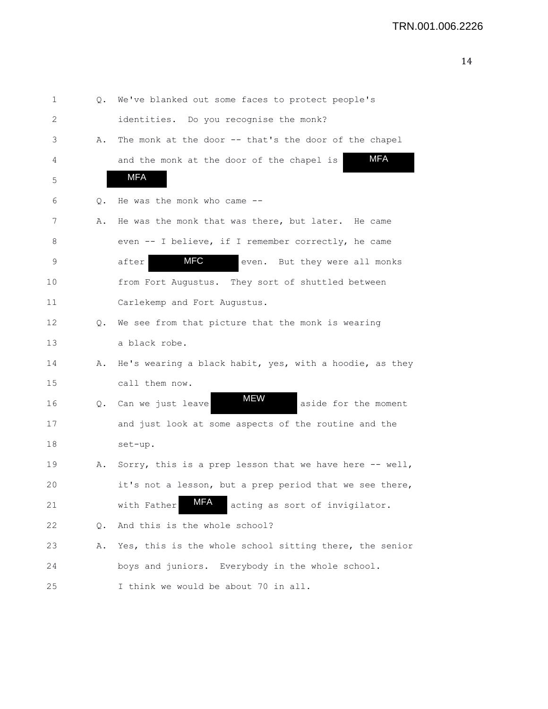| 1  | Q. | We've blanked out some faces to protect people's        |
|----|----|---------------------------------------------------------|
| 2  |    | identities. Do you recognise the monk?                  |
| 3  | Α. | The monk at the door -- that's the door of the chapel   |
| 4  |    | <b>MFA</b><br>and the monk at the door of the chapel is |
| 5  |    | MFA                                                     |
| 6  | Q. | He was the monk who came --                             |
| 7  | Α. | He was the monk that was there, but later. He came      |
| 8  |    | even -- I believe, if I remember correctly, he came     |
| 9  |    | <b>MFC</b><br>after<br>But they were all monks<br>even. |
| 10 |    | from Fort Augustus. They sort of shuttled between       |
| 11 |    | Carlekemp and Fort Augustus.                            |
| 12 | Q. | We see from that picture that the monk is wearing       |
| 13 |    | a black robe.                                           |
| 14 | Α. | He's wearing a black habit, yes, with a hoodie, as they |
| 15 |    | call them now.                                          |
| 16 | Q. | <b>MEW</b><br>Can we just leave<br>aside for the moment |
| 17 |    | and just look at some aspects of the routine and the    |
| 18 |    | set-up.                                                 |
| 19 | Α. | Sorry, this is a prep lesson that we have here -- well, |
| 20 |    | it's not a lesson, but a prep period that we see there, |
| 21 |    | MFA<br>with Father<br>acting as sort of invigilator.    |
| 22 | Q. | And this is the whole school?                           |
| 23 | Α. | Yes, this is the whole school sitting there, the senior |
| 24 |    | boys and juniors. Everybody in the whole school.        |
| 25 |    | I think we would be about 70 in all.                    |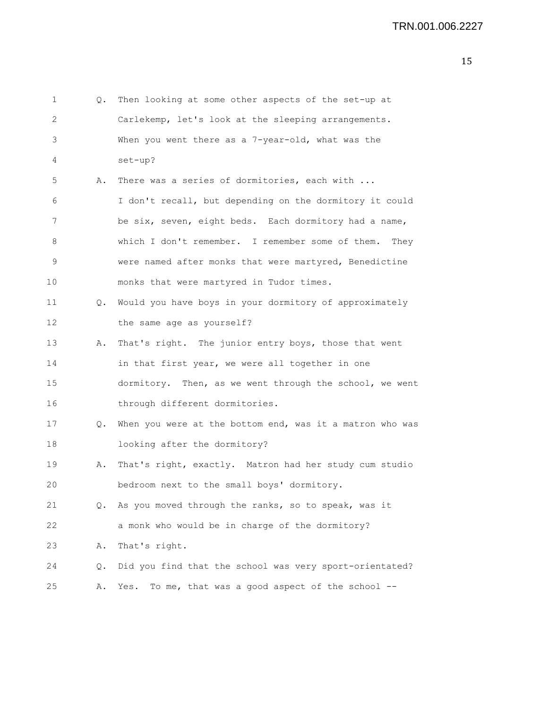| 1  | Q. | Then looking at some other aspects of the set-up at      |
|----|----|----------------------------------------------------------|
| 2  |    | Carlekemp, let's look at the sleeping arrangements.      |
| 3  |    | When you went there as a 7-year-old, what was the        |
| 4  |    | set-up?                                                  |
| 5  | Α. | There was a series of dormitories, each with             |
| 6  |    | I don't recall, but depending on the dormitory it could  |
| 7  |    | be six, seven, eight beds. Each dormitory had a name,    |
| 8  |    | which I don't remember. I remember some of them.<br>They |
| 9  |    | were named after monks that were martyred, Benedictine   |
| 10 |    | monks that were martyred in Tudor times.                 |
| 11 | Q. | Would you have boys in your dormitory of approximately   |
| 12 |    | the same age as yourself?                                |
| 13 | Α. | That's right. The junior entry boys, those that went     |
| 14 |    | in that first year, we were all together in one          |
| 15 |    | dormitory. Then, as we went through the school, we went  |
| 16 |    | through different dormitories.                           |
| 17 | Q. | When you were at the bottom end, was it a matron who was |
| 18 |    | looking after the dormitory?                             |
| 19 | Α. | That's right, exactly. Matron had her study cum studio   |
| 20 |    | bedroom next to the small boys' dormitory.               |
| 21 |    | Q. As you moved through the ranks, so to speak, was it   |
| 22 |    | a monk who would be in charge of the dormitory?          |
| 23 | Α. | That's right.                                            |
| 24 | Q. | Did you find that the school was very sport-orientated?  |
| 25 | Α. | To me, that was a good aspect of the school --<br>Yes.   |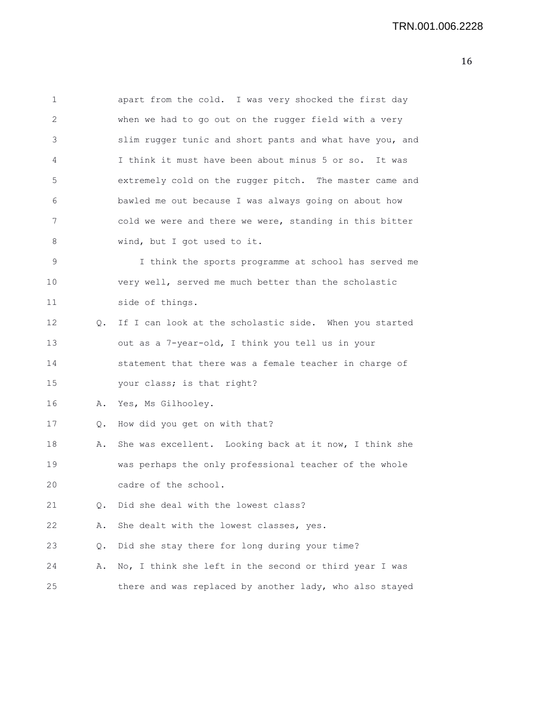1 apart from the cold. I was very shocked the first day 2 when we had to go out on the rugger field with a very 3 slim rugger tunic and short pants and what have you, and 4 I think it must have been about minus 5 or so. It was 5 extremely cold on the rugger pitch. The master came and 6 bawled me out because I was always going on about how 7 cold we were and there we were, standing in this bitter 8 wind, but I got used to it. 9 I think the sports programme at school has served me 10 very well, served me much better than the scholastic 11 side of things. 12 Q. If I can look at the scholastic side. When you started 13 out as a 7-year-old, I think you tell us in your 14 statement that there was a female teacher in charge of 15 your class; is that right? 16 A. Yes, Ms Gilhooley. 17 Q. How did you get on with that? 18 A. She was excellent. Looking back at it now, I think she 19 was perhaps the only professional teacher of the whole 20 cadre of the school. 21 0. Did she deal with the lowest class? 22 A. She dealt with the lowest classes, yes. 23 Q. Did she stay there for long during your time? 24 A. No, I think she left in the second or third year I was

25 there and was replaced by another lady, who also stayed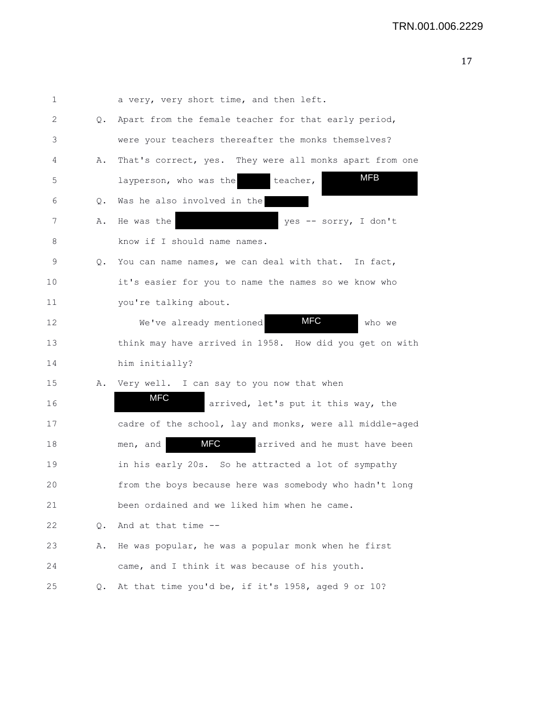| $\mathbf 1$ |    | a very, very short time, and then left.                  |
|-------------|----|----------------------------------------------------------|
| 2           | Q. | Apart from the female teacher for that early period,     |
| 3           |    | were your teachers thereafter the monks themselves?      |
| 4           | Α. | That's correct, yes. They were all monks apart from one  |
| 5           |    | <b>MFB</b><br>teacher,<br>layperson, who was the         |
| 6           | Q. | Was he also involved in the                              |
| 7           | Α. | He was the<br>yes -- sorry, I don't                      |
| 8           |    | know if I should name names.                             |
| 9           | Q. | You can name names, we can deal with that. In fact,      |
| 10          |    | it's easier for you to name the names so we know who     |
| 11          |    | you're talking about.                                    |
| 12          |    | <b>MFC</b><br>We've already mentioned<br>who we          |
| 13          |    | think may have arrived in 1958. How did you get on with  |
| 14          |    | him initially?                                           |
| 15          |    | A. Very well. I can say to you now that when             |
| 16          |    | MFC<br>arrived, let's put it this way, the               |
| 17          |    | cadre of the school, lay and monks, were all middle-aged |
| 18          |    | MFC<br>arrived and he must have been<br>men, and         |
| 19          |    | in his early 20s. So he attracted a lot of sympathy      |
| 20          |    | from the boys because here was somebody who hadn't long  |
| 21          |    | been ordained and we liked him when he came.             |
| 22          | Q. | And at that time --                                      |
| 23          | Α. | He was popular, he was a popular monk when he first      |
| 24          |    | came, and I think it was because of his youth.           |
| 25          | Q. | At that time you'd be, if it's 1958, aged 9 or 10?       |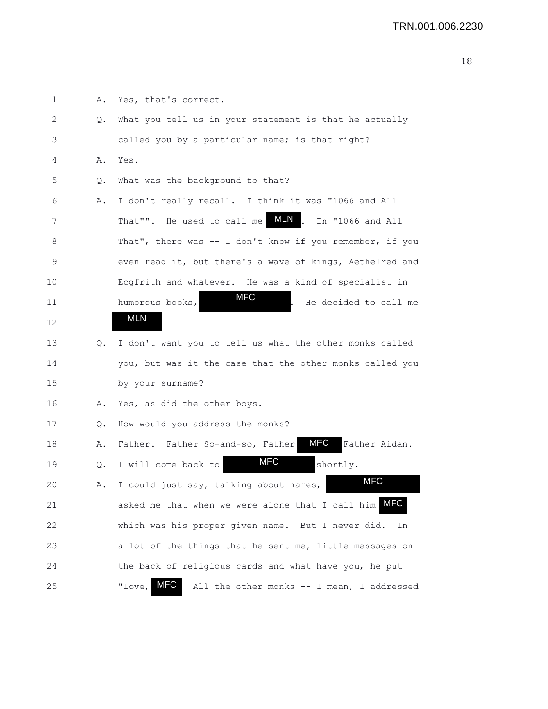| 1  | Α.    | Yes, that's correct.                                           |
|----|-------|----------------------------------------------------------------|
| 2  | Q.    | What you tell us in your statement is that he actually         |
| 3  |       | called you by a particular name; is that right?                |
| 4  | Α.    | Yes.                                                           |
| 5  | $Q$ . | What was the background to that?                               |
| 6  | Α.    | I don't really recall. I think it was "1066 and All            |
| 7  |       | MLN,<br>That"". He used to call me<br>In "1066 and All         |
| 8  |       | That", there was -- I don't know if you remember, if you       |
| 9  |       | even read it, but there's a wave of kings, Aethelred and       |
| 10 |       | Ecgfrith and whatever. He was a kind of specialist in          |
| 11 |       | MFC<br>humorous books,<br>He decided to call me                |
| 12 |       | <b>MLN</b>                                                     |
| 13 | Q.    | I don't want you to tell us what the other monks called        |
| 14 |       | you, but was it the case that the other monks called you       |
| 15 |       | by your surname?                                               |
| 16 | Α.    | Yes, as did the other boys.                                    |
| 17 | Q.    | How would you address the monks?                               |
| 18 | Α.    | MFC<br>Father Aidan.<br>Father. Father So-and-so, Father       |
| 19 | Q.    | MFC<br>I will come back to<br>shortly.                         |
| 20 | Α.    | <b>MFC</b><br>I could just say, talking about names,           |
| 21 |       | <b>MFC</b><br>asked me that when we were alone that I call him |
| 22 |       | which was his proper given name. But I never did.<br>Ιn        |
| 23 |       | a lot of the things that he sent me, little messages on        |
| 24 |       | the back of religious cards and what have you, he put          |
| 25 |       | MFC<br>"Love,<br>All the other monks -- I mean, I addressed    |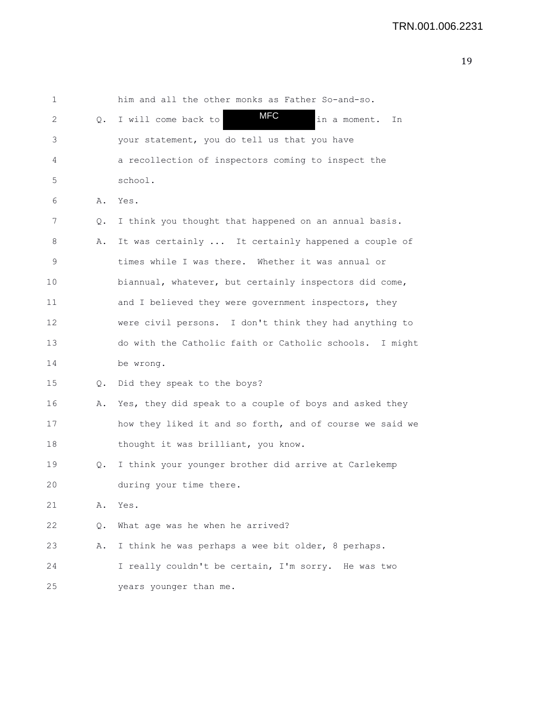| 1  |    | him and all the other monks as Father So-and-so.         |
|----|----|----------------------------------------------------------|
| 2  | Q. | <b>MFC</b><br>in a moment.<br>I will come back to<br>In  |
| 3  |    | your statement, you do tell us that you have             |
| 4  |    | a recollection of inspectors coming to inspect the       |
| 5  |    | school.                                                  |
| 6  | Α. | Yes.                                                     |
| 7  | Q. | I think you thought that happened on an annual basis.    |
| 8  | Α. | It was certainly  It certainly happened a couple of      |
| 9  |    | times while I was there. Whether it was annual or        |
| 10 |    | biannual, whatever, but certainly inspectors did come,   |
| 11 |    | and I believed they were government inspectors, they     |
| 12 |    | were civil persons. I don't think they had anything to   |
| 13 |    | do with the Catholic faith or Catholic schools. I might  |
| 14 |    | be wrong.                                                |
| 15 | Q. | Did they speak to the boys?                              |
| 16 | Α. | Yes, they did speak to a couple of boys and asked they   |
| 17 |    | how they liked it and so forth, and of course we said we |
| 18 |    | thought it was brilliant, you know.                      |
| 19 | Q. | I think your younger brother did arrive at Carlekemp     |
| 20 |    | during your time there.                                  |
| 21 | Α. | Yes.                                                     |
| 22 | Q. | What age was he when he arrived?                         |
| 23 | Α. | I think he was perhaps a wee bit older, 8 perhaps.       |
| 24 |    | I really couldn't be certain, I'm sorry. He was two      |
| 25 |    | years younger than me.                                   |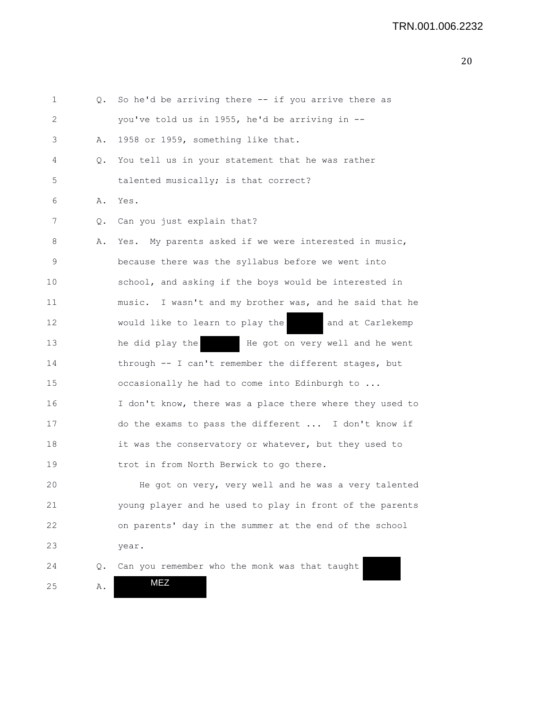```
1 Q. So he'd be arriving there -- if you arrive there as
2 you've told us in 1955, he'd be arriving in --
3 A. 1958 or 1959, something like that.
4 Q. You tell us in your statement that he was rather
5 talented musically; is that correct?
6 A. Yes.
7 Q. Can you just explain that?
8 A. Yes. My parents asked if we were interested in music,
9 because there was the syllabus before we went into
10 school, and asking if the boys would be interested in
11 music. I wasn't and my brother was, and he said that he
12 would like to learn to play the and at Carlekemp
13 he did play the He got on very well and he went
14 through -- I can't remember the different stages, but
15 occasionally he had to come into Edinburgh to ...
16 I don't know, there was a place there where they used to
17 do the exams to pass the different ... I don't know if
18 it was the conservatory or whatever, but they used to
19 trot in from North Berwick to go there.
20 He got on very, very well and he was a very talented
21 young player and he used to play in front of the parents
22 on parents' day in the summer at the end of the school
23 year.
24 Q. Can you remember who the monk was that taught
25 A. 
                MEZ
```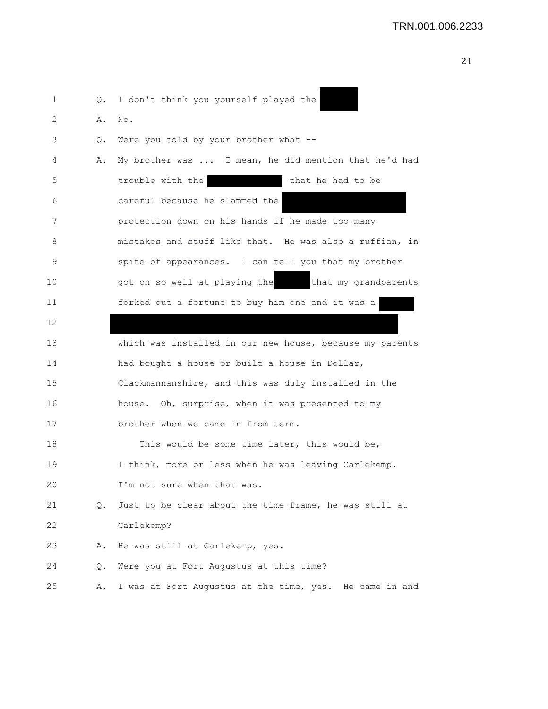ـ  $\blacksquare$ 

| 1  |    | Q. I don't think you yourself played the                 |
|----|----|----------------------------------------------------------|
| 2  | Α. | No.                                                      |
| 3  | Q. | Were you told by your brother what $-$ -                 |
| 4  | Α. | My brother was  I mean, he did mention that he'd had     |
| 5  |    | trouble with the<br>that he had to be                    |
| 6  |    | careful because he slammed the                           |
| 7  |    | protection down on his hands if he made too many         |
| 8  |    | mistakes and stuff like that. He was also a ruffian, in  |
| 9  |    | spite of appearances. I can tell you that my brother     |
| 10 |    | got on so well at playing the that my grandparents       |
| 11 |    | forked out a fortune to buy him one and it was a         |
| 12 |    |                                                          |
| 13 |    | which was installed in our new house, because my parents |
| 14 |    | had bought a house or built a house in Dollar,           |
| 15 |    | Clackmannanshire, and this was duly installed in the     |
| 16 |    | house. Oh, surprise, when it was presented to my         |
| 17 |    | brother when we came in from term.                       |
| 18 |    | This would be some time later, this would be,            |
| 19 |    | I think, more or less when he was leaving Carlekemp.     |
| 20 |    | I'm not sure when that was.                              |
| 21 | Q. | Just to be clear about the time frame, he was still at   |
| 22 |    | Carlekemp?                                               |
| 23 | Α. | He was still at Carlekemp, yes.                          |
| 24 | Q. | Were you at Fort Augustus at this time?                  |
| 25 | Α. | I was at Fort Augustus at the time, yes. He came in and  |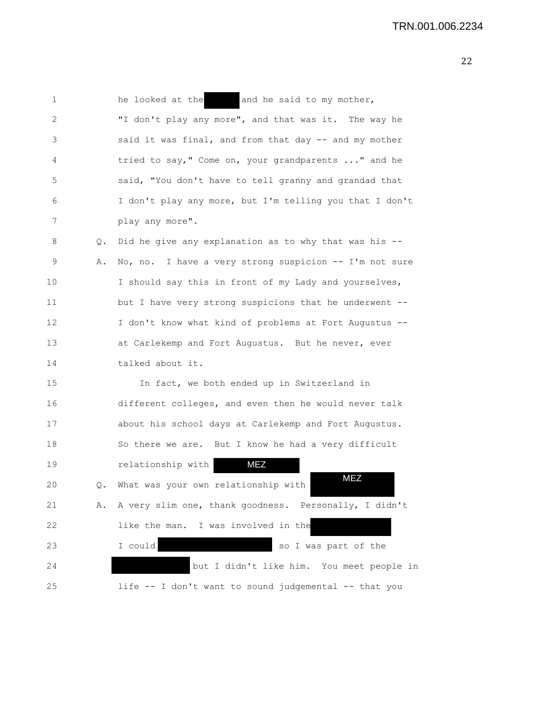| 1  |    | and he said to my mother,<br>he looked at the           |
|----|----|---------------------------------------------------------|
| 2  |    | "I don't play any more", and that was it. The way he    |
| 3  |    | said it was final, and from that day -- and my mother   |
| 4  |    | tried to say," Come on, your grandparents " and he      |
| 5  |    | said, "You don't have to tell granny and grandad that   |
| 6  |    | I don't play any more, but I'm telling you that I don't |
| 7  |    | play any more".                                         |
| 8  | Q. | Did he give any explanation as to why that was his --   |
| 9  | Α. | No, no. I have a very strong suspicion -- I'm not sure  |
| 10 |    | I should say this in front of my Lady and yourselves,   |
| 11 |    | but I have very strong suspicions that he underwent --  |
| 12 |    | I don't know what kind of problems at Fort Augustus --  |
| 13 |    | at Carlekemp and Fort Augustus. But he never, ever      |
| 14 |    | talked about it.                                        |
| 15 |    | In fact, we both ended up in Switzerland in             |
| 16 |    | different colleges, and even then he would never talk   |
| 17 |    | about his school days at Carlekemp and Fort Augustus.   |
| 18 |    | So there we are. But I know he had a very difficult     |
| 19 |    | <b>MEZ</b><br>relationship with                         |
| 20 | Q. | MEZ<br>What was your own relationship with              |
| 21 | Α. | A very slim one, thank goodness. Personally, I didn't   |
| 22 |    | like the man. I was involved in the                     |
| 23 |    | I could<br>so I was part of the                         |
| 24 |    | but I didn't like him. You meet people in               |
| 25 |    | life -- I don't want to sound judgemental -- that you   |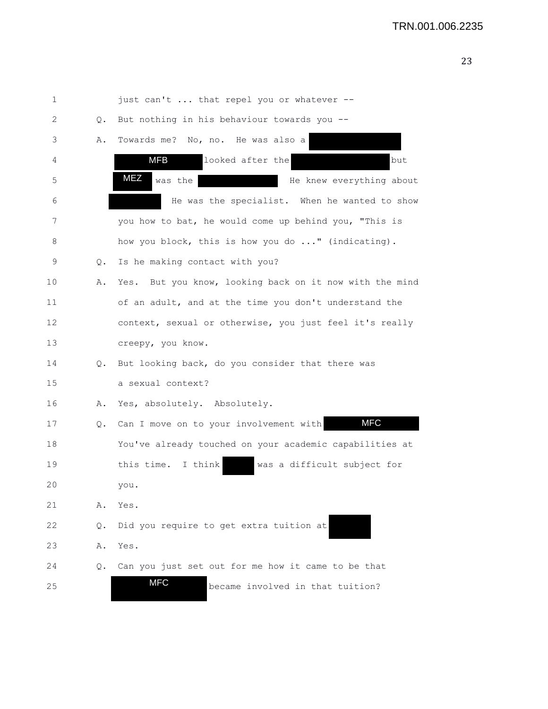| 1  |    | just can't  that repel you or whatever --                  |
|----|----|------------------------------------------------------------|
| 2  | Q. | But nothing in his behaviour towards you --                |
| 3  | Α. | Towards me? No, no. He was also a                          |
| 4  |    | looked after the<br>but<br>MFB                             |
| 5  |    | MEZ<br>was the<br>He knew everything about                 |
| 6  |    | He was the specialist. When he wanted to show              |
| 7  |    | you how to bat, he would come up behind you, "This is      |
| 8  |    | how you block, this is how you do " (indicating).          |
| 9  | Q. | Is he making contact with you?                             |
| 10 | Α. | But you know, looking back on it now with the mind<br>Yes. |
| 11 |    | of an adult, and at the time you don't understand the      |
| 12 |    | context, sexual or otherwise, you just feel it's really    |
| 13 |    | creepy, you know.                                          |
| 14 | Q. | But looking back, do you consider that there was           |
| 15 |    | a sexual context?                                          |
| 16 | Α. | Yes, absolutely. Absolutely.                               |
| 17 | Q. | <b>MFC</b><br>Can I move on to your involvement with       |
| 18 |    | You've already touched on your academic capabilities at    |
| 19 |    | this time. I think<br>was a difficult subject for          |
| 20 |    | you.                                                       |
| 21 | Α. | Yes.                                                       |
| 22 | Q. | Did you require to get extra tuition at                    |
| 23 | Α. | Yes.                                                       |
| 24 | Q. | Can you just set out for me how it came to be that         |
| 25 |    | <b>MFC</b><br>became involved in that tuition?             |
|    |    |                                                            |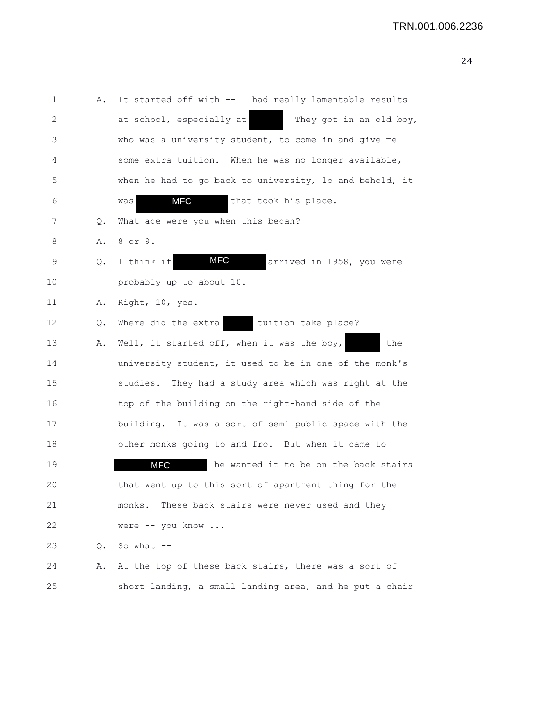1 A. It started off with -- I had really lamentable results 2 at school, especially at They got in an old boy, 3 who was a university student, to come in and give me 4 some extra tuition. When he was no longer available, 5 when he had to go back to university, lo and behold, it 6 was **MFC** that took his place. 7 Q. What age were you when this began? 8 A. 8 or 9. 9 Q. I think if **MFC** arrived in 1958, you were 10 probably up to about 10. 11 A. Right, 10, yes. 12 Q. Where did the extra tuition take place? 13 A. Well, it started off, when it was the boy, the 14 university student, it used to be in one of the monk's 15 studies. They had a study area which was right at the 16 top of the building on the right-hand side of the 17 building. It was a sort of semi-public space with the 18 other monks going to and fro. But when it came to 19 **MFC** he wanted it to be on the back stairs 20 that went up to this sort of apartment thing for the 21 monks. These back stairs were never used and they 22 were -- you know ... 23 Q. So what -- 24 A. At the top of these back stairs, there was a sort of 25 short landing, a small landing area, and he put a chair MFC MFC MFC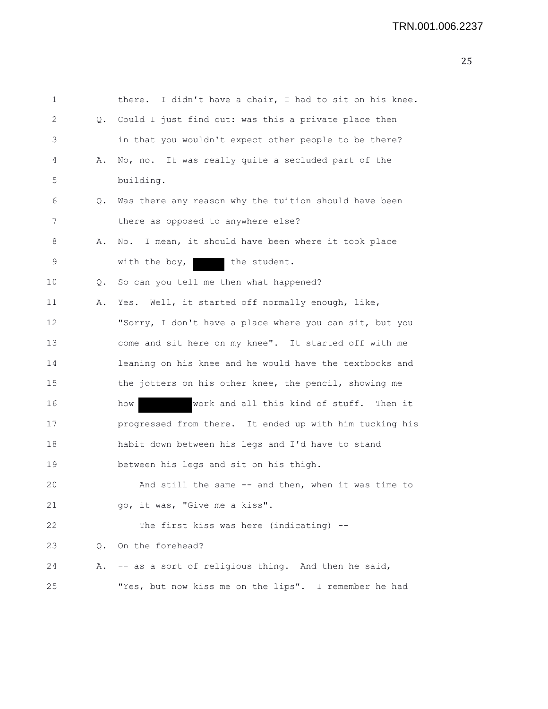| $\mathbf 1$ |           | there. I didn't have a chair, I had to sit on his knee. |
|-------------|-----------|---------------------------------------------------------|
| 2           |           | Q. Could I just find out: was this a private place then |
| 3           |           | in that you wouldn't expect other people to be there?   |
| 4           | Α.        | No, no. It was really quite a secluded part of the      |
| 5           |           | building.                                               |
| 6           | Q.        | Was there any reason why the tuition should have been   |
| 7           |           | there as opposed to anywhere else?                      |
| 8           | Α.        | No. I mean, it should have been where it took place     |
| 9           |           | the student.<br>with the boy, $ $                       |
| 10          | Q.        | So can you tell me then what happened?                  |
| 11          | Α.        | Yes. Well, it started off normally enough, like,        |
| 12          |           | "Sorry, I don't have a place where you can sit, but you |
| 13          |           | come and sit here on my knee". It started off with me   |
| 14          |           | leaning on his knee and he would have the textbooks and |
| 15          |           | the jotters on his other knee, the pencil, showing me   |
| 16          |           | work and all this kind of stuff. Then it<br>how         |
| 17          |           | progressed from there. It ended up with him tucking his |
| 18          |           | habit down between his legs and I'd have to stand       |
| 19          |           | between his legs and sit on his thigh.                  |
| 20          |           | And still the same $-$ and then, when it was time to    |
| 21          |           | go, it was, "Give me a kiss".                           |
| 22          |           | The first kiss was here (indicating) --                 |
| 23          | $\circ$ . | On the forehead?                                        |
| 24          | Α.        | -- as a sort of religious thing. And then he said,      |
| 25          |           | "Yes, but now kiss me on the lips". I remember he had   |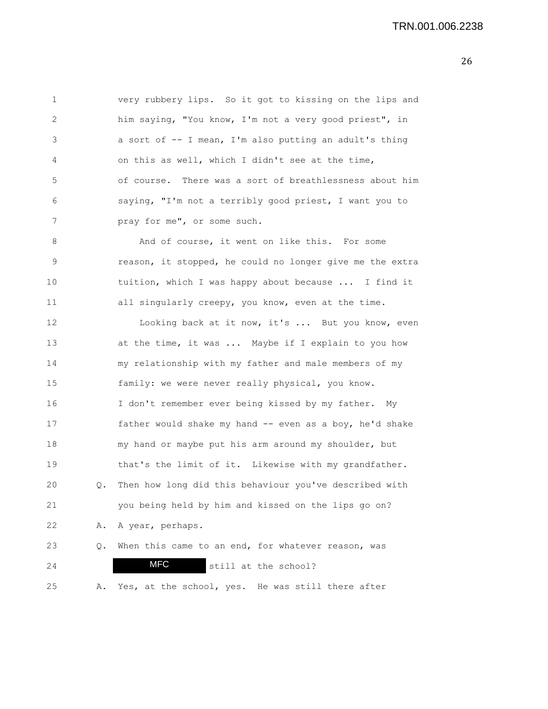| 1             | very rubbery lips. So it got to kissing on the lips and |
|---------------|---------------------------------------------------------|
| $\mathcal{L}$ | him saying, "You know, I'm not a very good priest", in  |
| 3             | a sort of -- I mean, I'm also putting an adult's thing  |
| 4             | on this as well, which I didn't see at the time,        |
| 5             | of course. There was a sort of breathlessness about him |
| 6             | saying, "I'm not a terribly good priest, I want you to  |
| 7             | pray for me", or some such.                             |
|               |                                                         |

8 And of course, it went on like this. For some 9 reason, it stopped, he could no longer give me the extra 10 tuition, which I was happy about because ... I find it 11 all singularly creepy, you know, even at the time.

12 Looking back at it now, it's ... But you know, even 13 **at the time, it was ...** Maybe if I explain to you how 14 my relationship with my father and male members of my 15 family: we were never really physical, you know. 16 I don't remember ever being kissed by my father. My 17 father would shake my hand -- even as a boy, he'd shake 18 my hand or maybe put his arm around my shoulder, but 19 that's the limit of it. Likewise with my grandfather. 20 Q. Then how long did this behaviour you've described with 21 you being held by him and kissed on the lips go on? 22 A. A year, perhaps. 23 Q. When this came to an end, for whatever reason, was 24 MFC still at the school? MFC

25 A. Yes, at the school, yes. He was still there after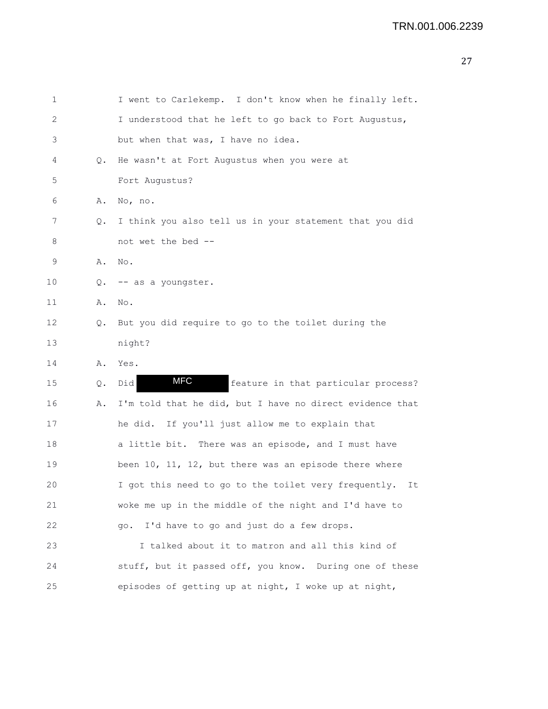| 1  |       | I went to Carlekemp. I don't know when he finally left.    |
|----|-------|------------------------------------------------------------|
| 2  |       | I understood that he left to go back to Fort Augustus,     |
| 3  |       | but when that was, I have no idea.                         |
| 4  | Q.    | He wasn't at Fort Augustus when you were at                |
| 5  |       | Fort Augustus?                                             |
| 6  | Α.    | No, no.                                                    |
| 7  | Q.    | I think you also tell us in your statement that you did    |
| 8  |       | not wet the bed --                                         |
| 9  | Α.    | No.                                                        |
| 10 | Q.    | -- as a youngster.                                         |
| 11 | Α.    | No.                                                        |
| 12 | Q.    | But you did require to go to the toilet during the         |
| 13 |       | night?                                                     |
| 14 | Α.    | Yes.                                                       |
| 15 | $Q$ . | <b>MFC</b><br>Did<br>feature in that particular process?   |
| 16 | Α.    | I'm told that he did, but I have no direct evidence that   |
| 17 |       | he did. If you'll just allow me to explain that            |
| 18 |       | a little bit. There was an episode, and I must have        |
| 19 |       | been 10, 11, 12, but there was an episode there where      |
| 20 |       | I got this need to go to the toilet very frequently.<br>It |
| 21 |       | woke me up in the middle of the night and I'd have to      |
| 22 |       | I'd have to go and just do a few drops.<br>qo.             |
| 23 |       | I talked about it to matron and all this kind of           |
| 24 |       | stuff, but it passed off, you know. During one of these    |
| 25 |       | episodes of getting up at night, I woke up at night,       |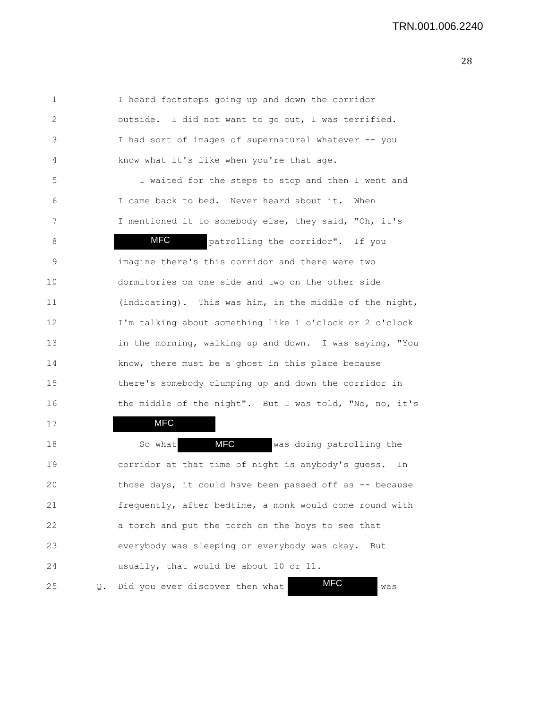1 I heard footsteps going up and down the corridor 2 outside. I did not want to go out, I was terrified. 3 I had sort of images of supernatural whatever -- you 4 know what it's like when you're that age. 5 I waited for the steps to stop and then I went and 6 I came back to bed. Never heard about it. When 7 I mentioned it to somebody else, they said, "Oh, it's 8 MFC patrolling the corridor". If you 9 imagine there's this corridor and there were two 10 dormitories on one side and two on the other side 11 (indicating). This was him, in the middle of the night, 12 I'm talking about something like 1 o'clock or 2 o'clock 13 in the morning, walking up and down. I was saying, "You 14 know, there must be a ghost in this place because 15 there's somebody clumping up and down the corridor in 16 the middle of the night". But I was told, "No, no, it's 17 18 So what **MFC** was doing patrolling the 19 corridor at that time of night is anybody's guess. In 20 those days, it could have been passed off as -- because 21 frequently, after bedtime, a monk would come round with 22 a torch and put the torch on the boys to see that 23 everybody was sleeping or everybody was okay. But MFC MFC MFC

25 Q. Did you ever discover then what **WFC** was

24 usually, that would be about 10 or 11.

MFC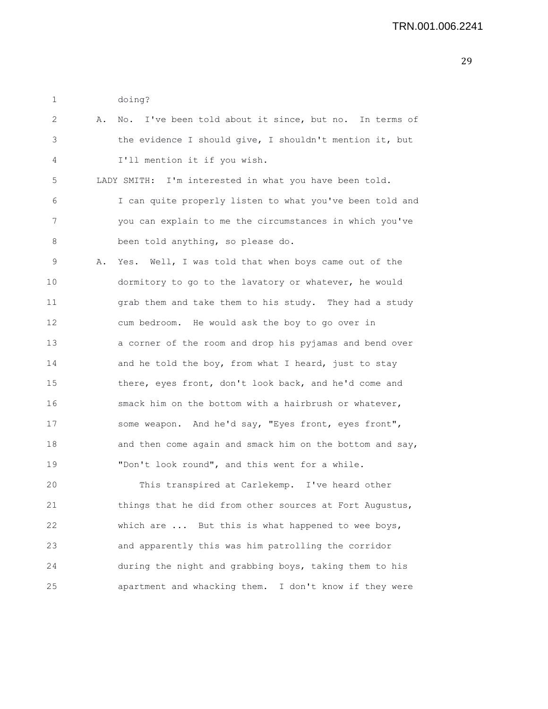1 doing?

| 2  | Α. | I've been told about it since, but no. In terms of<br>No. |
|----|----|-----------------------------------------------------------|
| 3  |    | the evidence I should give, I shouldn't mention it, but   |
| 4  |    | I'll mention it if you wish.                              |
| 5  |    | I'm interested in what you have been told.<br>LADY SMITH: |
| 6  |    | I can quite properly listen to what you've been told and  |
| 7  |    | you can explain to me the circumstances in which you've   |
| 8  |    | been told anything, so please do.                         |
| 9  | Α. | Yes. Well, I was told that when boys came out of the      |
| 10 |    | dormitory to go to the lavatory or whatever, he would     |
| 11 |    | grab them and take them to his study. They had a study    |
| 12 |    | cum bedroom. He would ask the boy to go over in           |
| 13 |    | a corner of the room and drop his pyjamas and bend over   |
| 14 |    | and he told the boy, from what I heard, just to stay      |
| 15 |    | there, eyes front, don't look back, and he'd come and     |
| 16 |    | smack him on the bottom with a hairbrush or whatever,     |
| 17 |    | some weapon. And he'd say, "Eyes front, eyes front",      |
| 18 |    | and then come again and smack him on the bottom and say,  |
| 19 |    | "Don't look round", and this went for a while.            |
| 20 |    | This transpired at Carlekemp. I've heard other            |
| 21 |    | things that he did from other sources at Fort Augustus,   |
| 22 |    | which are  But this is what happened to wee boys,         |
| 23 |    | and apparently this was him patrolling the corridor       |
| 24 |    | during the night and grabbing boys, taking them to his    |
| 25 |    | apartment and whacking them. I don't know if they were    |
|    |    |                                                           |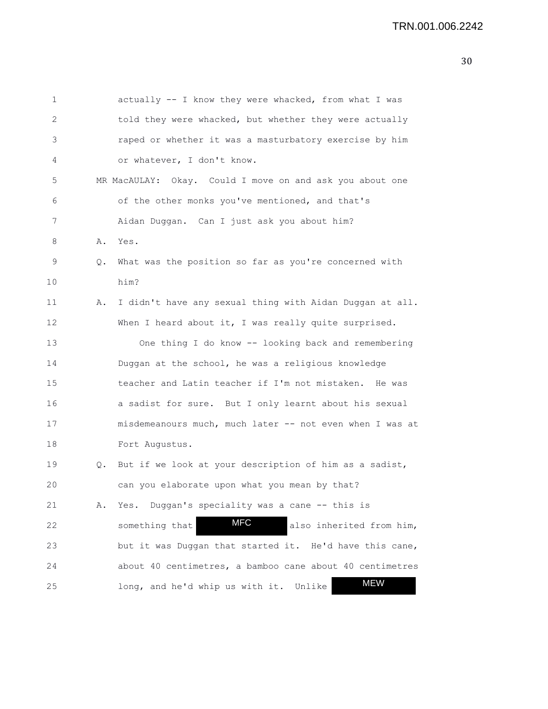| 1  |    | actually -- I know they were whacked, from what I was    |
|----|----|----------------------------------------------------------|
| 2  |    | told they were whacked, but whether they were actually   |
| 3  |    | raped or whether it was a masturbatory exercise by him   |
| 4  |    | or whatever, I don't know.                               |
| 5  |    | MR MacAULAY: Okay. Could I move on and ask you about one |
| 6  |    | of the other monks you've mentioned, and that's          |
| 7  |    | Aidan Duggan. Can I just ask you about him?              |
| 8  | Α. | Yes.                                                     |
| 9  | Q. | What was the position so far as you're concerned with    |
| 10 |    | him?                                                     |
| 11 | Α. | I didn't have any sexual thing with Aidan Duggan at all. |
| 12 |    | When I heard about it, I was really quite surprised.     |
| 13 |    | One thing I do know -- looking back and remembering      |
| 14 |    | Duggan at the school, he was a religious knowledge       |
| 15 |    | teacher and Latin teacher if I'm not mistaken. He was    |
| 16 |    | a sadist for sure. But I only learnt about his sexual    |
| 17 |    | misdemeanours much, much later -- not even when I was at |
| 18 |    | Fort Augustus.                                           |
| 19 | Q. | But if we look at your description of him as a sadist,   |
| 20 |    | can you elaborate upon what you mean by that?            |
| 21 | Α. | Yes. Duggan's speciality was a cane -- this is           |
| 22 |    | <b>MFC</b><br>something that<br>also inherited from him, |
| 23 |    | but it was Duggan that started it. He'd have this cane,  |
| 24 |    | about 40 centimetres, a bamboo cane about 40 centimetres |
| 25 |    | <b>MEW</b><br>long, and he'd whip us with it.<br>Unlike  |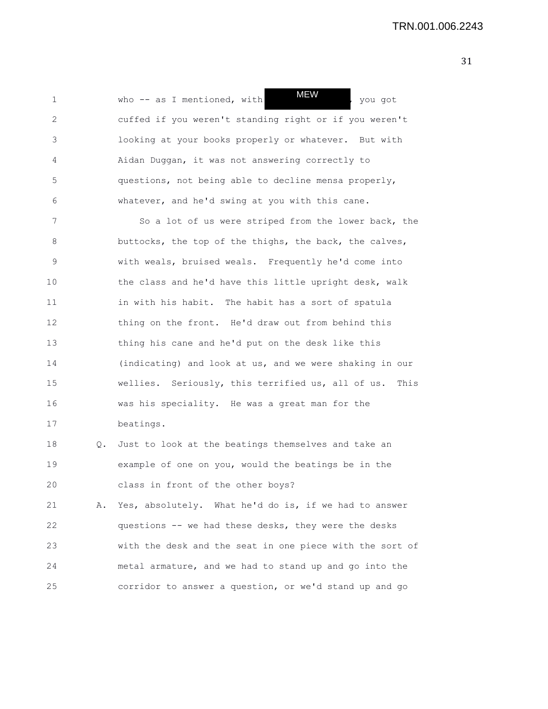1 who -- as I mentioned, with  $M=W$ , you got 2 cuffed if you weren't standing right or if you weren't 3 looking at your books properly or whatever. But with 4 Aidan Duggan, it was not answering correctly to 5 questions, not being able to decline mensa properly, 6 whatever, and he'd swing at you with this cane. MEW

7 So a lot of us were striped from the lower back, the 8 buttocks, the top of the thighs, the back, the calves, 9 with weals, bruised weals. Frequently he'd come into 10 the class and he'd have this little upright desk, walk 11 in with his habit. The habit has a sort of spatula 12 thing on the front. He'd draw out from behind this 13 thing his cane and he'd put on the desk like this 14 (indicating) and look at us, and we were shaking in our 15 wellies. Seriously, this terrified us, all of us. This 16 was his speciality. He was a great man for the 17 beatings.

18 Q. Just to look at the beatings themselves and take an 19 example of one on you, would the beatings be in the 20 class in front of the other boys?

21 A. Yes, absolutely. What he'd do is, if we had to answer 22 questions -- we had these desks, they were the desks 23 with the desk and the seat in one piece with the sort of 24 metal armature, and we had to stand up and go into the 25 corridor to answer a question, or we'd stand up and go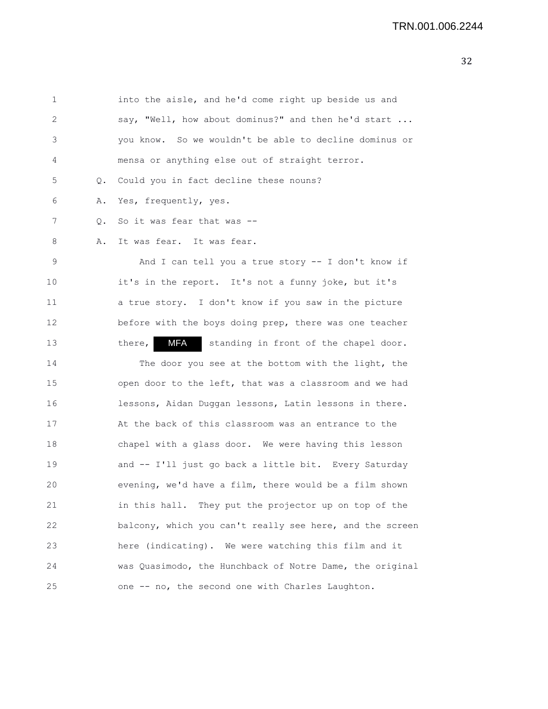| 1  |       | into the aisle, and he'd come right up beside us and          |
|----|-------|---------------------------------------------------------------|
| 2  |       | say, "Well, how about dominus?" and then he'd start           |
| 3  |       | you know. So we wouldn't be able to decline dominus or        |
| 4  |       | mensa or anything else out of straight terror.                |
| 5  | $Q$ . | Could you in fact decline these nouns?                        |
| 6  | Α.    | Yes, frequently, yes.                                         |
| 7  | Q.    | So it was fear that was --                                    |
| 8  | Α.    | It was fear. It was fear.                                     |
| 9  |       | And I can tell you a true story $-$ I don't know if           |
| 10 |       | it's in the report. It's not a funny joke, but it's           |
| 11 |       | a true story. I don't know if you saw in the picture          |
| 12 |       | before with the boys doing prep, there was one teacher        |
| 13 |       | <b>MFA</b><br>there,<br>standing in front of the chapel door. |
| 14 |       | The door you see at the bottom with the light, the            |
| 15 |       | open door to the left, that was a classroom and we had        |
| 16 |       | lessons, Aidan Duggan lessons, Latin lessons in there.        |
| 17 |       | At the back of this classroom was an entrance to the          |
| 18 |       | chapel with a glass door. We were having this lesson          |
| 19 |       | and -- I'll just go back a little bit. Every Saturday         |
| 20 |       | evening, we'd have a film, there would be a film shown        |
| 21 |       | in this hall. They put the projector up on top of the         |
| 22 |       | balcony, which you can't really see here, and the screen      |
| 23 |       | here (indicating). We were watching this film and it          |
| 24 |       | was Quasimodo, the Hunchback of Notre Dame, the original      |
| 25 |       | one -- no, the second one with Charles Laughton.              |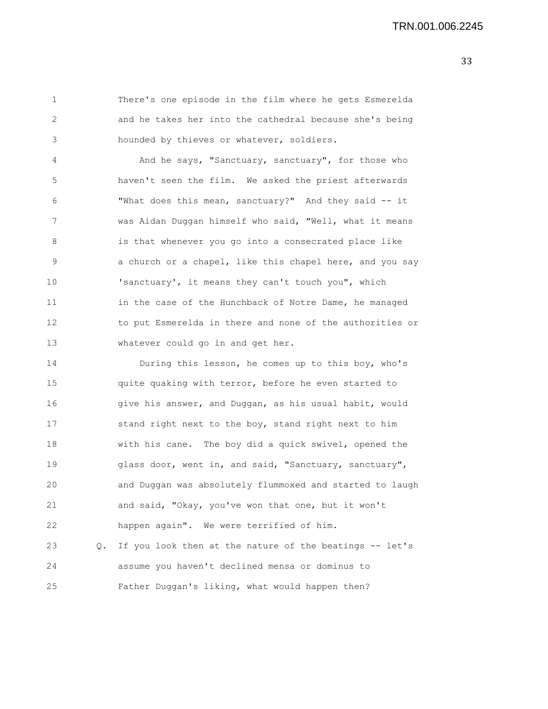1 There's one episode in the film where he gets Esmerelda 2 and he takes her into the cathedral because she's being 3 hounded by thieves or whatever, soldiers.

4 And he says, "Sanctuary, sanctuary", for those who 5 haven't seen the film. We asked the priest afterwards 6 "What does this mean, sanctuary?" And they said -- it 7 was Aidan Duggan himself who said, "Well, what it means 8 is that whenever you go into a consecrated place like 9 3 3 a church or a chapel, like this chapel here, and you say 10 'sanctuary', it means they can't touch you", which 11 in the case of the Hunchback of Notre Dame, he managed 12 to put Esmerelda in there and none of the authorities or 13 whatever could go in and get her.

14 During this lesson, he comes up to this boy, who's 15 quite quaking with terror, before he even started to 16 give his answer, and Duggan, as his usual habit, would 17 stand right next to the boy, stand right next to him 18 with his cane. The boy did a quick swivel, opened the 19 glass door, went in, and said, "Sanctuary, sanctuary", 20 and Duggan was absolutely flummoxed and started to laugh 21 and said, "Okay, you've won that one, but it won't 22 happen again". We were terrified of him. 23 Q. If you look then at the nature of the beatings -- let's 24 assume you haven't declined mensa or dominus to 25 Father Duggan's liking, what would happen then?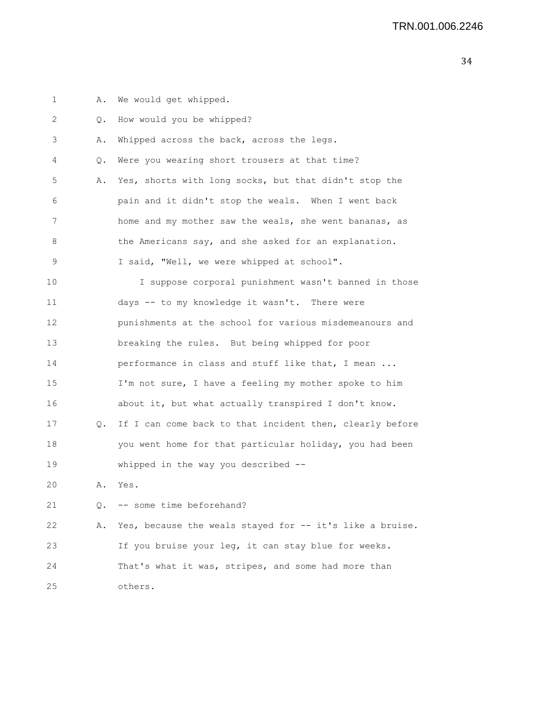1 A. We would get whipped. 2 Q. How would you be whipped? 3 A. Whipped across the back, across the legs. 4 Q. Were you wearing short trousers at that time? 5 A. Yes, shorts with long socks, but that didn't stop the 6 pain and it didn't stop the weals. When I went back 7 home and my mother saw the weals, she went bananas, as 8 the Americans say, and she asked for an explanation. 9 I said, "Well, we were whipped at school". 10 I suppose corporal punishment wasn't banned in those 11 days -- to my knowledge it wasn't. There were 12 punishments at the school for various misdemeanours and 13 breaking the rules. But being whipped for poor 14 **performance in class and stuff like that, I mean ...** 15 I'm not sure, I have a feeling my mother spoke to him 16 about it, but what actually transpired I don't know. 17 Q. If I can come back to that incident then, clearly before 18 you went home for that particular holiday, you had been 19 whipped in the way you described -- 20 A. Yes. 21 O. -- some time beforehand? 22 A. Yes, because the weals stayed for -- it's like a bruise. 23 If you bruise your leg, it can stay blue for weeks. 24 That's what it was, stripes, and some had more than 25 others.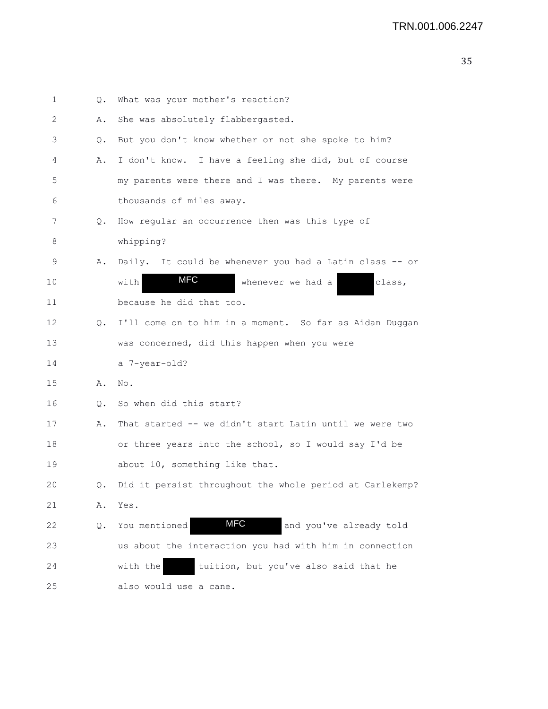| 1                 | Q.        | What was your mother's reaction?                         |
|-------------------|-----------|----------------------------------------------------------|
| 2                 | Α.        | She was absolutely flabbergasted.                        |
| 3                 | О.        | But you don't know whether or not she spoke to him?      |
| 4                 | Α.        | I don't know. I have a feeling she did, but of course    |
| 5                 |           | my parents were there and I was there. My parents were   |
| 6                 |           | thousands of miles away.                                 |
| 7                 | Q.        | How regular an occurrence then was this type of          |
| 8                 |           | whipping?                                                |
| 9                 | Α.        | Daily. It could be whenever you had a Latin class -- or  |
| 10                |           | <b>MFC</b><br>with<br>whenever we had a<br>class,        |
| 11                |           | because he did that too.                                 |
| $12 \overline{ }$ | $\circ$ . | I'll come on to him in a moment. So far as Aidan Duggan  |
| 13                |           | was concerned, did this happen when you were             |
| 14                |           | a 7-year-old?                                            |
| 15                | Α.        | No.                                                      |
| 16                | Q.        | So when did this start?                                  |
| 17                | Α.        | That started -- we didn't start Latin until we were two  |
| 18                |           | or three years into the school, so I would say I'd be    |
| 19                |           | about 10, something like that.                           |
| 20                | Q.        | Did it persist throughout the whole period at Carlekemp? |
| 21                | Α.        | Yes.                                                     |
| 22                | Q.        | <b>MFC</b><br>and you've already told<br>You mentioned   |
| 23                |           | us about the interaction you had with him in connection  |
| 24                |           | tuition, but you've also said that he<br>with the        |
| 25                |           | also would use a cane.                                   |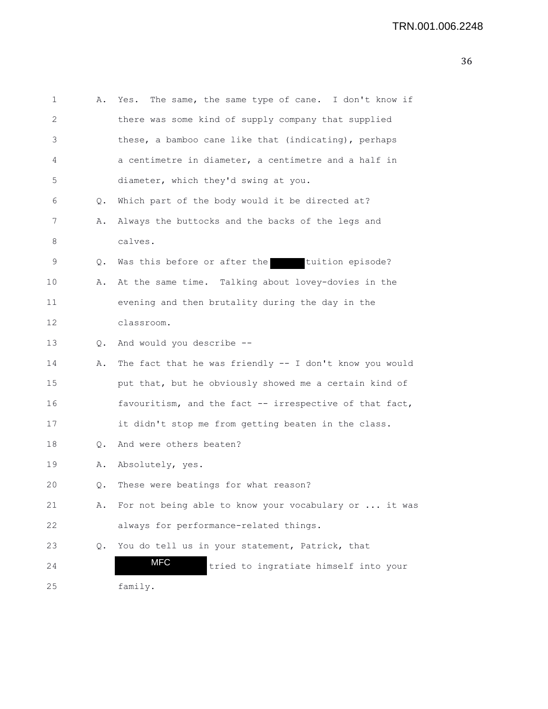```
1 A. Yes. The same, the same type of cane. I don't know if
2 there was some kind of supply company that supplied
3 these, a bamboo cane like that (indicating), perhaps
4 a centimetre in diameter, a centimetre and a half in
5 diameter, which they'd swing at you.
6 Q. Which part of the body would it be directed at?
7 A. Always the buttocks and the backs of the legs and
8 calves.
9 Q. Was this before or after the tuition episode?
10 A. At the same time. Talking about lovey-dovies in the
11 evening and then brutality during the day in the
12 classroom.
13 Q. And would you describe --
14 A. The fact that he was friendly -- I don't know you would
15 put that, but he obviously showed me a certain kind of
16 favouritism, and the fact -- irrespective of that fact,
17 it didn't stop me from getting beaten in the class.
18 Q. And were others beaten?
19 A. Absolutely, yes.
20 Q. These were beatings for what reason?
21 A. For not being able to know your vocabulary or ... it was
22 always for performance-related things.
23 Q. You do tell us in your statement, Patrick, that
24 MFC tried to ingratiate himself into your
25 family.
                MFC
```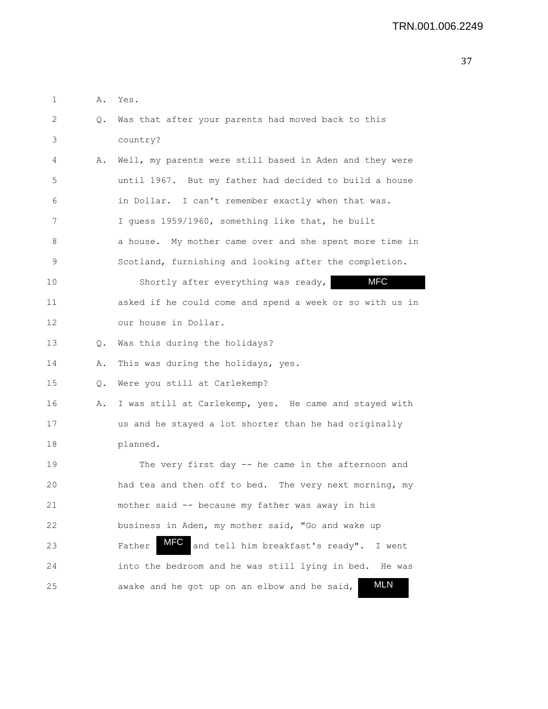| 1  | Α. | Yes.                                                       |
|----|----|------------------------------------------------------------|
| 2  | Q. | Was that after your parents had moved back to this         |
| 3  |    | country?                                                   |
| 4  | Α. | Well, my parents were still based in Aden and they were    |
| 5  |    | until 1967. But my father had decided to build a house     |
| 6  |    | in Dollar. I can't remember exactly when that was.         |
| 7  |    | I guess 1959/1960, something like that, he built           |
| 8  |    | a house. My mother came over and she spent more time in    |
| 9  |    | Scotland, furnishing and looking after the completion.     |
| 10 |    | <b>MFC</b><br>Shortly after everything was ready,          |
| 11 |    | asked if he could come and spend a week or so with us in   |
| 12 |    | our house in Dollar.                                       |
| 13 | Q. | Was this during the holidays?                              |
| 14 | Α. | This was during the holidays, yes.                         |
| 15 | Q. | Were you still at Carlekemp?                               |
| 16 | Α. | I was still at Carlekemp, yes. He came and stayed with     |
| 17 |    | us and he stayed a lot shorter than he had originally      |
| 18 |    | planned.                                                   |
| 19 |    | The very first day -- he came in the afternoon and         |
| 20 |    | had tea and then off to bed.<br>The very next morning, my  |
| 21 |    | mother said -- because my father was away in his           |
| 22 |    | business in Aden, my mother said, "Go and wake up          |
| 23 |    | MFC<br>and tell him breakfast's ready". I went<br>Father   |
| 24 |    | into the bedroom and he was still lying in bed. He was     |
| 25 |    | <b>MLN</b><br>awake and he got up on an elbow and he said, |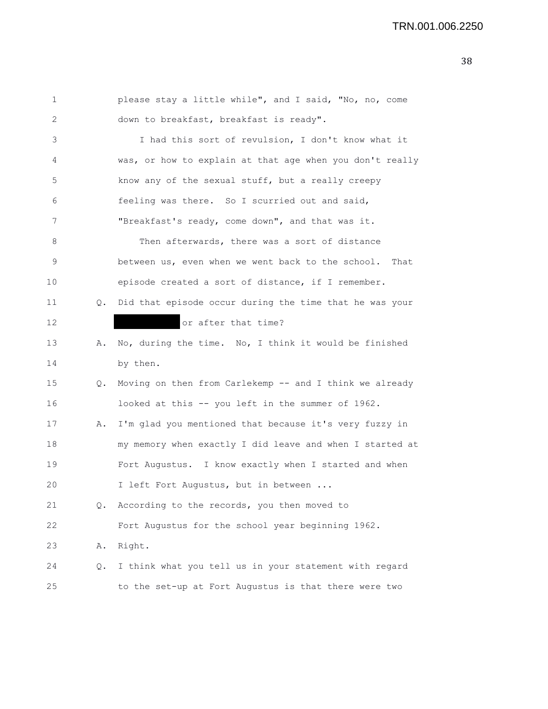## TRN.001.006.2250

| 1  |    | please stay a little while", and I said, "No, no, come    |
|----|----|-----------------------------------------------------------|
| 2  |    | down to breakfast, breakfast is ready".                   |
| 3  |    | I had this sort of revulsion, I don't know what it        |
| 4  |    | was, or how to explain at that age when you don't really  |
| 5  |    | know any of the sexual stuff, but a really creepy         |
| 6  |    | feeling was there. So I scurried out and said,            |
| 7  |    | "Breakfast's ready, come down", and that was it.          |
| 8  |    | Then afterwards, there was a sort of distance             |
| 9  |    | between us, even when we went back to the school.<br>That |
| 10 |    | episode created a sort of distance, if I remember.        |
| 11 | Q. | Did that episode occur during the time that he was your   |
| 12 |    | or after that time?                                       |
| 13 | Α. | No, during the time. No, I think it would be finished     |
| 14 |    | by then.                                                  |
| 15 | Q. | Moving on then from Carlekemp -- and I think we already   |
| 16 |    | looked at this -- you left in the summer of 1962.         |
| 17 | Α. | I'm glad you mentioned that because it's very fuzzy in    |
| 18 |    | my memory when exactly I did leave and when I started at  |
| 19 |    | Fort Augustus. I know exactly when I started and when     |
| 20 |    | I left Fort Augustus, but in between                      |
| 21 | Q. | According to the records, you then moved to               |
| 22 |    | Fort Augustus for the school year beginning 1962.         |
| 23 | Α. | Right.                                                    |
| 24 | Q. | I think what you tell us in your statement with regard    |
| 25 |    | to the set-up at Fort Augustus is that there were two     |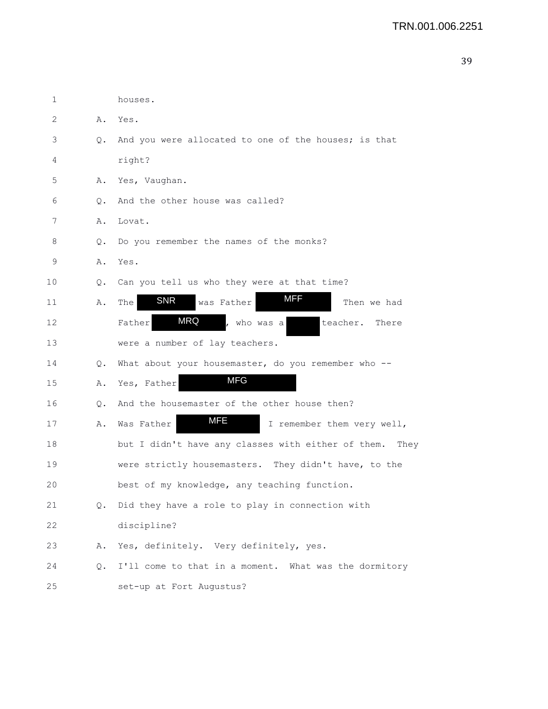| $\mathbf 1$ |    | houses.                                                    |
|-------------|----|------------------------------------------------------------|
| 2           | Α. | Yes.                                                       |
| 3           | Q. | And you were allocated to one of the houses; is that       |
| 4           |    | right?                                                     |
| 5           | Α. | Yes, Vaughan.                                              |
| 6           | Q. | And the other house was called?                            |
| 7           | Α. | Lovat.                                                     |
| 8           | Q. | Do you remember the names of the monks?                    |
| 9           | Α. | Yes.                                                       |
| 10          | О. | Can you tell us who they were at that time?                |
| 11          | Α. | MFF<br><b>SNR</b><br>was Father<br>Then we had<br>The      |
| 12          |    | <b>MRQ</b><br>Father<br>who was a<br>teacher.<br>There     |
| 13          |    | were a number of lay teachers.                             |
| 14          | Q. | What about your housemaster, do you remember who --        |
| 15          | Α. | <b>MFG</b><br>Yes, Father                                  |
| 16          | Q. | And the housemaster of the other house then?               |
| 17          | Α. | <b>MFE</b><br>I remember them very well,<br>Was Father     |
| 18          |    | but I didn't have any classes with either of them.<br>They |
| 19          |    | were strictly housemasters. They didn't have, to the       |
| 20          |    | best of my knowledge, any teaching function.               |
| 21          | Q. | Did they have a role to play in connection with            |
| 22          |    | discipline?                                                |
| 23          | Α. | Yes, definitely. Very definitely, yes.                     |
| 24          | Q. | I'll come to that in a moment. What was the dormitory      |
| 25          |    | set-up at Fort Augustus?                                   |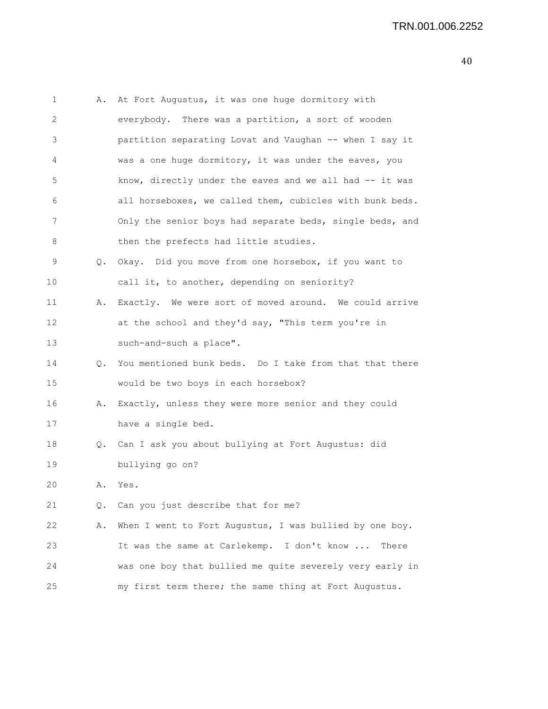| 1  | Α. | At Fort Augustus, it was one huge dormitory with         |
|----|----|----------------------------------------------------------|
| 2  |    | everybody. There was a partition, a sort of wooden       |
| 3  |    | partition separating Lovat and Vaughan -- when I say it  |
| 4  |    | was a one huge dormitory, it was under the eaves, you    |
| 5  |    | know, directly under the eaves and we all had -- it was  |
| 6  |    | all horseboxes, we called them, cubicles with bunk beds. |
| 7  |    | Only the senior boys had separate beds, single beds, and |
| 8  |    | then the prefects had little studies.                    |
| 9  | Q. | Okay. Did you move from one horsebox, if you want to     |
| 10 |    | call it, to another, depending on seniority?             |
| 11 | Α. | Exactly. We were sort of moved around. We could arrive   |
| 12 |    | at the school and they'd say, "This term you're in       |
| 13 |    | such-and-such a place".                                  |
| 14 | Q. | You mentioned bunk beds. Do I take from that that there  |
| 15 |    | would be two boys in each horsebox?                      |
| 16 | Α. | Exactly, unless they were more senior and they could     |
| 17 |    | have a single bed.                                       |
| 18 |    | Q. Can I ask you about bullying at Fort Augustus: did    |
| 19 |    | bullying go on?                                          |
| 20 | Α. | Yes.                                                     |
| 21 | Q. | Can you just describe that for me?                       |
| 22 | Α. | When I went to Fort Augustus, I was bullied by one boy.  |
| 23 |    | It was the same at Carlekemp. I don't know<br>There      |
| 24 |    | was one boy that bullied me quite severely very early in |
| 25 |    | my first term there; the same thing at Fort Augustus.    |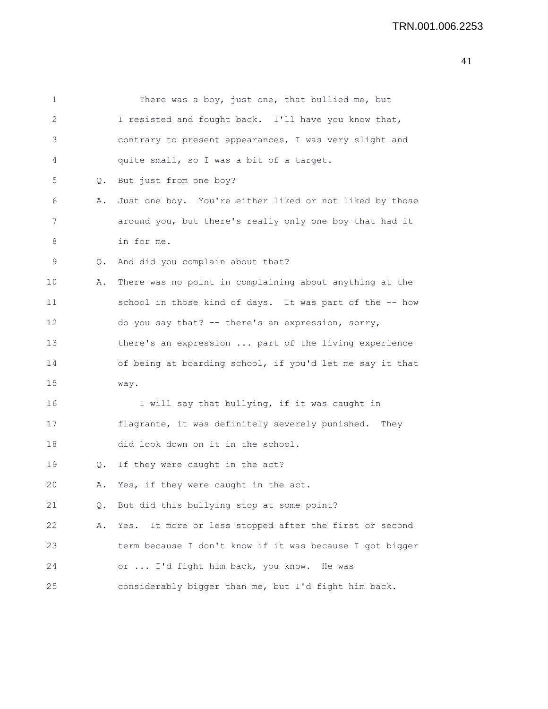| 1  |    | There was a boy, just one, that bullied me, but           |
|----|----|-----------------------------------------------------------|
| 2  |    | I resisted and fought back. I'll have you know that,      |
| 3  |    | contrary to present appearances, I was very slight and    |
| 4  |    | quite small, so I was a bit of a target.                  |
| 5  | Q. | But just from one boy?                                    |
| 6  | Α. | Just one boy. You're either liked or not liked by those   |
| 7  |    | around you, but there's really only one boy that had it   |
| 8  |    | in for me.                                                |
| 9  | Q. | And did you complain about that?                          |
| 10 | Α. | There was no point in complaining about anything at the   |
| 11 |    | school in those kind of days. It was part of the -- how   |
| 12 |    | do you say that? -- there's an expression, sorry,         |
| 13 |    | there's an expression  part of the living experience      |
| 14 |    | of being at boarding school, if you'd let me say it that  |
| 15 |    | way.                                                      |
| 16 |    | I will say that bullying, if it was caught in             |
| 17 |    | flagrante, it was definitely severely punished. They      |
| 18 |    | did look down on it in the school.                        |
| 19 | Q. | If they were caught in the act?                           |
| 20 | Α. | Yes, if they were caught in the act.                      |
| 21 | Q. | But did this bullying stop at some point?                 |
| 22 | Α. | It more or less stopped after the first or second<br>Yes. |
| 23 |    | term because I don't know if it was because I got bigger  |
| 24 |    | or  I'd fight him back, you know.<br>He was               |
| 25 |    | considerably bigger than me, but I'd fight him back.      |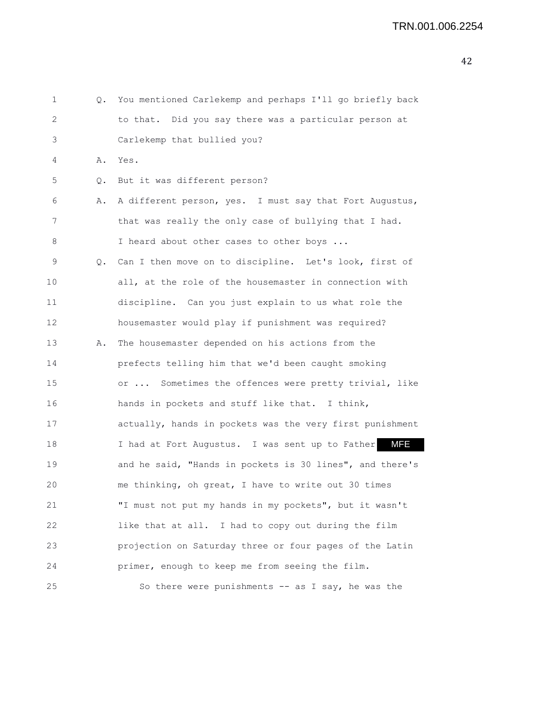| 1  | $\circ$ . | You mentioned Carlekemp and perhaps I'll go briefly back |
|----|-----------|----------------------------------------------------------|
| 2  |           | to that. Did you say there was a particular person at    |
| 3  |           | Carlekemp that bullied you?                              |
| 4  | Α.        | Yes.                                                     |
| 5  | Q.        | But it was different person?                             |
| 6  | Α.        | A different person, yes. I must say that Fort Augustus,  |
| 7  |           | that was really the only case of bullying that I had.    |
| 8  |           | I heard about other cases to other boys                  |
| 9  | Q.        | Can I then move on to discipline. Let's look, first of   |
| 10 |           | all, at the role of the housemaster in connection with   |
| 11 |           | discipline. Can you just explain to us what role the     |
| 12 |           | housemaster would play if punishment was required?       |
| 13 | Α.        | The housemaster depended on his actions from the         |
| 14 |           | prefects telling him that we'd been caught smoking       |
| 15 |           | or  Sometimes the offences were pretty trivial, like     |
| 16 |           | hands in pockets and stuff like that. I think,           |
| 17 |           | actually, hands in pockets was the very first punishment |
| 18 |           | MFE<br>I had at Fort Augustus. I was sent up to Father   |
| 19 |           | and he said, "Hands in pockets is 30 lines", and there's |
| 20 |           | me thinking, oh great, I have to write out 30 times      |
| 21 |           | "I must not put my hands in my pockets", but it wasn't   |
| 22 |           | like that at all. I had to copy out during the film      |
| 23 |           | projection on Saturday three or four pages of the Latin  |
| 24 |           | primer, enough to keep me from seeing the film.          |
| 25 |           | So there were punishments $--$ as I say, he was the      |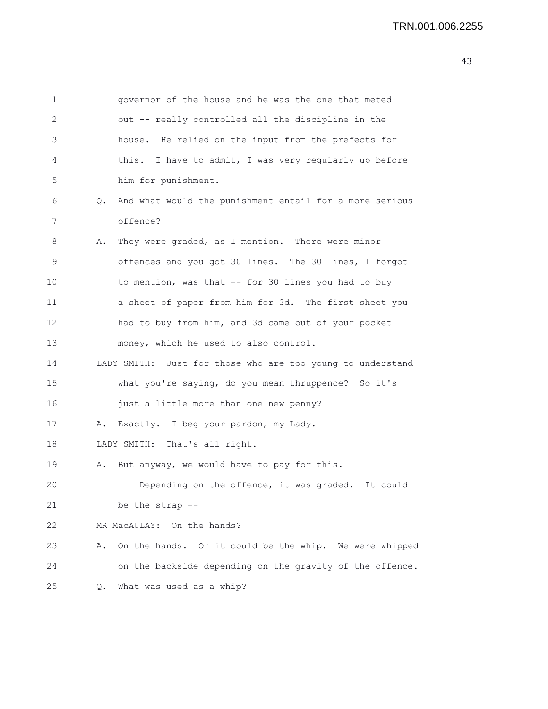1 governor of the house and he was the one that meted 2 out -- really controlled all the discipline in the 3 house. He relied on the input from the prefects for 4 this. I have to admit, I was very regularly up before 5 him for punishment. 6 Q. And what would the punishment entail for a more serious 7 offence? 8 A. They were graded, as I mention. There were minor 9 offences and you got 30 lines. The 30 lines, I forgot 10 to mention, was that -- for 30 lines you had to buy 11 a sheet of paper from him for 3d. The first sheet you 12 had to buy from him, and 3d came out of your pocket 13 money, which he used to also control. 14 LADY SMITH: Just for those who are too young to understand 15 what you're saying, do you mean thruppence? So it's 16 just a little more than one new penny? 17 A. Exactly. I beg your pardon, my Lady. 18 LADY SMITH: That's all right. 19 A. But anyway, we would have to pay for this. 20 Depending on the offence, it was graded. It could 21 be the strap -- 22 MR MacAULAY: On the hands? 23 A. On the hands. Or it could be the whip. We were whipped 24 on the backside depending on the gravity of the offence. 25 Q. What was used as a whip?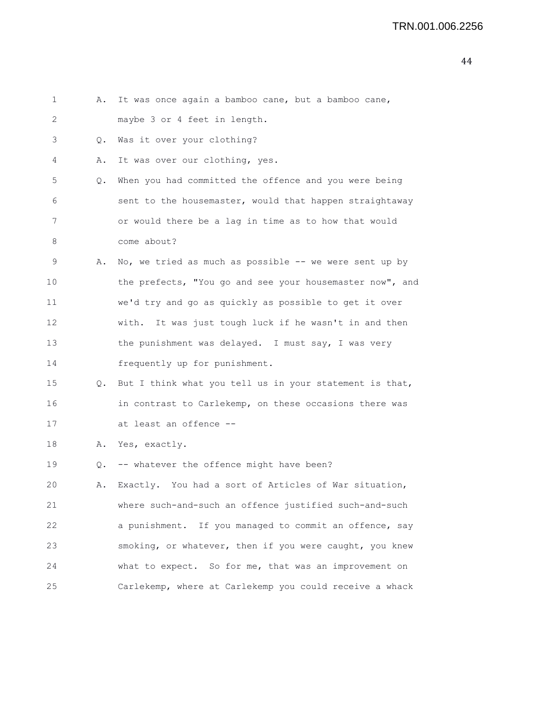| 1  | Α.    | It was once again a bamboo cane, but a bamboo cane,      |
|----|-------|----------------------------------------------------------|
| 2  |       | maybe 3 or 4 feet in length.                             |
| 3  | Q.    | Was it over your clothing?                               |
| 4  | Α.    | It was over our clothing, yes.                           |
| 5  | $Q$ . | When you had committed the offence and you were being    |
| 6  |       | sent to the housemaster, would that happen straightaway  |
| 7  |       | or would there be a lag in time as to how that would     |
| 8  |       | come about?                                              |
| 9  | Α.    | No, we tried as much as possible -- we were sent up by   |
| 10 |       | the prefects, "You go and see your housemaster now", and |
| 11 |       | we'd try and go as quickly as possible to get it over    |
| 12 |       | with. It was just tough luck if he wasn't in and then    |
| 13 |       | the punishment was delayed. I must say, I was very       |
| 14 |       | frequently up for punishment.                            |
| 15 | Q.    | But I think what you tell us in your statement is that,  |
| 16 |       | in contrast to Carlekemp, on these occasions there was   |
| 17 |       | at least an offence --                                   |
| 18 | Α.    | Yes, exactly.                                            |
| 19 | Q.    | -- whatever the offence might have been?                 |
| 20 | Α.    | Exactly. You had a sort of Articles of War situation,    |
| 21 |       | where such-and-such an offence justified such-and-such   |
| 22 |       | a punishment. If you managed to commit an offence, say   |
| 23 |       | smoking, or whatever, then if you were caught, you knew  |
| 24 |       | what to expect. So for me, that was an improvement on    |
| 25 |       | Carlekemp, where at Carlekemp you could receive a whack  |
|    |       |                                                          |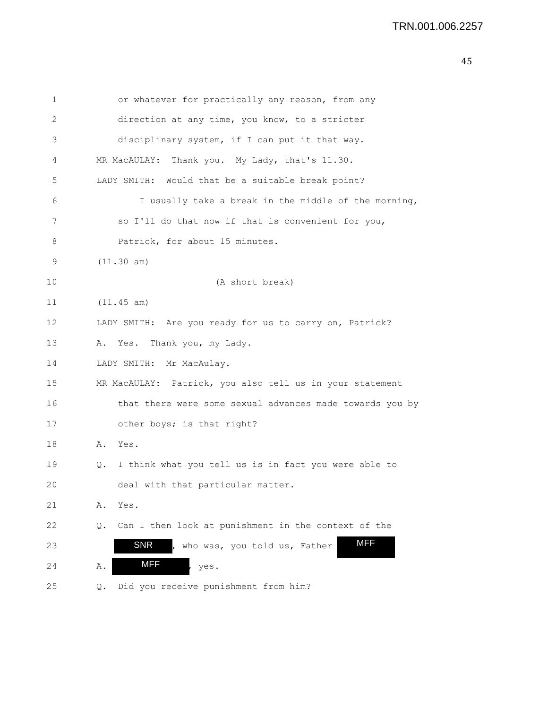| 1  | or whatever for practically any reason, from any           |
|----|------------------------------------------------------------|
| 2  | direction at any time, you know, to a stricter             |
| 3  | disciplinary system, if I can put it that way.             |
| 4  | MR MacAULAY: Thank you. My Lady, that's 11.30.             |
| 5  | LADY SMITH: Would that be a suitable break point?          |
| 6  | I usually take a break in the middle of the morning,       |
| 7  | so I'll do that now if that is convenient for you,         |
| 8  | Patrick, for about 15 minutes.                             |
| 9  | (11.30 am)                                                 |
| 10 | (A short break)                                            |
| 11 | (11.45 am)                                                 |
| 12 | LADY SMITH: Are you ready for us to carry on, Patrick?     |
| 13 | Yes. Thank you, my Lady.<br>Α.                             |
| 14 | LADY SMITH: Mr MacAulay.                                   |
| 15 | MR MacAULAY: Patrick, you also tell us in your statement   |
| 16 | that there were some sexual advances made towards you by   |
| 17 | other boys; is that right?                                 |
| 18 | Yes.<br>Α.                                                 |
| 19 | I think what you tell us is in fact you were able to<br>Q. |
| 20 | deal with that particular matter.                          |
| 21 | Α.<br>Yes.                                                 |
| 22 | Can I then look at punishment in the context of the<br>Q.  |
| 23 | <b>MFF</b><br><b>SNR</b><br>who was, you told us, Father   |
| 24 | <b>MFF</b><br>Α.<br>yes.                                   |
| 25 | Did you receive punishment from him?<br>Q.                 |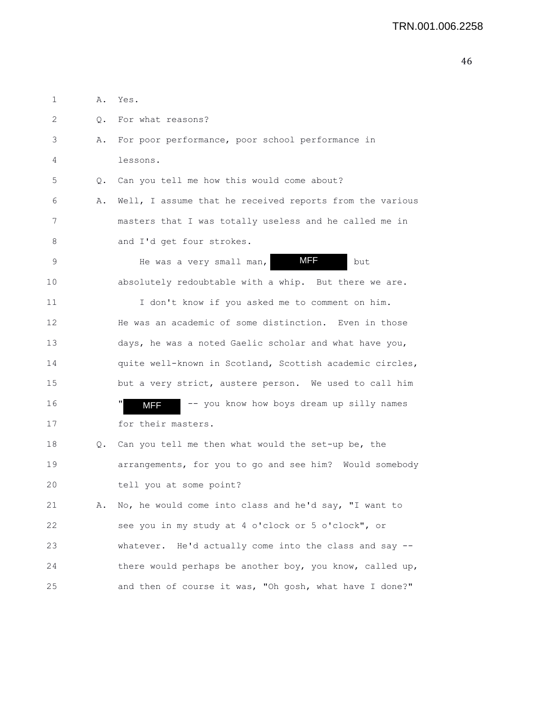1 A. Yes. 2 0. For what reasons? 3 A. For poor performance, poor school performance in 4 lessons. 5 Q. Can you tell me how this would come about? 6 A. Well, I assume that he received reports from the various 7 masters that I was totally useless and he called me in 8 and I'd get four strokes. 9 He was a very small man, **MFF** but 10 absolutely redoubtable with a whip. But there we are. 11 I don't know if you asked me to comment on him. 12 He was an academic of some distinction. Even in those 13 days, he was a noted Gaelic scholar and what have you, 14 quite well-known in Scotland, Scottish academic circles, 15 but a very strict, austere person. We used to call him 16 " **MFF** -- you know how boys dream up silly names 17 for their masters. 18 Q. Can you tell me then what would the set-up be, the 19 arrangements, for you to go and see him? Would somebody 20 tell you at some point? 21 A. No, he would come into class and he'd say, "I want to 22 see you in my study at 4 o'clock or 5 o'clock", or 23 whatever. He'd actually come into the class and say -- 24 there would perhaps be another boy, you know, called up, 25 and then of course it was, "Oh gosh, what have I done?" MFF MFF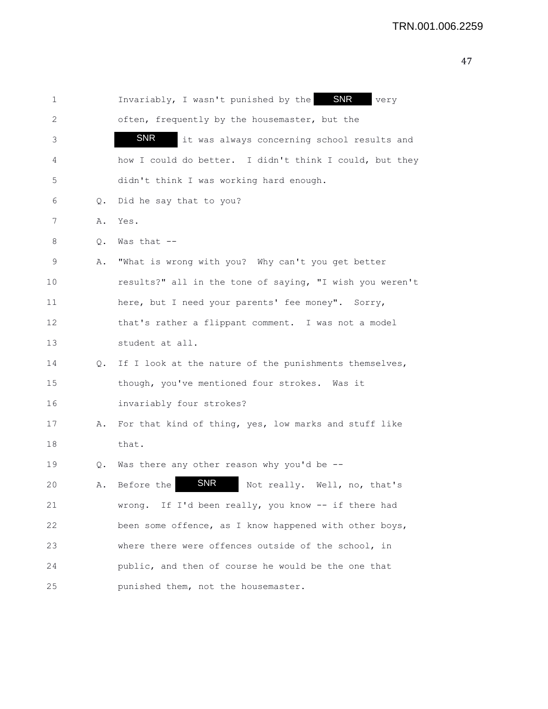| 1  |    | Invariably, I wasn't punished by the SNR<br>very          |
|----|----|-----------------------------------------------------------|
| 2  |    | often, frequently by the housemaster, but the             |
| 3  |    | <b>SNR</b><br>it was always concerning school results and |
| 4  |    | how I could do better. I didn't think I could, but they   |
| 5  |    | didn't think I was working hard enough.                   |
| 6  | Q. | Did he say that to you?                                   |
| 7  | Α. | Yes.                                                      |
| 8  | Q. | Was that $--$                                             |
| 9  | Α. | "What is wrong with you? Why can't you get better         |
| 10 |    | results?" all in the tone of saying, "I wish you weren't  |
| 11 |    | here, but I need your parents' fee money". Sorry,         |
| 12 |    | that's rather a flippant comment. I was not a model       |
| 13 |    | student at all.                                           |
| 14 | Q. | If I look at the nature of the punishments themselves,    |
| 15 |    | though, you've mentioned four strokes. Was it             |
| 16 |    | invariably four strokes?                                  |
| 17 | Α. | For that kind of thing, yes, low marks and stuff like     |
| 18 |    | that.                                                     |
| 19 | Q. | Was there any other reason why you'd be $-$ -             |
| 20 | Α. | <b>SNR</b><br>Before the<br>Not really. Well, no, that's  |
| 21 |    | wrong. If I'd been really, you know -- if there had       |
| 22 |    | been some offence, as I know happened with other boys,    |
| 23 |    | where there were offences outside of the school, in       |
| 24 |    | public, and then of course he would be the one that       |
| 25 |    | punished them, not the housemaster.                       |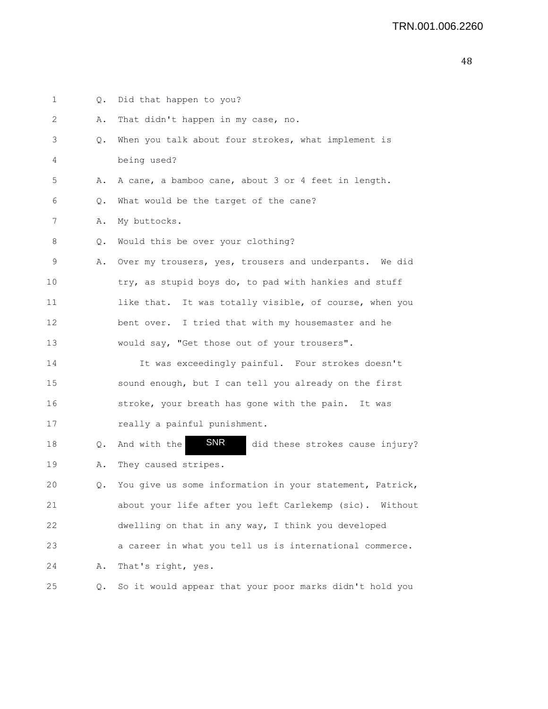| 1  | Q.            | Did that happen to you?                                       |
|----|---------------|---------------------------------------------------------------|
| 2  | Α.            | That didn't happen in my case, no.                            |
| 3  | Q.            | When you talk about four strokes, what implement is           |
| 4  |               | being used?                                                   |
| 5  | Α.            | A cane, a bamboo cane, about 3 or 4 feet in length.           |
| 6  | Q.            | What would be the target of the cane?                         |
| 7  | Α.            | My buttocks.                                                  |
| 8  | Q.            | Would this be over your clothing?                             |
| 9  | Α.            | Over my trousers, yes, trousers and underpants. We did        |
| 10 |               | try, as stupid boys do, to pad with hankies and stuff         |
| 11 |               | like that. It was totally visible, of course, when you        |
| 12 |               | bent over. I tried that with my housemaster and he            |
| 13 |               | would say, "Get those out of your trousers".                  |
| 14 |               | It was exceedingly painful. Four strokes doesn't              |
| 15 |               | sound enough, but I can tell you already on the first         |
| 16 |               | stroke, your breath has gone with the pain. It was            |
| 17 |               | really a painful punishment.                                  |
| 18 | $Q_{\bullet}$ | <b>SNR</b><br>And with the<br>did these strokes cause injury? |
| 19 | Α.            | They caused stripes.                                          |
| 20 | Q.            | You give us some information in your statement, Patrick,      |
| 21 |               | about your life after you left Carlekemp (sic). Without       |
| 22 |               | dwelling on that in any way, I think you developed            |
| 23 |               | a career in what you tell us is international commerce.       |
| 24 | Α.            | That's right, yes.                                            |
| 25 | Q.            | So it would appear that your poor marks didn't hold you       |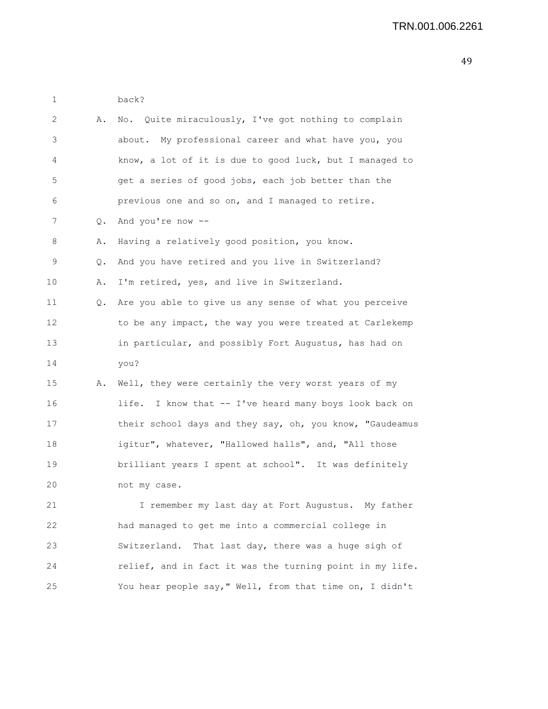1 back?

| 2  | Α.    | No. Quite miraculously, I've got nothing to complain     |
|----|-------|----------------------------------------------------------|
| 3  |       | about. My professional career and what have you, you     |
| 4  |       | know, a lot of it is due to good luck, but I managed to  |
| 5  |       | get a series of good jobs, each job better than the      |
| 6  |       | previous one and so on, and I managed to retire.         |
| 7  | $Q$ . | And you're now --                                        |
| 8  | Α.    | Having a relatively good position, you know.             |
| 9  | Q.    | And you have retired and you live in Switzerland?        |
| 10 | Α.    | I'm retired, yes, and live in Switzerland.               |
| 11 | Q.    | Are you able to give us any sense of what you perceive   |
| 12 |       | to be any impact, the way you were treated at Carlekemp  |
| 13 |       | in particular, and possibly Fort Augustus, has had on    |
| 14 |       | you?                                                     |
| 15 | Α.    | Well, they were certainly the very worst years of my     |
| 16 |       | life. I know that -- I've heard many boys look back on   |
| 17 |       | their school days and they say, oh, you know, "Gaudeamus |
| 18 |       | igitur", whatever, "Hallowed halls", and, "All those     |
| 19 |       | brilliant years I spent at school". It was definitely    |
| 20 |       | not my case.                                             |
| 21 |       | I remember my last day at Fort Augustus. My father       |
| 22 |       | had managed to get me into a commercial college in       |
| 23 |       | That last day, there was a huge sigh of<br>Switzerland.  |
| 24 |       | relief, and in fact it was the turning point in my life. |
| 25 |       | You hear people say," Well, from that time on, I didn't  |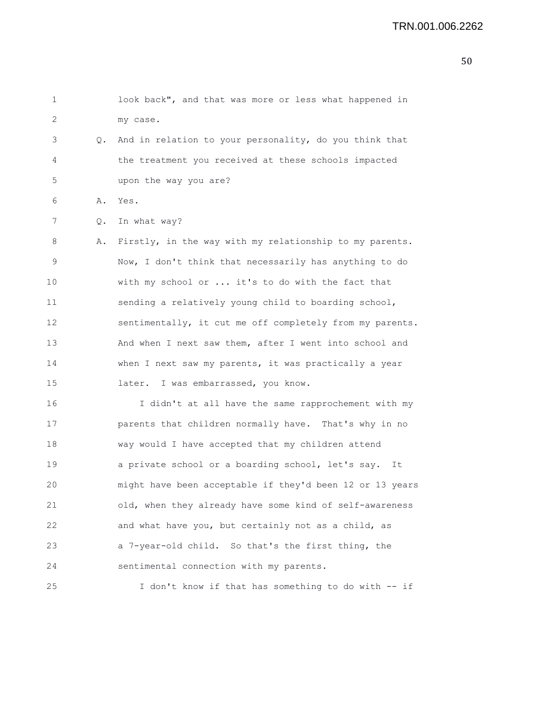| 1  |    | look back", and that was more or less what happened in   |
|----|----|----------------------------------------------------------|
| 2  |    | my case.                                                 |
| 3  | Q. | And in relation to your personality, do you think that   |
| 4  |    | the treatment you received at these schools impacted     |
| 5  |    | upon the way you are?                                    |
| 6  | Α. | Yes.                                                     |
| 7  | Q. | In what way?                                             |
| 8  | Α. | Firstly, in the way with my relationship to my parents.  |
| 9  |    | Now, I don't think that necessarily has anything to do   |
| 10 |    | with my school or  it's to do with the fact that         |
| 11 |    | sending a relatively young child to boarding school,     |
| 12 |    | sentimentally, it cut me off completely from my parents. |
| 13 |    | And when I next saw them, after I went into school and   |
| 14 |    | when I next saw my parents, it was practically a year    |
| 15 |    | later. I was embarrassed, you know.                      |
| 16 |    | I didn't at all have the same rapprochement with my      |
| 17 |    | parents that children normally have. That's why in no    |
| 18 |    | way would I have accepted that my children attend        |
| 19 |    | a private school or a boarding school, let's say.<br>It  |
| 20 |    | might have been acceptable if they'd been 12 or 13 years |
| 21 |    | old, when they already have some kind of self-awareness  |
| 22 |    | and what have you, but certainly not as a child, as      |
| 23 |    | a 7-year-old child. So that's the first thing, the       |
| 24 |    | sentimental connection with my parents.                  |
| 25 |    | I don't know if that has something to do with -- if      |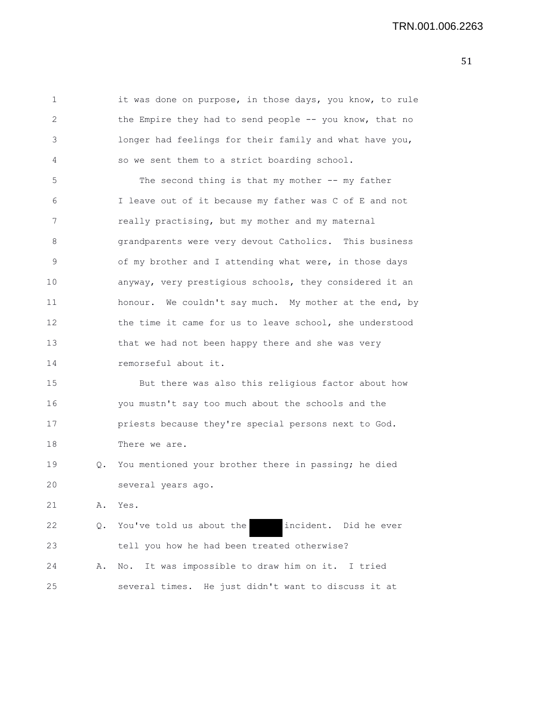1 it was done on purpose, in those days, you know, to rule 2 the Empire they had to send people -- you know, that no 3 longer had feelings for their family and what have you, 4 so we sent them to a strict boarding school. 5 The second thing is that my mother -- my father 6 I leave out of it because my father was C of E and not 7 really practising, but my mother and my maternal 8 grandparents were very devout Catholics. This business 9 of my brother and I attending what were, in those days 10 anyway, very prestigious schools, they considered it an 11 honour. We couldn't say much. My mother at the end, by 12 the time it came for us to leave school, she understood 13 that we had not been happy there and she was very 14 remorseful about it. 15 But there was also this religious factor about how 16 you mustn't say too much about the schools and the 17 priests because they're special persons next to God. 18 There we are. 19 Q. You mentioned your brother there in passing; he died 20 several years ago. 21 A. Yes. 22 Q. You've told us about the incident. Did he ever 23 tell you how he had been treated otherwise?

24 A. No. It was impossible to draw him on it. I tried 25 several times. He just didn't want to discuss it at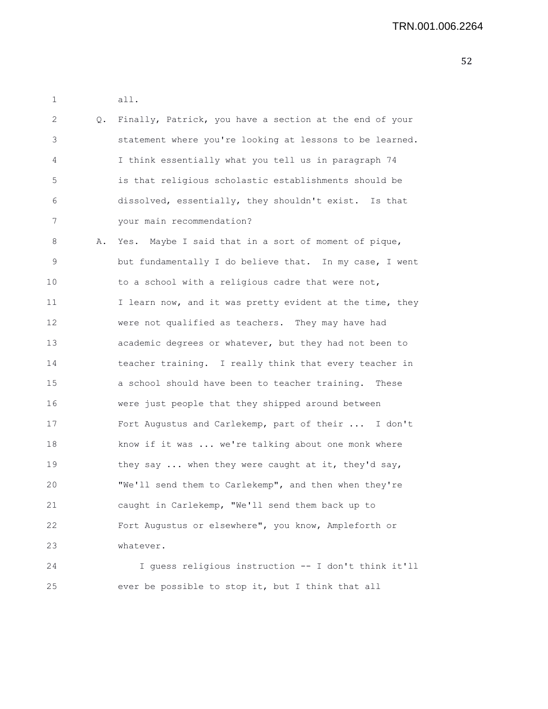|    | all.                                                     |
|----|----------------------------------------------------------|
| Q. | Finally, Patrick, you have a section at the end of your  |
|    | statement where you're looking at lessons to be learned. |
|    | I think essentially what you tell us in paragraph 74     |
|    | is that religious scholastic establishments should be    |
|    | dissolved, essentially, they shouldn't exist. Is that    |
|    | your main recommendation?                                |
| Α. | Yes. Maybe I said that in a sort of moment of pique,     |
|    | but fundamentally I do believe that. In my case, I went  |
|    | to a school with a religious cadre that were not,        |
|    | I learn now, and it was pretty evident at the time, they |
|    | were not qualified as teachers. They may have had        |
|    | academic degrees or whatever, but they had not been to   |
|    | teacher training. I really think that every teacher in   |
|    | a school should have been to teacher training. These     |
|    | were just people that they shipped around between        |
|    | Fort Augustus and Carlekemp, part of their  I don't      |
|    | know if it was  we're talking about one monk where       |
|    | they say  when they were caught at it, they'd say,       |
|    | "We'll send them to Carlekemp", and then when they're    |
|    | caught in Carlekemp, "We'll send them back up to         |
|    | Fort Augustus or elsewhere", you know, Ampleforth or     |
|    | whatever.                                                |
|    | I guess religious instruction -- I don't think it'll     |
|    |                                                          |

25 ever be possible to stop it, but I think that all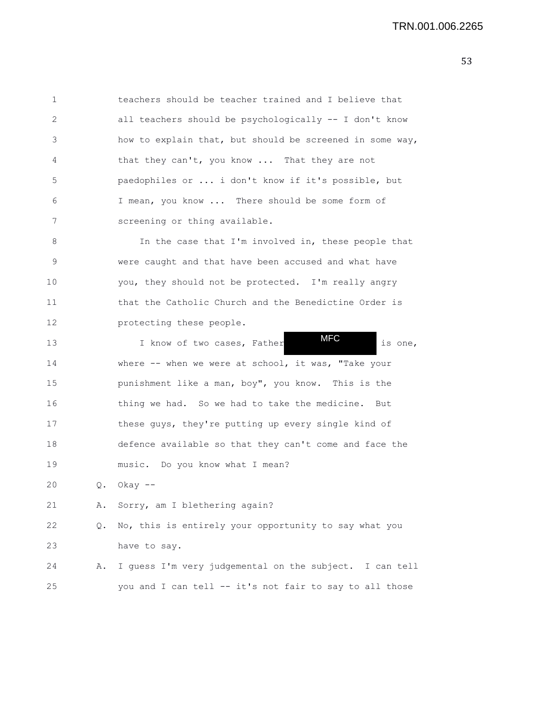| 1  |    | teachers should be teacher trained and I believe that    |
|----|----|----------------------------------------------------------|
| 2  |    | all teachers should be psychologically -- I don't know   |
| 3  |    | how to explain that, but should be screened in some way, |
| 4  |    | that they can't, you know  That they are not             |
| 5  |    | paedophiles or  i don't know if it's possible, but       |
| 6  |    | I mean, you know  There should be some form of           |
| 7  |    | screening or thing available.                            |
| 8  |    | In the case that I'm involved in, these people that      |
| 9  |    | were caught and that have been accused and what have     |
| 10 |    | you, they should not be protected. I'm really angry      |
| 11 |    | that the Catholic Church and the Benedictine Order is    |
| 12 |    | protecting these people.                                 |
| 13 |    | <b>MFC</b><br>I know of two cases, Father<br>is one,     |
| 14 |    | where $--$ when we were at school, it was, "Take your    |
| 15 |    | punishment like a man, boy", you know. This is the       |
| 16 |    | thing we had. So we had to take the medicine. But        |
| 17 |    | these guys, they're putting up every single kind of      |
| 18 |    | defence available so that they can't come and face the   |
| 19 |    | music. Do you know what I mean?                          |
| 20 | Q. | Okay --                                                  |
| 21 | Α. | Sorry, am I blethering again?                            |
| 22 | Q. | No, this is entirely your opportunity to say what you    |
| 23 |    | have to say.                                             |
| 24 | Α. | I guess I'm very judgemental on the subject. I can tell  |
| 25 |    | you and I can tell -- it's not fair to say to all those  |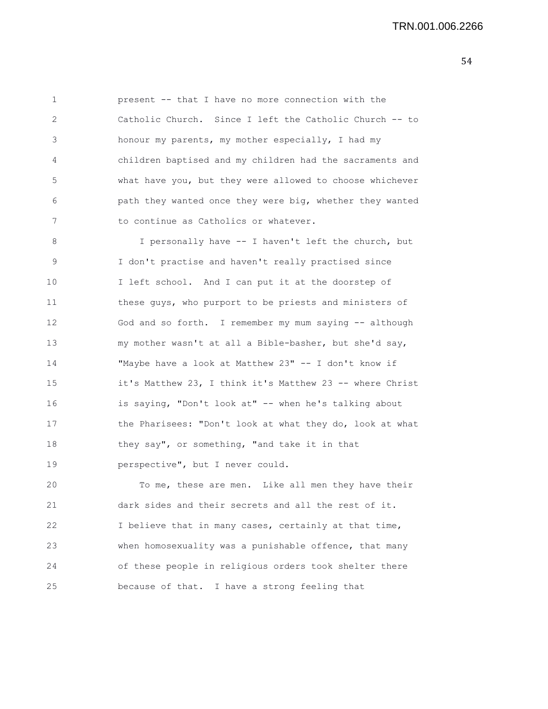1 present -- that I have no more connection with the 2 Catholic Church. Since I left the Catholic Church -- to 3 honour my parents, my mother especially, I had my 4 children baptised and my children had the sacraments and 5 what have you, but they were allowed to choose whichever 6 path they wanted once they were big, whether they wanted 7 to continue as Catholics or whatever.

8 I personally have -- I haven't left the church, but 9 I don't practise and haven't really practised since 10 I left school. And I can put it at the doorstep of 11 these guys, who purport to be priests and ministers of 12 God and so forth. I remember my mum saying -- although 13 my mother wasn't at all a Bible-basher, but she'd say, 14 "Maybe have a look at Matthew 23" -- I don't know if 15 it's Matthew 23, I think it's Matthew 23 -- where Christ 16 is saying, "Don't look at" -- when he's talking about 17 the Pharisees: "Don't look at what they do, look at what 18 they say", or something, "and take it in that 19 perspective", but I never could.

20 To me, these are men. Like all men they have their 21 dark sides and their secrets and all the rest of it. 22 I believe that in many cases, certainly at that time, 23 when homosexuality was a punishable offence, that many 24 of these people in religious orders took shelter there 25 because of that. I have a strong feeling that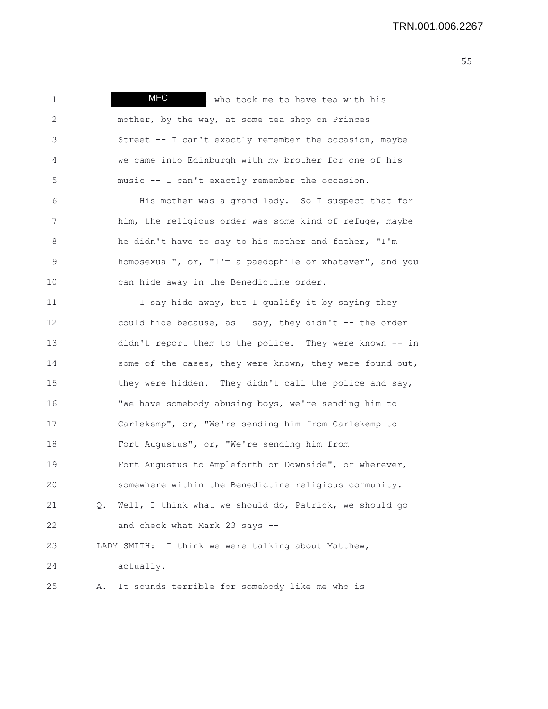| $\mathbf 1$ |    | <b>MFC</b><br>, who took me to have tea with his          |
|-------------|----|-----------------------------------------------------------|
| 2           |    | mother, by the way, at some tea shop on Princes           |
| 3           |    | Street -- I can't exactly remember the occasion, maybe    |
| 4           |    | we came into Edinburgh with my brother for one of his     |
| 5           |    | music -- I can't exactly remember the occasion.           |
| 6           |    | His mother was a grand lady. So I suspect that for        |
| 7           |    | him, the religious order was some kind of refuge, maybe   |
| 8           |    | he didn't have to say to his mother and father, "I'm      |
| 9           |    | homosexual", or, "I'm a paedophile or whatever", and you  |
| 10          |    | can hide away in the Benedictine order.                   |
| 11          |    | I say hide away, but I qualify it by saying they          |
| 12          |    | could hide because, as I say, they didn't -- the order    |
| 13          |    | didn't report them to the police. They were known -- in   |
| 14          |    | some of the cases, they were known, they were found out,  |
| 15          |    | they were hidden. They didn't call the police and say,    |
| 16          |    | "We have somebody abusing boys, we're sending him to      |
| 17          |    | Carlekemp", or, "We're sending him from Carlekemp to      |
| 18          |    | Fort Augustus", or, "We're sending him from               |
| 19          |    | Fort Augustus to Ampleforth or Downside", or wherever,    |
| 20          |    | somewhere within the Benedictine religious community.     |
| 21          |    | Q. Well, I think what we should do, Patrick, we should go |
| 22          |    | and check what Mark 23 says --                            |
| 23          |    | LADY SMITH: I think we were talking about Matthew,        |
| 24          |    | actually.                                                 |
| 25          | Α. | It sounds terrible for somebody like me who is            |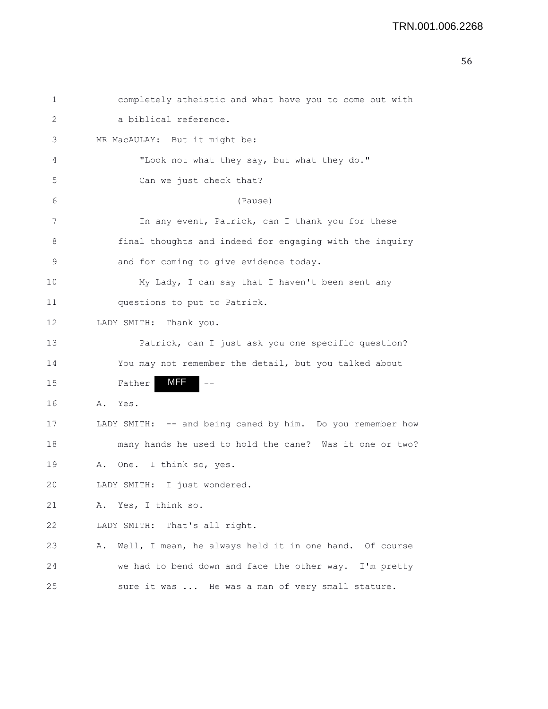```
56
```

| 1  | completely atheistic and what have you to come out with      |
|----|--------------------------------------------------------------|
| 2  | a biblical reference.                                        |
| 3  | MR MacAULAY: But it might be:                                |
| 4  | "Look not what they say, but what they do."                  |
| 5  | Can we just check that?                                      |
| 6  | (Pause)                                                      |
| 7  | In any event, Patrick, can I thank you for these             |
| 8  | final thoughts and indeed for engaging with the inquiry      |
| 9  | and for coming to give evidence today.                       |
| 10 | My Lady, I can say that I haven't been sent any              |
| 11 | questions to put to Patrick.                                 |
| 12 | LADY SMITH: Thank you.                                       |
| 13 | Patrick, can I just ask you one specific question?           |
| 14 | You may not remember the detail, but you talked about        |
| 15 | MFF<br>Father                                                |
| 16 | A. Yes.                                                      |
| 17 | LADY SMITH: -- and being caned by him. Do you remember how   |
| 18 | many hands he used to hold the cane? Was it one or two?      |
| 19 | I think so, yes.<br>One.<br>Α.                               |
| 20 | I just wondered.<br>LADY SMITH:                              |
| 21 | A. Yes, I think so.                                          |
| 22 | That's all right.<br>LADY SMITH:                             |
| 23 | Well, I mean, he always held it in one hand. Of course<br>Α. |
| 24 | we had to bend down and face the other way. I'm pretty       |
| 25 | sure it was  He was a man of very small stature.             |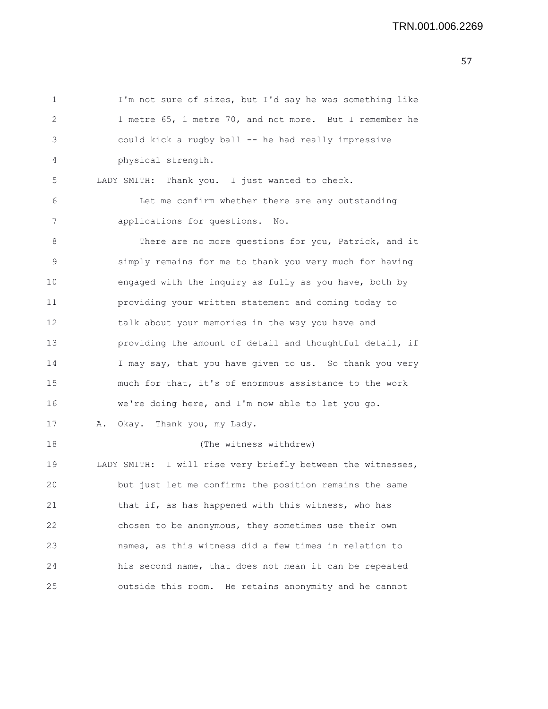1 I'm not sure of sizes, but I'd say he was something like 2 1 metre 65, 1 metre 70, and not more. But I remember he 3 could kick a rugby ball -- he had really impressive 4 physical strength. 5 LADY SMITH: Thank you. I just wanted to check. 6 Let me confirm whether there are any outstanding 7 applications for questions. No. 8 There are no more questions for you, Patrick, and it 9 simply remains for me to thank you very much for having 10 engaged with the inquiry as fully as you have, both by 11 providing your written statement and coming today to 12 talk about your memories in the way you have and 13 providing the amount of detail and thoughtful detail, if 14 I may say, that you have given to us. So thank you very 15 much for that, it's of enormous assistance to the work 16 we're doing here, and I'm now able to let you go. 17 A. Okay. Thank you, my Lady. 18 (The witness withdrew) 19 LADY SMITH: I will rise very briefly between the witnesses, 20 but just let me confirm: the position remains the same 21 that if, as has happened with this witness, who has 22 chosen to be anonymous, they sometimes use their own 23 names, as this witness did a few times in relation to 24 his second name, that does not mean it can be repeated 25 outside this room. He retains anonymity and he cannot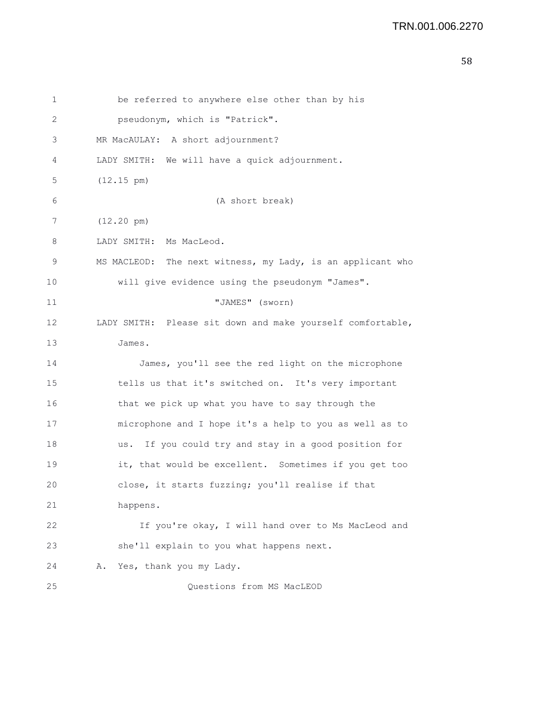```
58
```

| 1  | be referred to anywhere else other than by his             |
|----|------------------------------------------------------------|
| 2  | pseudonym, which is "Patrick".                             |
| 3  | MR MacAULAY: A short adjournment?                          |
| 4  | LADY SMITH: We will have a quick adjournment.              |
| 5  | $(12.15 \text{ pm})$                                       |
| 6  | (A short break)                                            |
| 7  | $(12.20 \text{ pm})$                                       |
| 8  | LADY SMITH: Ms MacLeod.                                    |
| 9  | MS MACLEOD: The next witness, my Lady, is an applicant who |
| 10 | will give evidence using the pseudonym "James".            |
| 11 | "JAMES" (sworn)                                            |
| 12 | LADY SMITH: Please sit down and make yourself comfortable, |
| 13 | James.                                                     |
| 14 | James, you'll see the red light on the microphone          |
| 15 | tells us that it's switched on. It's very important        |
| 16 | that we pick up what you have to say through the           |
| 17 | microphone and I hope it's a help to you as well as to     |
| 18 | If you could try and stay in a good position for<br>us.    |
| 19 | it, that would be excellent. Sometimes if you get too      |
| 20 | close, it starts fuzzing; you'll realise if that           |
| 21 | happens.                                                   |
| 22 | If you're okay, I will hand over to Ms MacLeod and         |
| 23 | she'll explain to you what happens next.                   |
| 24 | Yes, thank you my Lady.<br>Α.                              |
| 25 | Questions from MS MacLEOD                                  |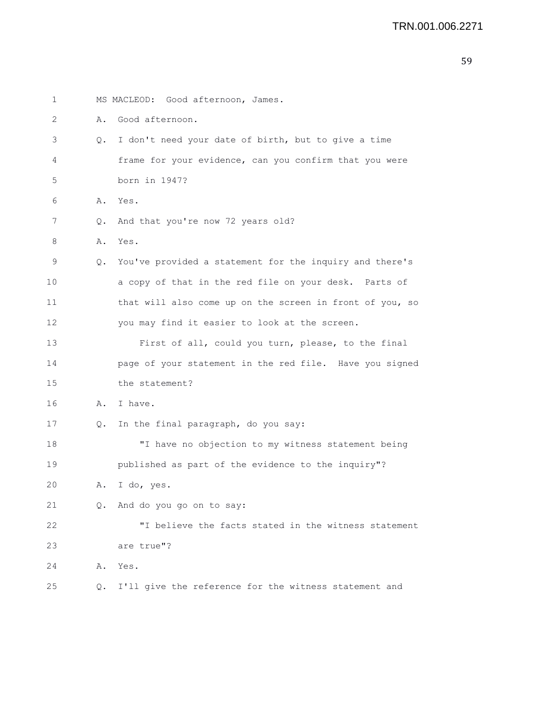1 MS MACLEOD: Good afternoon, James. 2 A. Good afternoon. 3 Q. I don't need your date of birth, but to give a time 4 frame for your evidence, can you confirm that you were 5 born in 1947? 6 A. Yes. 7 Q. And that you're now 72 years old? 8 A. Yes. 9 Q. You've provided a statement for the inquiry and there's 10 a copy of that in the red file on your desk. Parts of 11 that will also come up on the screen in front of you, so 12 you may find it easier to look at the screen. 13 First of all, could you turn, please, to the final 14 page of your statement in the red file. Have you signed 15 the statement? 16 A. I have. 17 Q. In the final paragraph, do you say: 18 "I have no objection to my witness statement being 19 published as part of the evidence to the inquiry"? 20 A. I do, yes. 21 Q. And do you go on to say: 22 "I believe the facts stated in the witness statement 23 are true"? 24 A. Yes. 25 Q. I'll give the reference for the witness statement and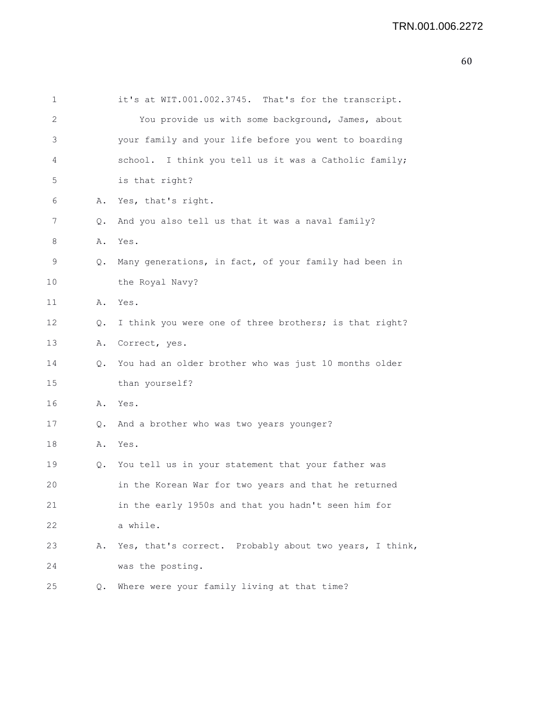| ۰.<br>۰,<br>I<br>I<br>I<br>۰.<br>w<br>۰.<br>۰, |
|------------------------------------------------|
|------------------------------------------------|

| 1  |    | it's at WIT.001.002.3745. That's for the transcript.    |
|----|----|---------------------------------------------------------|
| 2  |    | You provide us with some background, James, about       |
| 3  |    | your family and your life before you went to boarding   |
| 4  |    | school. I think you tell us it was a Catholic family;   |
| 5  |    | is that right?                                          |
| 6  | Α. | Yes, that's right.                                      |
| 7  | Q. | And you also tell us that it was a naval family?        |
| 8  | Α. | Yes.                                                    |
| 9  | Q. | Many generations, in fact, of your family had been in   |
| 10 |    | the Royal Navy?                                         |
| 11 | Α. | Yes.                                                    |
| 12 | Q. | I think you were one of three brothers; is that right?  |
| 13 | Α. | Correct, yes.                                           |
| 14 | Q. | You had an older brother who was just 10 months older   |
| 15 |    | than yourself?                                          |
| 16 | Α. | Yes.                                                    |
| 17 | Q. | And a brother who was two years younger?                |
| 18 | Α. | Yes.                                                    |
| 19 | Q. | You tell us in your statement that your father was      |
| 20 |    | in the Korean War for two years and that he returned    |
| 21 |    | in the early 1950s and that you hadn't seen him for     |
| 22 |    | a while.                                                |
| 23 | Α. | Yes, that's correct. Probably about two years, I think, |
| 24 |    | was the posting.                                        |
| 25 | Q. | Where were your family living at that time?             |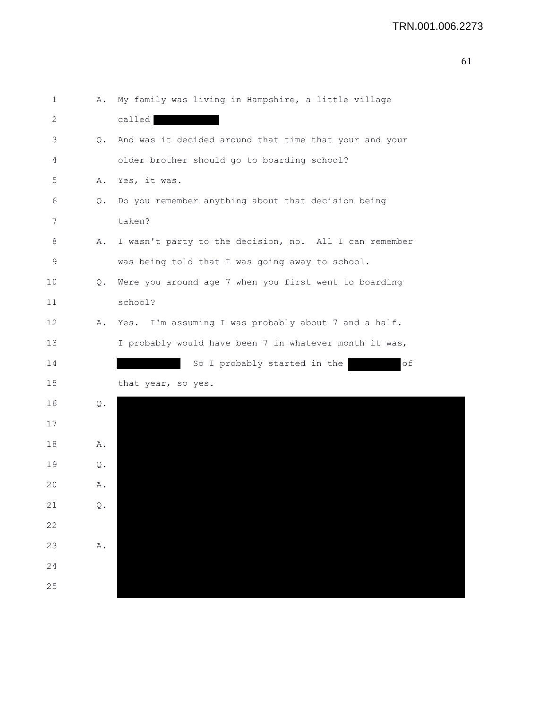| $\mathbf 1$ | Α.                      | My family was living in Hampshire, a little village     |
|-------------|-------------------------|---------------------------------------------------------|
| 2           |                         | called                                                  |
| 3           | Q.                      | And was it decided around that time that your and your  |
| 4           |                         | older brother should go to boarding school?             |
| 5           | Α.                      | Yes, it was.                                            |
| 6           | Q.                      | Do you remember anything about that decision being      |
| 7           |                         | taken?                                                  |
| 8           | Α.                      | I wasn't party to the decision, no. All I can remember  |
| $\mathsf 9$ |                         | was being told that I was going away to school.         |
| 10          | Q.                      | Were you around age 7 when you first went to boarding   |
| 11          |                         | school?                                                 |
| 12          | Α.                      | I'm assuming I was probably about 7 and a half.<br>Yes. |
| 13          |                         | I probably would have been 7 in whatever month it was,  |
| 14          |                         | So I probably started in the<br>оf                      |
| 15          |                         | that year, so yes.                                      |
| 16          | $\mathbb Q$ .           |                                                         |
| 17          |                         |                                                         |
| 18          | Α.                      |                                                         |
| 19          | Q.                      |                                                         |
| 20          | Α.                      |                                                         |
| 21          | $\mathbf{\mathbb{Q}}$ . |                                                         |
| 22          |                         |                                                         |
| 23          | ${\tt A}$ .             |                                                         |
| 24          |                         |                                                         |
| 25          |                         |                                                         |
|             |                         |                                                         |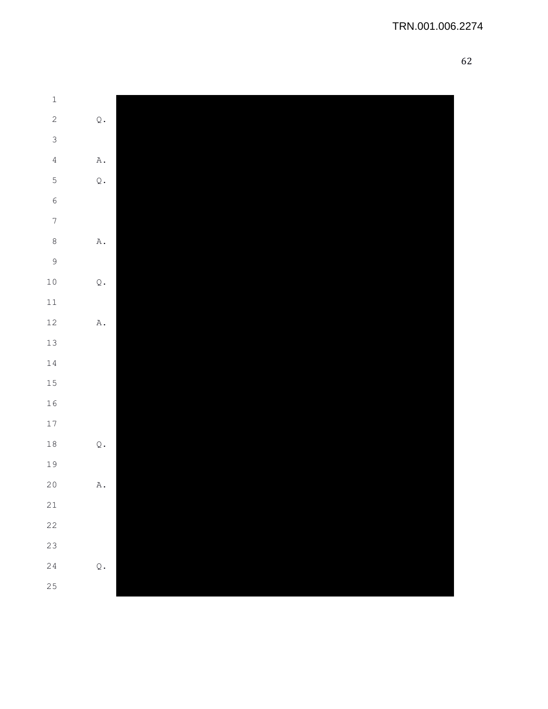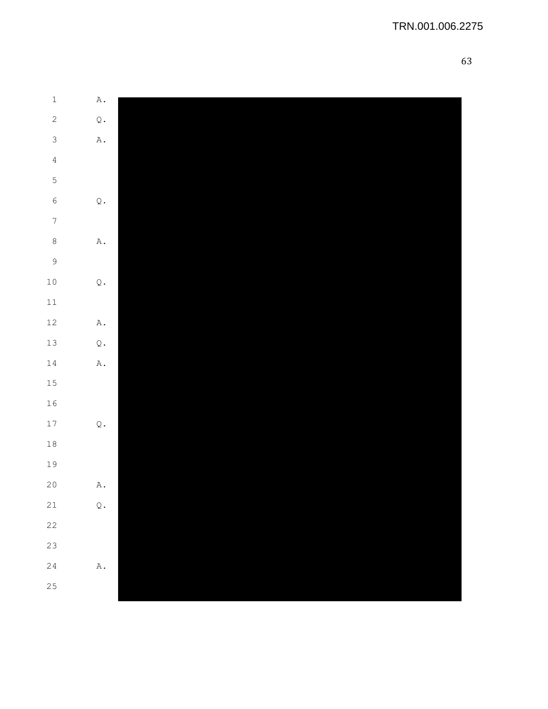| $\ensuremath{\mathbbm{1}}$ | $\mathbbm{A}$ . |  |
|----------------------------|-----------------|--|
| $\mathbf{2}$               | $\mathbb Q$ .   |  |
| $\mathfrak{S}$             | $\mathbbm{A}$ . |  |
| $\sqrt{4}$                 |                 |  |
| $\mathsf S$                |                 |  |
| $\epsilon$                 | $\mathbb Q$ .   |  |
| $\boldsymbol{7}$           |                 |  |
| $\,8\,$                    | $\mathbbm{A}$ . |  |
| $\overline{9}$             |                 |  |
| $10\,$                     | $\mathbb Q$ .   |  |
| $11\,$                     |                 |  |
| $12\,$                     | $\mathbbm{A}$ . |  |
| $13\,$                     | $\mathbb Q$ .   |  |
| $1\,4$                     | $\mathbbm{A}$ . |  |
| 15                         |                 |  |
| 16                         |                 |  |
| $17\,$                     | $\mathbb Q$ .   |  |
| $1\,8$                     |                 |  |
| 19                         |                 |  |
| $20$                       | $\mathbbm{A}$ . |  |
| $2\sqrt{1}$                | $\mathbb Q$ .   |  |
| 22                         |                 |  |
| 23                         |                 |  |
| 24                         | $\mathtt{A}$ .  |  |
| 25                         |                 |  |
|                            |                 |  |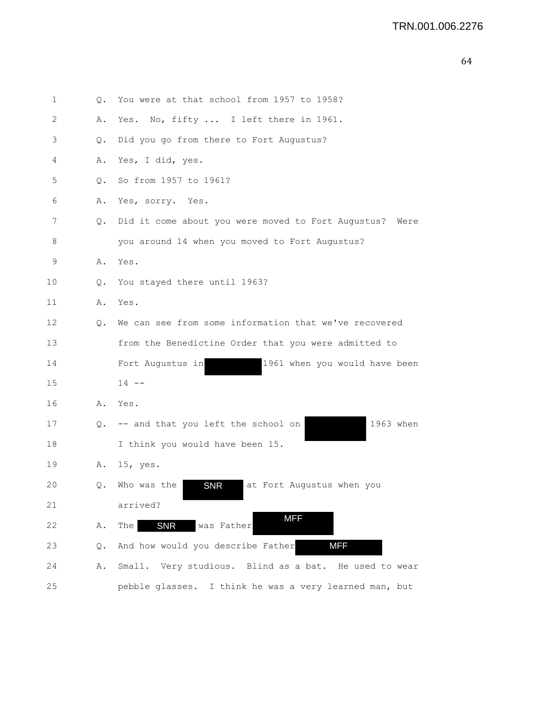```
64
```

| 1  | Q.    | You were at that school from 1957 to 1958?                 |
|----|-------|------------------------------------------------------------|
| 2  | Α.    | Yes. No, fifty  I left there in 1961.                      |
| 3  | Q.    | Did you go from there to Fort Augustus?                    |
| 4  | Α.    | Yes, I did, yes.                                           |
| 5  | $Q$ . | So from 1957 to 1961?                                      |
| 6  | Α.    | Yes, sorry. Yes.                                           |
| 7  | Q.    | Did it come about you were moved to Fort Augustus?<br>Were |
| 8  |       | you around 14 when you moved to Fort Augustus?             |
| 9  | Α.    | Yes.                                                       |
| 10 | Q.    | You stayed there until 1963?                               |
| 11 | Α.    | Yes.                                                       |
| 12 | Q.    | We can see from some information that we've recovered      |
| 13 |       | from the Benedictine Order that you were admitted to       |
| 14 |       | 1961 when you would have been<br>Fort Augustus in          |
| 15 |       | $14 - -$                                                   |
| 16 | Α.    | Yes.                                                       |
| 17 | Q.    | 1963 when<br>-- and that you left the school on            |
| 18 |       | I think you would have been 15.                            |
| 19 | Α.    | $15$ , yes.                                                |
| 20 | Q.    | Who was the<br>at Fort Augustus when you<br><b>SNR</b>     |
| 21 |       | arrived?                                                   |
| 22 | Α.    | <b>MFF</b><br><b>SNR</b><br>was Father<br>The              |
| 23 | Q.    | <b>MFF</b><br>And how would you describe Father            |
| 24 | Α.    | Small. Very studious. Blind as a bat. He used to wear      |
| 25 |       | pebble glasses. I think he was a very learned man, but     |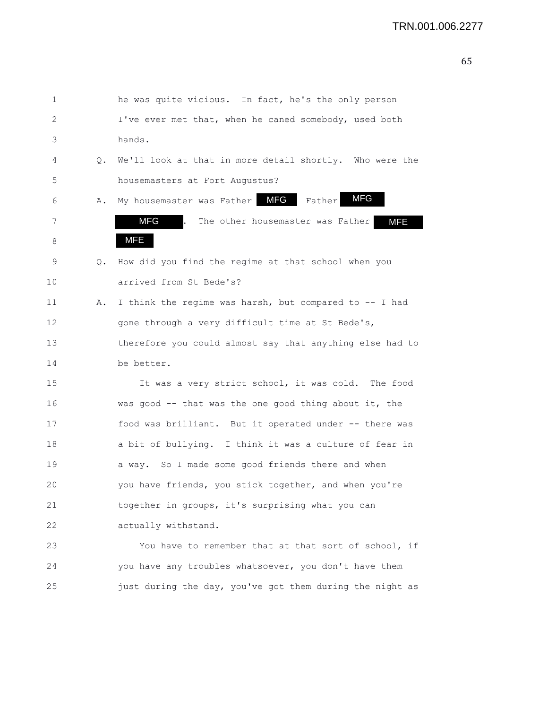| 1  |    | he was quite vicious. In fact, he's the only person      |
|----|----|----------------------------------------------------------|
| 2  |    | I've ever met that, when he caned somebody, used both    |
| 3  |    | hands.                                                   |
| 4  | Q. | We'll look at that in more detail shortly. Who were the  |
| 5  |    | housemasters at Fort Augustus?                           |
| 6  | Α. | <b>MFG</b><br>My housemaster was Father MFG<br>Father    |
| 7  |    | MFG<br>The other housemaster was Father<br><b>MFE</b>    |
| 8  |    | MFE                                                      |
| 9  | Q. | How did you find the regime at that school when you      |
| 10 |    | arrived from St Bede's?                                  |
| 11 | Α. | I think the regime was harsh, but compared to -- I had   |
| 12 |    | gone through a very difficult time at St Bede's,         |
| 13 |    | therefore you could almost say that anything else had to |
| 14 |    | be better.                                               |
| 15 |    | It was a very strict school, it was cold. The food       |
| 16 |    | was good $-$ that was the one good thing about it, the   |
| 17 |    | food was brilliant. But it operated under -- there was   |
| 18 |    | a bit of bullying. I think it was a culture of fear in   |
| 19 |    | a way. So I made some good friends there and when        |
| 20 |    | you have friends, you stick together, and when you're    |
| 21 |    | together in groups, it's surprising what you can         |
| 22 |    | actually withstand.                                      |
| 23 |    | You have to remember that at that sort of school, if     |
| 24 |    | you have any troubles whatsoever, you don't have them    |
| 25 |    | just during the day, you've got them during the night as |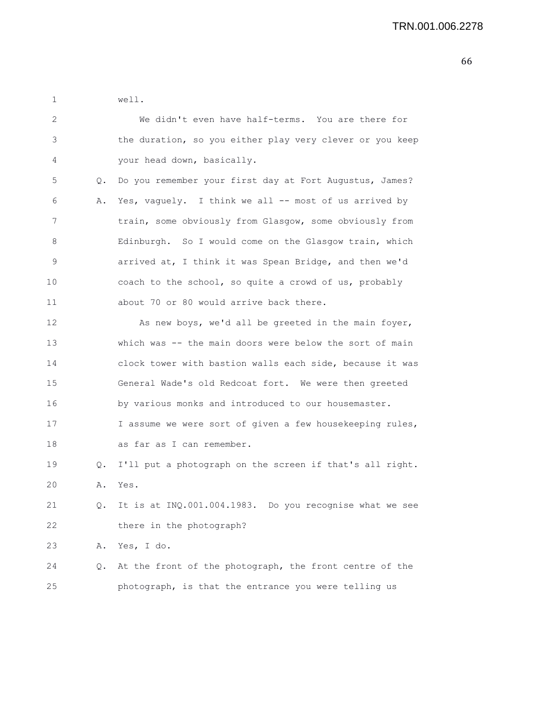1 well.

| 2  |    | We didn't even have half-terms. You are there for        |
|----|----|----------------------------------------------------------|
| 3  |    | the duration, so you either play very clever or you keep |
| 4  |    | your head down, basically.                               |
| 5  | Q. | Do you remember your first day at Fort Augustus, James?  |
| 6  | Α. | Yes, vaguely. I think we all -- most of us arrived by    |
| 7  |    | train, some obviously from Glasgow, some obviously from  |
| 8  |    | Edinburgh. So I would come on the Glasgow train, which   |
| 9  |    | arrived at, I think it was Spean Bridge, and then we'd   |
| 10 |    | coach to the school, so quite a crowd of us, probably    |
| 11 |    | about 70 or 80 would arrive back there.                  |
| 12 |    | As new boys, we'd all be greeted in the main foyer,      |
| 13 |    | which was -- the main doors were below the sort of main  |
| 14 |    | clock tower with bastion walls each side, because it was |
| 15 |    | General Wade's old Redcoat fort. We were then greeted    |
| 16 |    | by various monks and introduced to our housemaster.      |
| 17 |    | I assume we were sort of given a few housekeeping rules, |
| 18 |    | as far as I can remember.                                |
| 19 | Q. | I'll put a photograph on the screen if that's all right. |
| 20 | Α. | Yes.                                                     |
| 21 | Q. | It is at INQ.001.004.1983. Do you recognise what we see  |
| 22 |    | there in the photograph?                                 |
| 23 | Α. | Yes, I do.                                               |
| 24 | Q. | At the front of the photograph, the front centre of the  |
| 25 |    | photograph, is that the entrance you were telling us     |
|    |    |                                                          |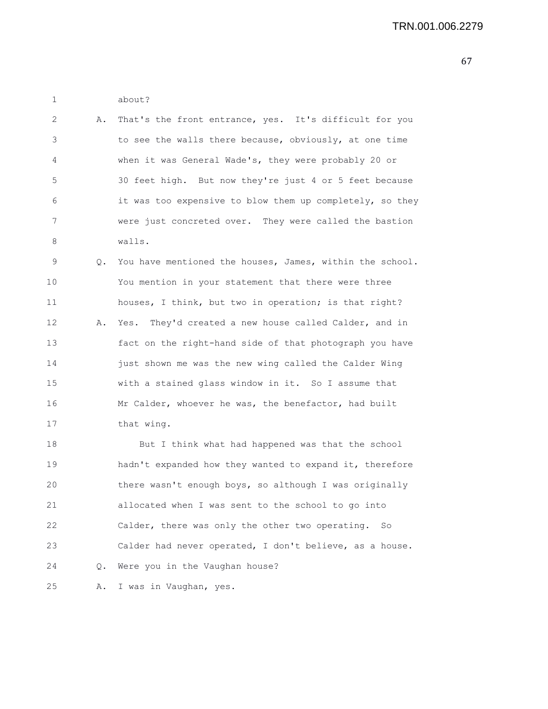1 about?

| $\mathcal{L}$ | A. That's the front entrance, yes. It's difficult for you |
|---------------|-----------------------------------------------------------|
| 3             | to see the walls there because, obviously, at one time    |
| 4             | when it was General Wade's, they were probably 20 or      |
| -5            | 30 feet high. But now they're just 4 or 5 feet because    |
| 6             | it was too expensive to blow them up completely, so they  |
|               | were just concreted over. They were called the bastion    |
| 8             | walls.                                                    |

9 Q. You have mentioned the houses, James, within the school. 10 You mention in your statement that there were three 11 houses, I think, but two in operation; is that right? 12 A. Yes. They'd created a new house called Calder, and in 13 fact on the right-hand side of that photograph you have 14 just shown me was the new wing called the Calder Wing 15 with a stained glass window in it. So I assume that 16 Mr Calder, whoever he was, the benefactor, had built 17 that wing.

18 But I think what had happened was that the school 19 hadn't expanded how they wanted to expand it, therefore 20 there wasn't enough boys, so although I was originally 21 allocated when I was sent to the school to go into 22 Calder, there was only the other two operating. So 23 Calder had never operated, I don't believe, as a house. 24 Q. Were you in the Vaughan house?

25 A. I was in Vaughan, yes.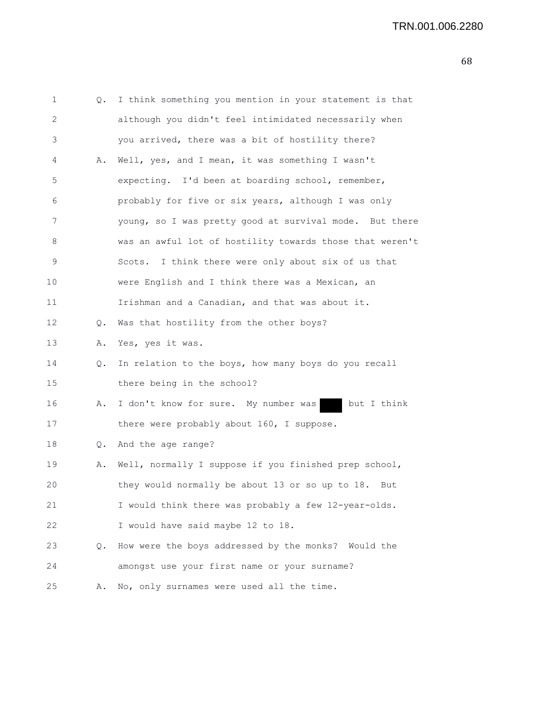| 1  | Q. | I think something you mention in your statement is that  |
|----|----|----------------------------------------------------------|
| 2  |    | although you didn't feel intimidated necessarily when    |
| 3  |    | you arrived, there was a bit of hostility there?         |
| 4  | Α. | Well, yes, and I mean, it was something I wasn't         |
| 5  |    | expecting. I'd been at boarding school, remember,        |
| 6  |    | probably for five or six years, although I was only      |
| 7  |    | young, so I was pretty good at survival mode. But there  |
| 8  |    | was an awful lot of hostility towards those that weren't |
| 9  |    | I think there were only about six of us that<br>Scots.   |
| 10 |    | were English and I think there was a Mexican, an         |
| 11 |    | Irishman and a Canadian, and that was about it.          |
| 12 | Q. | Was that hostility from the other boys?                  |
| 13 | Α. | Yes, yes it was.                                         |
| 14 | Q. | In relation to the boys, how many boys do you recall     |
| 15 |    | there being in the school?                               |
| 16 | Α. | I don't know for sure. My number was<br>but I think      |
| 17 |    | there were probably about 160, I suppose.                |
| 18 | Q. | And the age range?                                       |
| 19 | Α. | Well, normally I suppose if you finished prep school,    |
| 20 |    | they would normally be about 13 or so up to 18.<br>But   |
| 21 |    | I would think there was probably a few 12-year-olds.     |
| 22 |    | I would have said maybe 12 to 18.                        |
| 23 | Q. | How were the boys addressed by the monks? Would the      |
| 24 |    | amongst use your first name or your surname?             |
| 25 | Α. | No, only surnames were used all the time.                |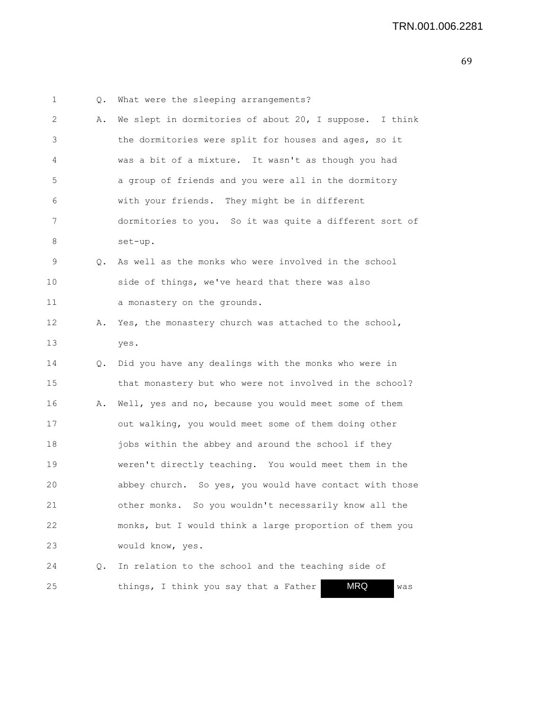| 1    | Q. | What were the sleeping arrangements?                       |
|------|----|------------------------------------------------------------|
| 2    | Α. | We slept in dormitories of about 20, I suppose. I think    |
| 3    |    | the dormitories were split for houses and ages, so it      |
| 4    |    | was a bit of a mixture. It wasn't as though you had        |
| 5    |    | a group of friends and you were all in the dormitory       |
| 6    |    | with your friends. They might be in different              |
| 7    |    | dormitories to you. So it was quite a different sort of    |
| 8    |    | set-up.                                                    |
| 9    | Q. | As well as the monks who were involved in the school       |
| 10   |    | side of things, we've heard that there was also            |
| 11   |    | a monastery on the grounds.                                |
| 12   | Α. | Yes, the monastery church was attached to the school,      |
| 13   |    | yes.                                                       |
| 14   | Q. | Did you have any dealings with the monks who were in       |
| 15   |    | that monastery but who were not involved in the school?    |
| 16   | Α. | Well, yes and no, because you would meet some of them      |
| 17   |    | out walking, you would meet some of them doing other       |
| 18   |    | jobs within the abbey and around the school if they        |
| 19   |    | weren't directly teaching. You would meet them in the      |
| 20   |    | abbey church. So yes, you would have contact with those    |
| 21   |    | other monks. So you wouldn't necessarily know all the      |
| 22   |    | monks, but I would think a large proportion of them you    |
| 23   |    | would know, yes.                                           |
| 24   | Q. | In relation to the school and the teaching side of         |
| $25$ |    | <b>MRQ</b><br>things, I think you say that a Father<br>was |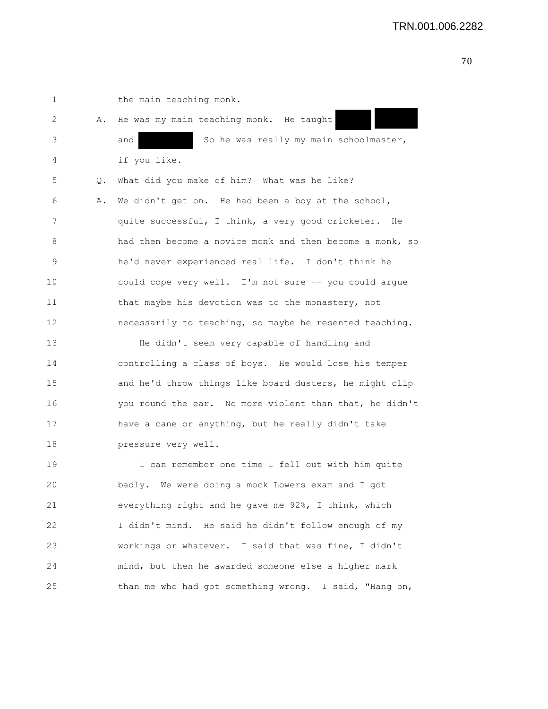1 the main teaching monk. 2 A. He was my main teaching monk. He taught 3 and So he was really my main schoolmaster, 4 if you like. 5 Q. What did you make of him? What was he like? 6 A. We didn't get on. He had been a boy at the school, 7 quite successful, I think, a very good cricketer. He 8 had then become a novice monk and then become a monk, so 9 he'd never experienced real life. I don't think he 10 could cope very well. I'm not sure -- you could argue 11 that maybe his devotion was to the monastery, not 12 necessarily to teaching, so maybe he resented teaching. 13 He didn't seem very capable of handling and 14 controlling a class of boys. He would lose his temper 15 and he'd throw things like board dusters, he might clip 16 you round the ear. No more violent than that, he didn't 17 have a cane or anything, but he really didn't take 18 pressure very well. 19 I can remember one time I fell out with him quite 20 badly. We were doing a mock Lowers exam and I got 21 everything right and he gave me 92%, I think, which 22 I didn't mind. He said he didn't follow enough of my 23 workings or whatever. I said that was fine, I didn't 24 mind, but then he awarded someone else a higher mark 25 than me who had got something wrong. I said, "Hang on,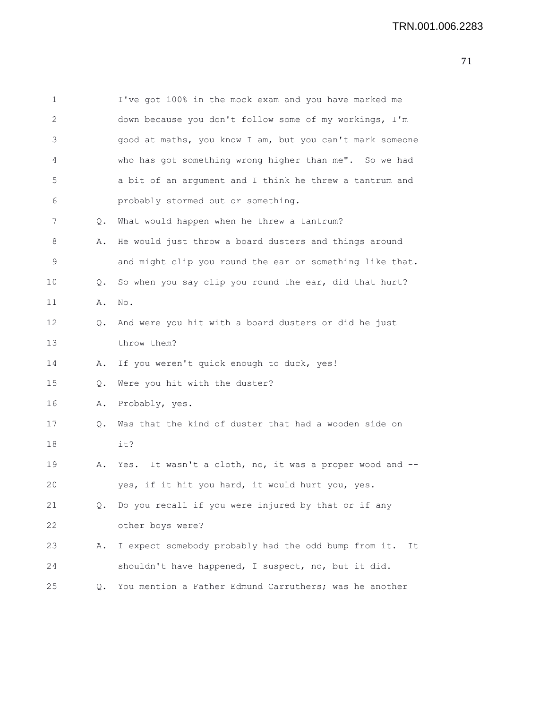| 1  |    | I've got 100% in the mock exam and you have marked me      |
|----|----|------------------------------------------------------------|
| 2  |    | down because you don't follow some of my workings, I'm     |
| 3  |    | good at maths, you know I am, but you can't mark someone   |
| 4  |    | who has got something wrong higher than me". So we had     |
| 5  |    | a bit of an argument and I think he threw a tantrum and    |
| 6  |    | probably stormed out or something.                         |
| 7  | Q. | What would happen when he threw a tantrum?                 |
| 8  | Α. | He would just throw a board dusters and things around      |
| 9  |    | and might clip you round the ear or something like that.   |
| 10 | Q. | So when you say clip you round the ear, did that hurt?     |
| 11 | Α. | No.                                                        |
| 12 | Q. | And were you hit with a board dusters or did he just       |
| 13 |    | throw them?                                                |
| 14 | Α. | If you weren't quick enough to duck, yes!                  |
| 15 | Q. | Were you hit with the duster?                              |
| 16 | Α. | Probably, yes.                                             |
| 17 | Q. | Was that the kind of duster that had a wooden side on      |
| 18 |    | it?                                                        |
| 19 | Α. | Yes. It wasn't a cloth, no, it was a proper wood and --    |
| 20 |    | yes, if it hit you hard, it would hurt you, yes.           |
| 21 | Q. | Do you recall if you were injured by that or if any        |
| 22 |    | other boys were?                                           |
| 23 | Α. | I expect somebody probably had the odd bump from it.<br>It |
| 24 |    | shouldn't have happened, I suspect, no, but it did.        |
| 25 | Q. | You mention a Father Edmund Carruthers; was he another     |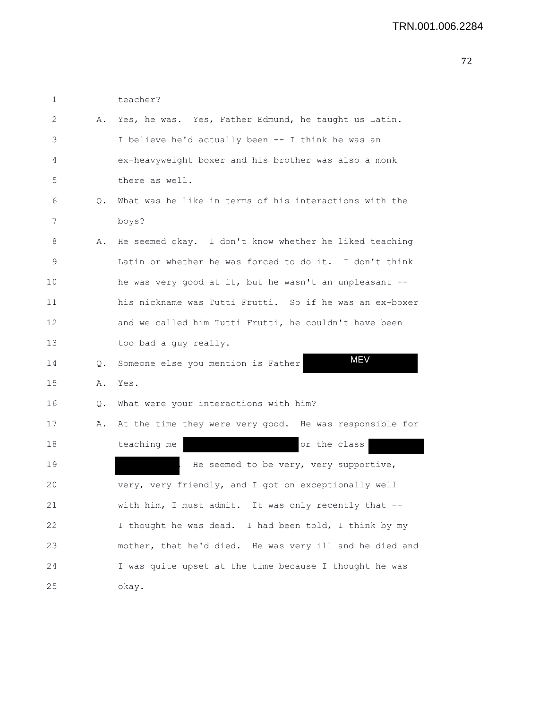| 2  | Α.    | Yes, he was. Yes, Father Edmund, he taught us Latin.    |
|----|-------|---------------------------------------------------------|
| 3  |       | I believe he'd actually been -- I think he was an       |
| 4  |       | ex-heavyweight boxer and his brother was also a monk    |
| 5  |       | there as well.                                          |
| 6  | Q.    | What was he like in terms of his interactions with the  |
| 7  |       | boys?                                                   |
| 8  | Α.    | He seemed okay. I don't know whether he liked teaching  |
| 9  |       | Latin or whether he was forced to do it. I don't think  |
| 10 |       | he was very good at it, but he wasn't an unpleasant --  |
| 11 |       | his nickname was Tutti Frutti. So if he was an ex-boxer |
| 12 |       | and we called him Tutti Frutti, he couldn't have been   |
| 13 |       | too bad a quy really.                                   |
| 14 | Q.    | <b>MEV</b><br>Someone else you mention is Father        |
| 15 | Α.    | Yes.                                                    |
| 16 | $Q$ . | What were your interactions with him?                   |
| 17 | Α.    | At the time they were very good. He was responsible for |
| 18 |       | teaching me<br>or the class                             |
| 19 |       | He seemed to be very, very supportive,                  |
| 20 |       | very, very friendly, and I got on exceptionally well    |
| 21 |       | with him, I must admit. It was only recently that --    |

1 teacher?

25 okay.

20 very, very friendly, and I got on exceptionally well 21 with him, I must admit. It was only recently that -- 22 I thought he was dead. I had been told, I think by my 23 mother, that he'd died. He was very ill and he died and 24 I was quite upset at the time because I thought he was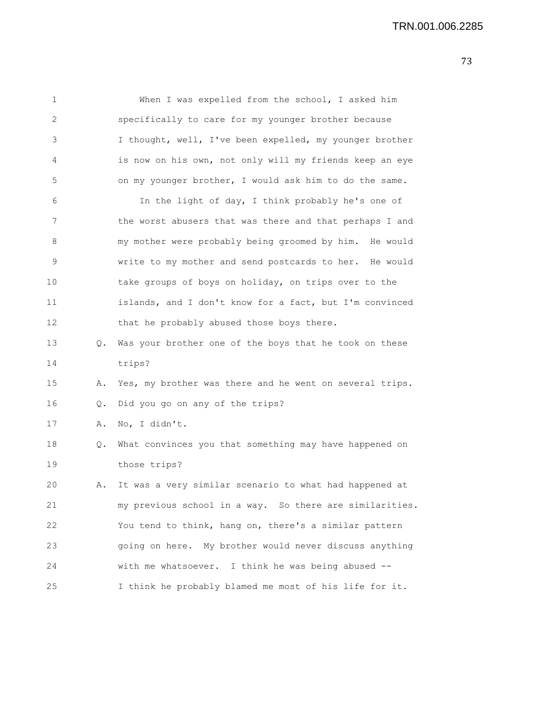| 1           |    | When I was expelled from the school, I asked him        |
|-------------|----|---------------------------------------------------------|
| 2           |    | specifically to care for my younger brother because     |
| 3           |    | I thought, well, I've been expelled, my younger brother |
| 4           |    | is now on his own, not only will my friends keep an eye |
| 5           |    | on my younger brother, I would ask him to do the same.  |
| 6           |    | In the light of day, I think probably he's one of       |
| 7           |    | the worst abusers that was there and that perhaps I and |
| 8           |    | my mother were probably being groomed by him. He would  |
| $\mathsf 9$ |    | write to my mother and send postcards to her. He would  |
| 10          |    | take groups of boys on holiday, on trips over to the    |
| 11          |    | islands, and I don't know for a fact, but I'm convinced |
| 12          |    | that he probably abused those boys there.               |
| 13          | Q. | Was your brother one of the boys that he took on these  |
| 14          |    | trips?                                                  |
| 15          | Α. | Yes, my brother was there and he went on several trips. |
| 16          | Q. | Did you go on any of the trips?                         |
| 17          | Α. | No, I didn't.                                           |
| 18          | Q. | What convinces you that something may have happened on  |
| 19          |    | those trips?                                            |
| 20          | Α. | It was a very similar scenario to what had happened at  |
| 21          |    | my previous school in a way. So there are similarities. |
| 22          |    | You tend to think, hang on, there's a similar pattern   |
| 23          |    | going on here. My brother would never discuss anything  |
| 24          |    | with me whatsoever. I think he was being abused --      |
| 25          |    | I think he probably blamed me most of his life for it.  |
|             |    |                                                         |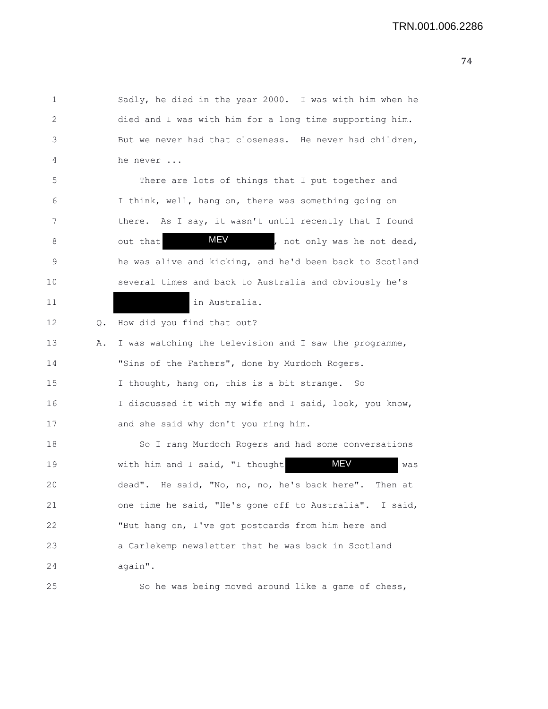1 Sadly, he died in the year 2000. I was with him when he 2 died and I was with him for a long time supporting him. 3 But we never had that closeness. He never had children, 4 he never ... 5 There are lots of things that I put together and 6 I think, well, hang on, there was something going on 7 there. As I say, it wasn't until recently that I found 8 out that **MEV**, not only was he not dead, 9 he was alive and kicking, and he'd been back to Scotland 10 several times and back to Australia and obviously he's 11 in Australia. 12 Q. How did you find that out? 13 A. I was watching the television and I saw the programme, 14 "Sins of the Fathers", done by Murdoch Rogers. 15 I thought, hang on, this is a bit strange. So 16 I discussed it with my wife and I said, look, you know, 17 and she said why don't you ring him. 18 So I rang Murdoch Rogers and had some conversations 19 with him and I said, "I thought MEV was 20 dead". He said, "No, no, no, he's back here". Then at 21 one time he said, "He's gone off to Australia". I said, 22 "But hang on, I've got postcards from him here and 23 a Carlekemp newsletter that he was back in Scotland 24 again". 25 So he was being moved around like a game of chess, MEV MEV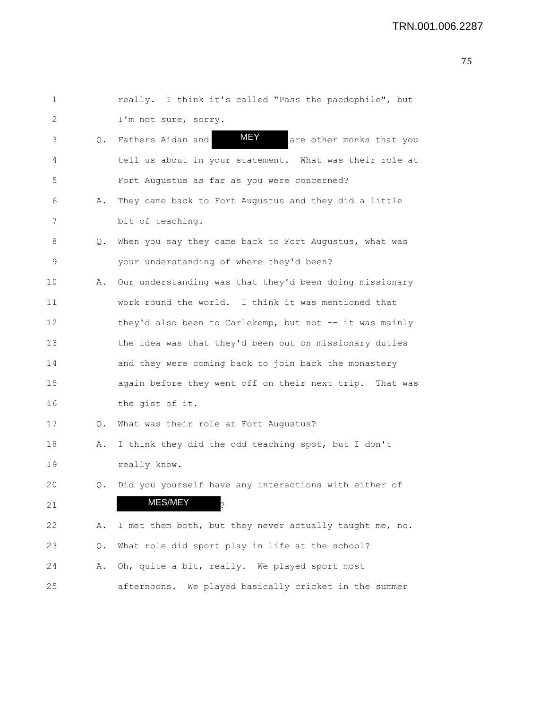| 1  |               | really. I think it's called "Pass the paedophile", but  |
|----|---------------|---------------------------------------------------------|
| 2  |               | I'm not sure, sorry.                                    |
| 3  | $Q_{\bullet}$ | MEY<br>Fathers Aidan and<br>are other monks that you    |
| 4  |               | tell us about in your statement. What was their role at |
| 5  |               | Fort Augustus as far as you were concerned?             |
| 6  | Α.            | They came back to Fort Augustus and they did a little   |
| 7  |               | bit of teaching.                                        |
| 8  | Q.            | When you say they came back to Fort Augustus, what was  |
| 9  |               | your understanding of where they'd been?                |
| 10 | Α.            | Our understanding was that they'd been doing missionary |
| 11 |               | work round the world. I think it was mentioned that     |
| 12 |               | they'd also been to Carlekemp, but not -- it was mainly |
| 13 |               | the idea was that they'd been out on missionary duties  |
| 14 |               | and they were coming back to join back the monastery    |
| 15 |               | again before they went off on their next trip. That was |
| 16 |               | the gist of it.                                         |
| 17 | Q.            | What was their role at Fort Augustus?                   |
| 18 | Α.            | I think they did the odd teaching spot, but I don't     |
| 19 |               | really know.                                            |
| 20 | Q.            | Did you yourself have any interactions with either of   |
| 21 |               | MES/MEY                                                 |
| 22 | Α.            | I met them both, but they never actually taught me, no. |
| 23 | Q.            | What role did sport play in life at the school?         |
| 24 | Α.            | Oh, quite a bit, really. We played sport most           |
| 25 |               | afternoons. We played basically cricket in the summer   |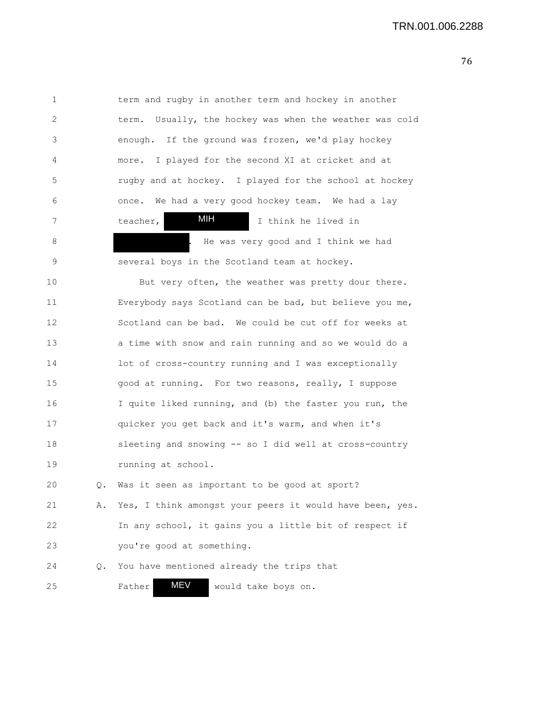1 term and rugby in another term and hockey in another 2 term. Usually, the hockey was when the weather was cold 3 enough. If the ground was frozen, we'd play hockey 4 more. I played for the second XI at cricket and at 5 rugby and at hockey. I played for the school at hockey 6 once. We had a very good hockey team. We had a lay 7 teacher, **MIF** I think he lived in 8 **8** . He was very good and I think we had 9 several boys in the Scotland team at hockey. 10 But very often, the weather was pretty dour there. 11 Everybody says Scotland can be bad, but believe you me, 12 Scotland can be bad. We could be cut off for weeks at 13 a time with snow and rain running and so we would do a 14 lot of cross-country running and I was exceptionally 15 good at running. For two reasons, really, I suppose 16 I quite liked running, and (b) the faster you run, the 17 quicker you get back and it's warm, and when it's 18 sleeting and snowing -- so I did well at cross-country 19 running at school. 20 Q. Was it seen as important to be good at sport? 21 A. Yes, I think amongst your peers it would have been, yes. 22 In any school, it gains you a little bit of respect if 23 you're good at something. 24 Q. You have mentioned already the trips that 25 Father **MEV** would take boys on. MIH MEV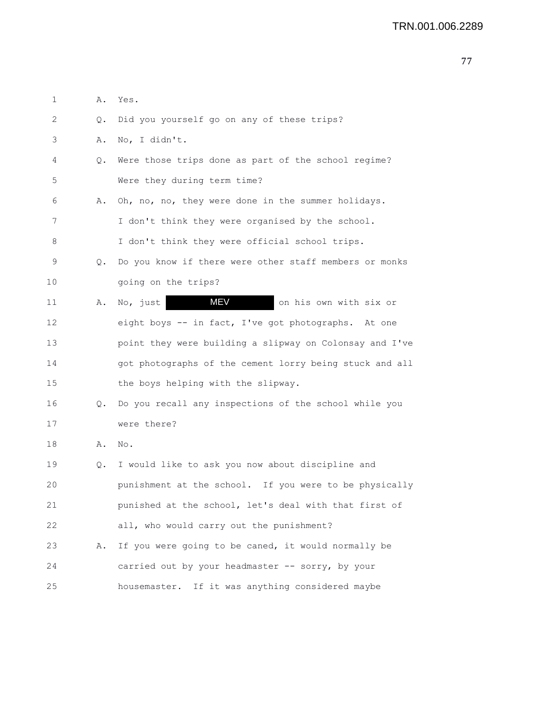| 1  | Α.            | Yes.                                                    |
|----|---------------|---------------------------------------------------------|
| 2  | Q.            | Did you yourself go on any of these trips?              |
| 3  | Α.            | No, I didn't.                                           |
| 4  | Q.            | Were those trips done as part of the school regime?     |
| 5  |               | Were they during term time?                             |
| 6  | Α.            | Oh, no, no, they were done in the summer holidays.      |
| 7  |               | I don't think they were organised by the school.        |
| 8  |               | I don't think they were official school trips.          |
| 9  | Q.            | Do you know if there were other staff members or monks  |
| 10 |               | going on the trips?                                     |
| 11 | Α.            | MEV<br>No, just<br>on his own with six or               |
| 12 |               | eight boys -- in fact, I've got photographs. At one     |
| 13 |               | point they were building a slipway on Colonsay and I've |
| 14 |               | got photographs of the cement lorry being stuck and all |
| 15 |               | the boys helping with the slipway.                      |
| 16 | $Q_{\bullet}$ | Do you recall any inspections of the school while you   |
| 17 |               | were there?                                             |
| 18 | Α.            | No.                                                     |
| 19 | Q.            | I would like to ask you now about discipline and        |
| 20 |               | punishment at the school. If you were to be physically  |
| 21 |               | punished at the school, let's deal with that first of   |
| 22 |               | all, who would carry out the punishment?                |
| 23 | Α.            | If you were going to be caned, it would normally be     |
| 24 |               | carried out by your headmaster -- sorry, by your        |
| 25 |               | housemaster. If it was anything considered maybe        |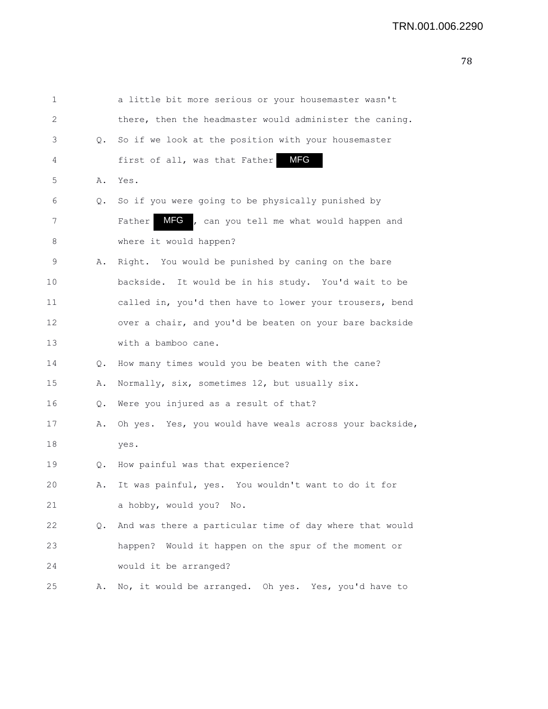| 1  |    | a little bit more serious or your housemaster wasn't    |
|----|----|---------------------------------------------------------|
| 2  |    | there, then the headmaster would administer the caning. |
| 3  | Q. | So if we look at the position with your housemaster     |
| 4  |    | <b>MFG</b><br>first of all, was that Father             |
| 5  | Α. | Yes.                                                    |
| 6  | Q. | So if you were going to be physically punished by       |
| 7  |    | MFG , can you tell me what would happen and<br>Father   |
| 8  |    | where it would happen?                                  |
| 9  | Α. | Right. You would be punished by caning on the bare      |
| 10 |    | backside. It would be in his study. You'd wait to be    |
| 11 |    | called in, you'd then have to lower your trousers, bend |
| 12 |    | over a chair, and you'd be beaten on your bare backside |
| 13 |    | with a bamboo cane.                                     |
| 14 | Q. | How many times would you be beaten with the cane?       |
| 15 | Α. | Normally, six, sometimes 12, but usually six.           |
| 16 | Q. | Were you injured as a result of that?                   |
| 17 | Α. | Oh yes. Yes, you would have weals across your backside, |
| 18 |    | yes.                                                    |
| 19 | Q. | How painful was that experience?                        |
| 20 | Α. | It was painful, yes. You wouldn't want to do it for     |
| 21 |    | a hobby, would you? No.                                 |
| 22 | Q. | And was there a particular time of day where that would |
| 23 |    | happen? Would it happen on the spur of the moment or    |
| 24 |    | would it be arranged?                                   |
| 25 | Α. | No, it would be arranged. Oh yes. Yes, you'd have to    |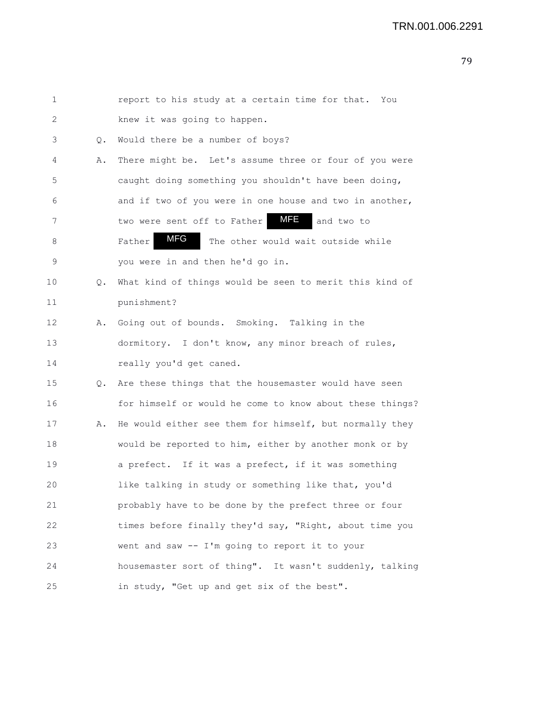| 1  |    | report to his study at a certain time for that. You      |
|----|----|----------------------------------------------------------|
| 2  |    | knew it was going to happen.                             |
| 3  | Q. | Would there be a number of boys?                         |
| 4  | Α. | There might be. Let's assume three or four of you were   |
| 5  |    | caught doing something you shouldn't have been doing,    |
| 6  |    | and if two of you were in one house and two in another,  |
| 7  |    | MFE<br>two were sent off to Father<br>and two to         |
| 8  |    | MFG<br>The other would wait outside while<br>Father      |
| 9  |    | you were in and then he'd go in.                         |
| 10 | Q. | What kind of things would be seen to merit this kind of  |
| 11 |    | punishment?                                              |
| 12 | Α. | Going out of bounds. Smoking. Talking in the             |
| 13 |    | dormitory. I don't know, any minor breach of rules,      |
| 14 |    | really you'd get caned.                                  |
| 15 | 0. | Are these things that the housemaster would have seen    |
| 16 |    | for himself or would he come to know about these things? |
| 17 | Α. | He would either see them for himself, but normally they  |
| 18 |    | would be reported to him, either by another monk or by   |
| 19 |    | a prefect. If it was a prefect, if it was something      |
| 20 |    | like talking in study or something like that, you'd      |
| 21 |    | probably have to be done by the prefect three or four    |
| 22 |    | times before finally they'd say, "Right, about time you  |
| 23 |    | went and saw -- I'm going to report it to your           |
| 24 |    | housemaster sort of thing". It wasn't suddenly, talking  |
| 25 |    | in study, "Get up and get six of the best".              |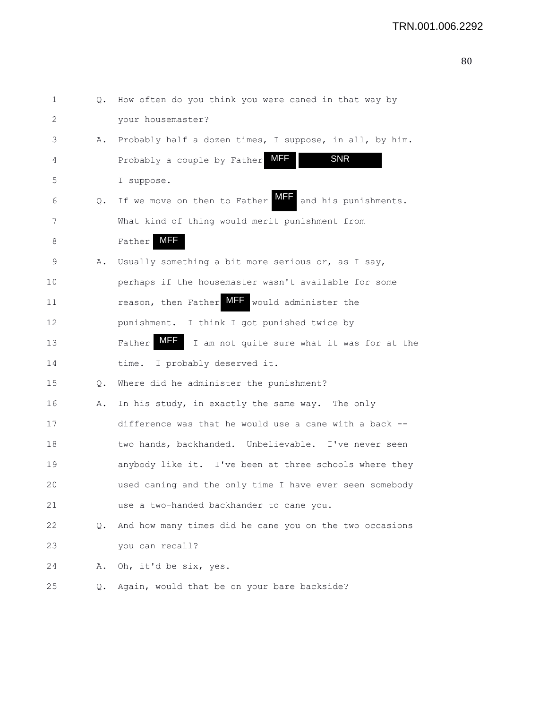| I<br>۰, |
|---------|
|         |
|         |

| 1  | Q. | How often do you think you were caned in that way by        |
|----|----|-------------------------------------------------------------|
| 2  |    | your housemaster?                                           |
| 3  | Α. | Probably half a dozen times, I suppose, in all, by him.     |
| 4  |    | MFF<br><b>SNR</b><br>Probably a couple by Father            |
| 5  |    | I suppose.                                                  |
| 6  | Q. | MFF<br>If we move on then to Father<br>and his punishments. |
| 7  |    | What kind of thing would merit punishment from              |
| 8  |    | <b>MFF</b><br>Father                                        |
| 9  | Α. | Usually something a bit more serious or, as I say,          |
| 10 |    | perhaps if the housemaster wasn't available for some        |
| 11 |    | reason, then Father MFF<br>would administer the             |
| 12 |    | punishment. I think I got punished twice by                 |
| 13 |    | MFF<br>Father<br>I am not quite sure what it was for at the |
| 14 |    | I probably deserved it.<br>time.                            |
| 15 | Q. | Where did he administer the punishment?                     |
| 16 | Α. | In his study, in exactly the same way. The only             |
| 17 |    | difference was that he would use a cane with a back --      |
| 18 |    | two hands, backhanded. Unbelievable. I've never seen        |
| 19 |    | anybody like it. I've been at three schools where they      |
| 20 |    | used caning and the only time I have ever seen somebody     |
| 21 |    | use a two-handed backhander to cane you.                    |
| 22 | О. | And how many times did he cane you on the two occasions     |
| 23 |    | you can recall?                                             |
| 24 | Α. | Oh, it'd be six, yes.                                       |
| 25 | Q. | Again, would that be on your bare backside?                 |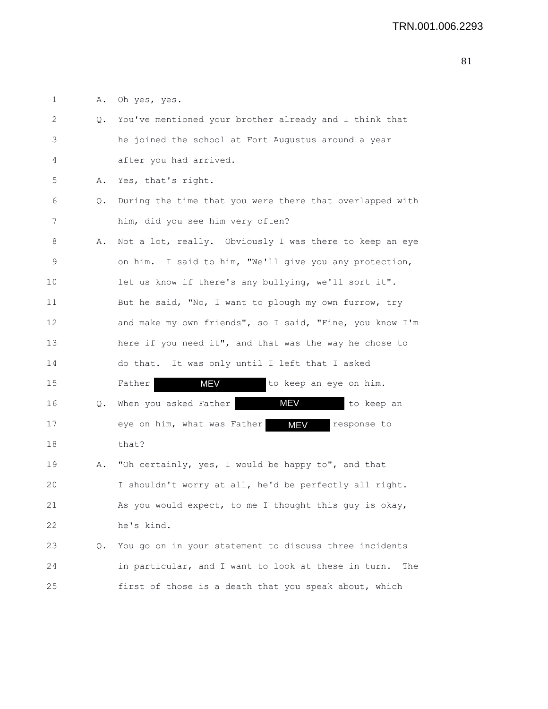1 A. Oh yes, yes.

| 2  | 0. | You've mentioned your brother already and I think that     |
|----|----|------------------------------------------------------------|
| 3  |    | he joined the school at Fort Augustus around a year        |
| 4  |    | after you had arrived.                                     |
| 5  | Α. | Yes, that's right.                                         |
| 6  | Q. | During the time that you were there that overlapped with   |
| 7  |    | him, did you see him very often?                           |
| 8  | Α. | Not a lot, really. Obviously I was there to keep an eye    |
| 9  |    | on him. I said to him, "We'll give you any protection,     |
| 10 |    | let us know if there's any bullying, we'll sort it".       |
| 11 |    | But he said, "No, I want to plough my own furrow, try      |
| 12 |    | and make my own friends", so I said, "Fine, you know I'm   |
| 13 |    | here if you need it", and that was the way he chose to     |
| 14 |    | do that. It was only until I left that I asked             |
| 15 |    | MEV<br>to keep an eye on him.<br>Father                    |
| 16 | Q. | MEV<br>When you asked Father<br>to keep an                 |
| 17 |    | eye on him, what was Father<br><b>MEV</b><br>response to   |
| 18 |    | that?                                                      |
| 19 | Α. | "Oh certainly, yes, I would be happy to", and that         |
| 20 |    | I shouldn't worry at all, he'd be perfectly all right.     |
| 21 |    | As you would expect, to me I thought this guy is okay,     |
| 22 |    | he's kind.                                                 |
| 23 | Q. | You go on in your statement to discuss three incidents     |
| 24 |    | in particular, and I want to look at these in turn.<br>The |
| 25 |    | first of those is a death that you speak about, which      |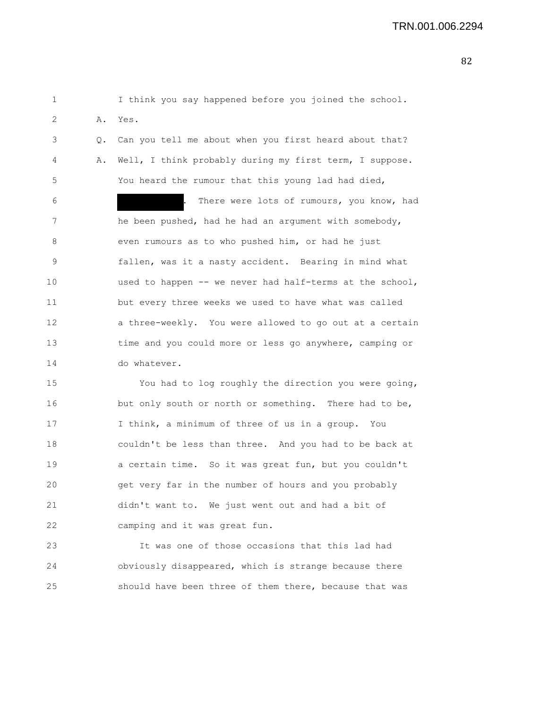1 I think you say happened before you joined the school. 2 A. Yes.

3 Q. Can you tell me about when you first heard about that? 4 A. Well, I think probably during my first term, I suppose. 5 You heard the rumour that this young lad had died,

6 . There were lots of rumours, you know, had 7 he been pushed, had he had an argument with somebody, 8 even rumours as to who pushed him, or had he just 9 fallen, was it a nasty accident. Bearing in mind what 10 used to happen -- we never had half-terms at the school, 11 but every three weeks we used to have what was called 12 a three-weekly. You were allowed to go out at a certain 13 time and you could more or less go anywhere, camping or 14 do whatever.

15 You had to log roughly the direction you were going, 16 but only south or north or something. There had to be, 17 I think, a minimum of three of us in a group. You 18 couldn't be less than three. And you had to be back at 19 a certain time. So it was great fun, but you couldn't 20 get very far in the number of hours and you probably 21 didn't want to. We just went out and had a bit of 22 camping and it was great fun.

23 It was one of those occasions that this lad had 24 obviously disappeared, which is strange because there 25 should have been three of them there, because that was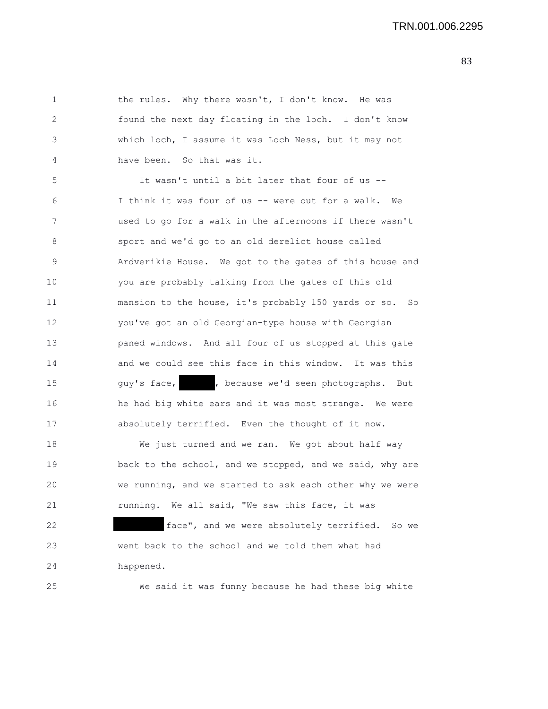1 the rules. Why there wasn't, I don't know. He was 2 found the next day floating in the loch. I don't know 3 which loch, I assume it was Loch Ness, but it may not 4 have been. So that was it.

5 It wasn't until a bit later that four of us -- 6 I think it was four of us -- were out for a walk. We 7 used to go for a walk in the afternoons if there wasn't 8 sport and we'd go to an old derelict house called 9 Ardverikie House. We got to the gates of this house and 10 you are probably talking from the gates of this old 11 mansion to the house, it's probably 150 yards or so. So 12 you've got an old Georgian-type house with Georgian 13 paned windows. And all four of us stopped at this gate 14 and we could see this face in this window. It was this 15 guy's face, because we'd seen photographs. But 16 he had big white ears and it was most strange. We were 17 absolutely terrified. Even the thought of it now.

18 We just turned and we ran. We got about half way 19 **back to the school, and we stopped, and we said, why are** 20 we running, and we started to ask each other why we were 21 running. We all said, "We saw this face, it was 22 **face"**, and we were absolutely terrified. So we 23 went back to the school and we told them what had 24 happened.

25 We said it was funny because he had these big white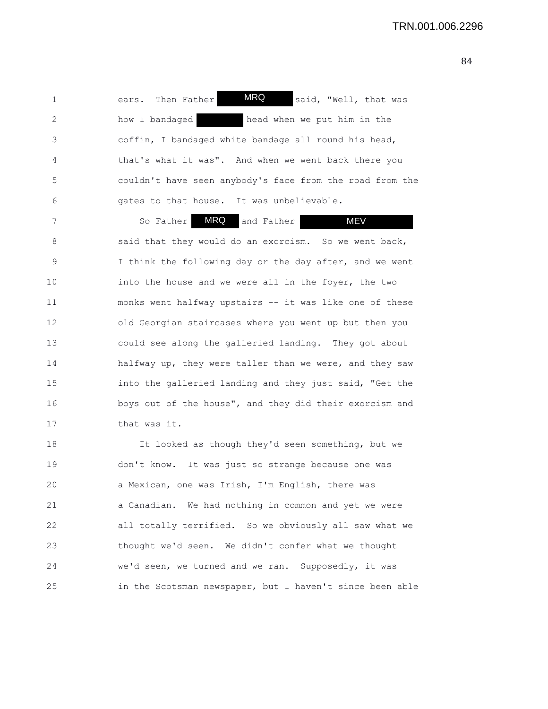1 ears. Then Father **MRQ** said, "Well, that was 2 how I bandaged head when we put him in the 3 coffin, I bandaged white bandage all round his head, 4 that's what it was". And when we went back there you 5 couldn't have seen anybody's face from the road from the 6 gates to that house. It was unbelievable. MRQ

7 So Father **MRQ** and Father **MEV** 8 said that they would do an exorcism. So we went back, 9 I think the following day or the day after, and we went 10 into the house and we were all in the foyer, the two 11 monks went halfway upstairs -- it was like one of these 12 old Georgian staircases where you went up but then you 13 could see along the galleried landing. They got about 14 halfway up, they were taller than we were, and they saw 15 into the galleried landing and they just said, "Get the 16 boys out of the house", and they did their exorcism and 17 that was it.

18 It looked as though they'd seen something, but we 19 don't know. It was just so strange because one was 20 a Mexican, one was Irish, I'm English, there was 21 a Canadian. We had nothing in common and yet we were 22 all totally terrified. So we obviously all saw what we 23 thought we'd seen. We didn't confer what we thought 24 we'd seen, we turned and we ran. Supposedly, it was 25 in the Scotsman newspaper, but I haven't since been able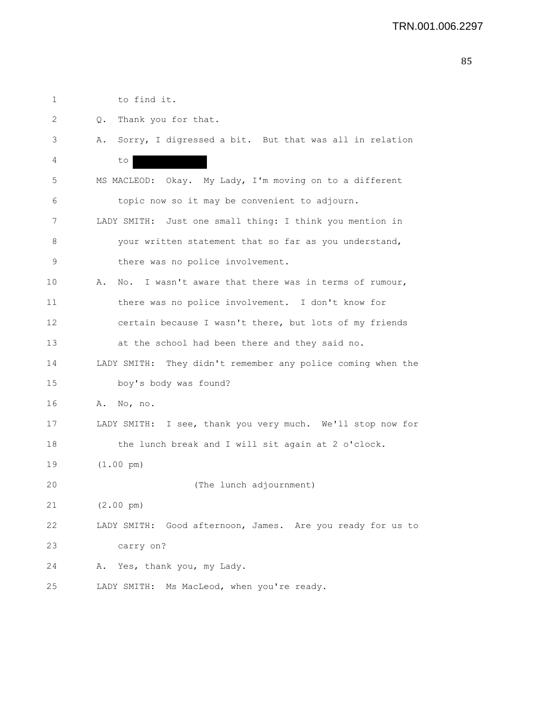1 to find it.

- 2 Q. Thank you for that.
- 3 A. Sorry, I digressed a bit. But that was all in relation 4 to 5 MS MACLEOD: Okay. My Lady, I'm moving on to a different 6 topic now so it may be convenient to adjourn. 7 LADY SMITH: Just one small thing: I think you mention in 8 your written statement that so far as you understand, 9 there was no police involvement. 10 A. No. I wasn't aware that there was in terms of rumour, 11 there was no police involvement. I don't know for 12 certain because I wasn't there, but lots of my friends 13 at the school had been there and they said no.
- 14 LADY SMITH: They didn't remember any police coming when the 15 boy's body was found?
- 16 A. No, no.
- 17 LADY SMITH: I see, thank you very much. We'll stop now for 18 the lunch break and I will sit again at 2 o'clock.
- 19 (1.00 pm)

20 (The lunch adjournment)

- 21 (2.00 pm)
- 22 LADY SMITH: Good afternoon, James. Are you ready for us to 23 carry on?
- 24 A. Yes, thank you, my Lady.
- 25 LADY SMITH: Ms MacLeod, when you're ready.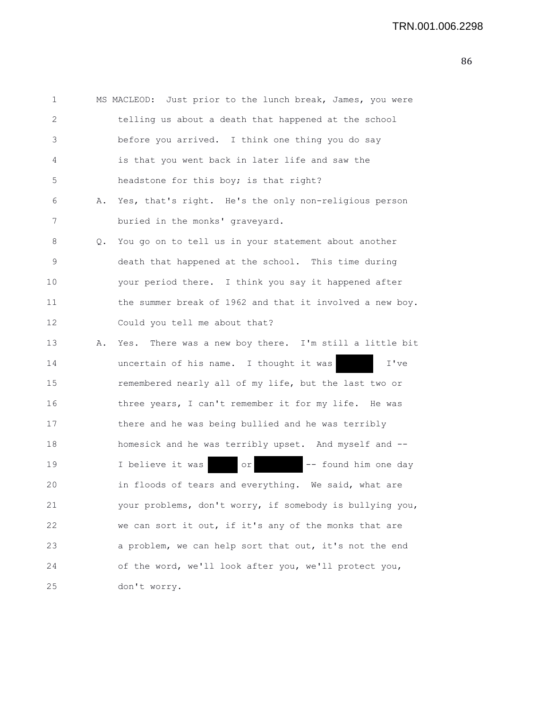| 1  |    | MS MACLEOD: Just prior to the lunch break, James, you were |
|----|----|------------------------------------------------------------|
| 2  |    | telling us about a death that happened at the school       |
| 3  |    | before you arrived. I think one thing you do say           |
| 4  |    | is that you went back in later life and saw the            |
| 5  |    | headstone for this boy; is that right?                     |
| 6  | Α. | Yes, that's right. He's the only non-religious person      |
| 7  |    | buried in the monks' graveyard.                            |
| 8  | Q. | You go on to tell us in your statement about another       |
| 9  |    | death that happened at the school. This time during        |
| 10 |    | your period there. I think you say it happened after       |
| 11 |    | the summer break of 1962 and that it involved a new boy.   |
| 12 |    | Could you tell me about that?                              |
| 13 | Α. | Yes. There was a new boy there. I'm still a little bit     |
| 14 |    | uncertain of his name. I thought it was<br>I've            |
| 15 |    | remembered nearly all of my life, but the last two or      |
| 16 |    | three years, I can't remember it for my life. He was       |
| 17 |    | there and he was being bullied and he was terribly         |
| 18 |    | homesick and he was terribly upset. And myself and --      |
| 19 |    | I believe it was<br>-- found him one day<br>  or           |
| 20 |    | in floods of tears and everything. We said, what are       |
| 21 |    | your problems, don't worry, if somebody is bullying you,   |
| 22 |    | we can sort it out, if it's any of the monks that are      |
| 23 |    | a problem, we can help sort that out, it's not the end     |
| 24 |    | of the word, we'll look after you, we'll protect you,      |
| 25 |    | don't worry.                                               |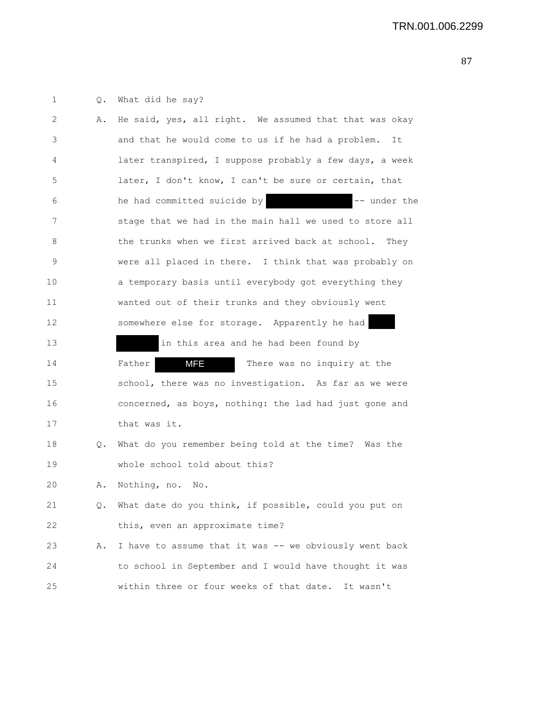1 Q. What did he say?

| 2           | Α. | He said, yes, all right. We assumed that that was okay  |
|-------------|----|---------------------------------------------------------|
| 3           |    | and that he would come to us if he had a problem.<br>It |
| 4           |    | later transpired, I suppose probably a few days, a week |
| 5           |    | later, I don't know, I can't be sure or certain, that   |
| 6           |    | he had committed suicide by<br>-- under the             |
| 7           |    | stage that we had in the main hall we used to store all |
| 8           |    | the trunks when we first arrived back at school. They   |
| $\mathsf 9$ |    | were all placed in there. I think that was probably on  |
| 10          |    | a temporary basis until everybody got everything they   |
| 11          |    | wanted out of their trunks and they obviously went      |
| 12          |    | somewhere else for storage. Apparently he had           |
| 13          |    | in this area and he had been found by                   |
| 14          |    | MFE<br>There was no inquiry at the<br>Father            |
| 15          |    | school, there was no investigation. As far as we were   |
| 16          |    | concerned, as boys, nothing: the lad had just gone and  |
| 17          |    | that was it.                                            |
| 18          | Q. | What do you remember being told at the time? Was the    |
| 19          |    | whole school told about this?                           |
| 20          | Α. | Nothing, no.<br>No.                                     |
| 21          | Q. | What date do you think, if possible, could you put on   |
| 22          |    | this, even an approximate time?                         |
| 23          | Α. | I have to assume that it was -- we obviously went back  |
| 24          |    | to school in September and I would have thought it was  |
| 25          |    | within three or four weeks of that date. It wasn't      |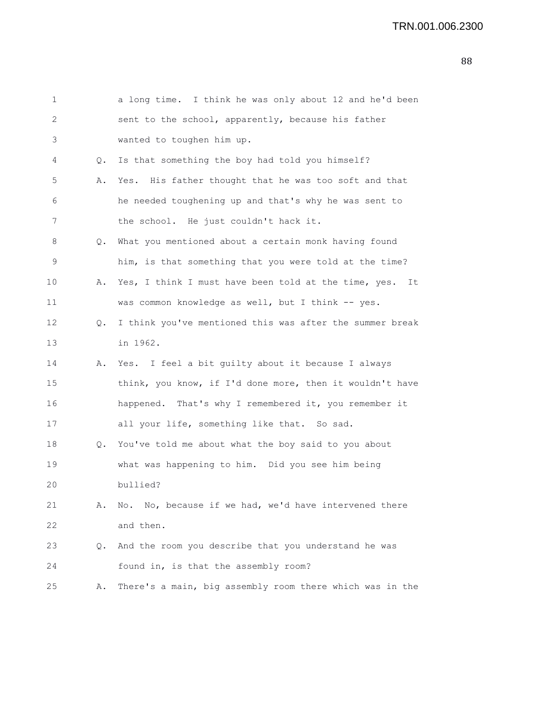| 1                 |    | a long time. I think he was only about 12 and he'd been  |
|-------------------|----|----------------------------------------------------------|
| 2                 |    | sent to the school, apparently, because his father       |
| 3                 |    | wanted to toughen him up.                                |
| 4                 | Q. | Is that something the boy had told you himself?          |
| 5                 | Α. | Yes. His father thought that he was too soft and that    |
| 6                 |    | he needed toughening up and that's why he was sent to    |
| 7                 |    | the school. He just couldn't hack it.                    |
| 8                 | Q. | What you mentioned about a certain monk having found     |
| 9                 |    | him, is that something that you were told at the time?   |
| 10                | Α. | Yes, I think I must have been told at the time, yes. It  |
| 11                |    | was common knowledge as well, but I think -- yes.        |
| $12 \overline{ }$ | Q. | I think you've mentioned this was after the summer break |
| 13                |    | in 1962.                                                 |
| 14                | Α. | Yes. I feel a bit guilty about it because I always       |
| 15                |    | think, you know, if I'd done more, then it wouldn't have |
| 16                |    | happened. That's why I remembered it, you remember it    |
| 17                |    | all your life, something like that. So sad.              |
| 18                | Q. | You've told me about what the boy said to you about      |
| 19                |    | what was happening to him. Did you see him being         |
| 20                |    | bullied?                                                 |
| 21                | Α. | No. No, because if we had, we'd have intervened there    |
| 22                |    | and then.                                                |
| 23                | Q. | And the room you describe that you understand he was     |
| 24                |    | found in, is that the assembly room?                     |
| 25                | Α. | There's a main, big assembly room there which was in the |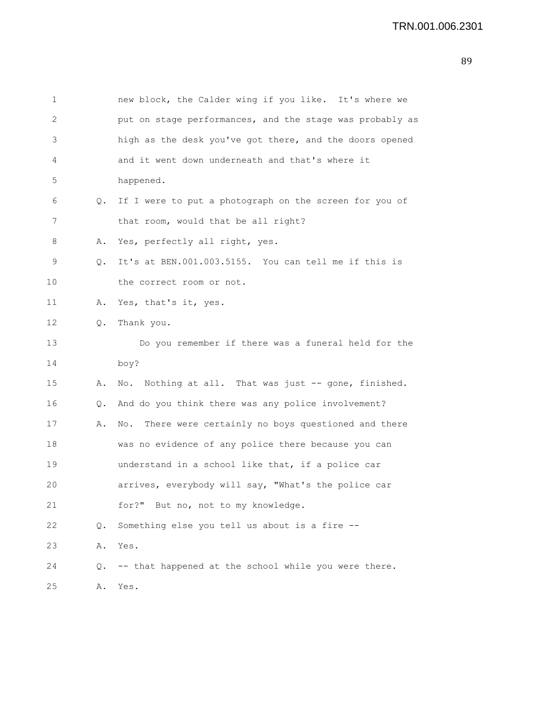1 new block, the Calder wing if you like. It's where we 2 put on stage performances, and the stage was probably as 3 high as the desk you've got there, and the doors opened 4 and it went down underneath and that's where it 5 happened. 6 Q. If I were to put a photograph on the screen for you of 7 that room, would that be all right? 8 A. Yes, perfectly all right, yes. 9 Q. It's at BEN.001.003.5155. You can tell me if this is 10 the correct room or not. 11 A. Yes, that's it, yes. 12 Q. Thank you. 13 Do you remember if there was a funeral held for the 14 boy? 15 A. No. Nothing at all. That was just -- gone, finished. 16 Q. And do you think there was any police involvement? 17 A. No. There were certainly no boys questioned and there 18 was no evidence of any police there because you can 19 understand in a school like that, if a police car 20 arrives, everybody will say, "What's the police car 21 for?" But no, not to my knowledge. 22 Q. Something else you tell us about is a fire -- 23 A. Yes. 24 Q. -- that happened at the school while you were there. 25 A. Yes.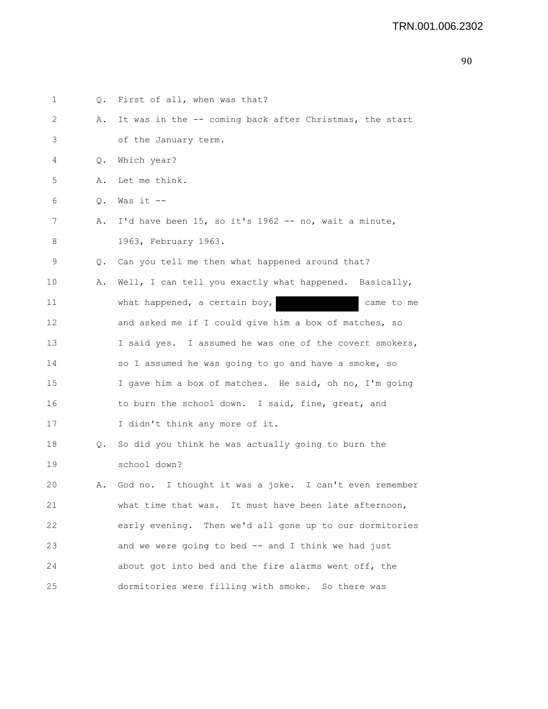| 1  |           | Q. First of all, when was that?                         |
|----|-----------|---------------------------------------------------------|
| 2  | Α.        | It was in the -- coming back after Christmas, the start |
| 3  |           | of the January term.                                    |
| 4  | Q.        | Which year?                                             |
| 5  | Α.        | Let me think.                                           |
| 6  | $\circ$ . | Was it --                                               |
| 7  | Α.        | I'd have been 15, so it's 1962 -- no, wait a minute,    |
| 8  |           | 1963, February 1963.                                    |
| 9  |           | Q. Can you tell me then what happened around that?      |
| 10 | Α.        | Well, I can tell you exactly what happened. Basically,  |
| 11 |           | what happened, a certain boy,<br>came to me             |
| 12 |           | and asked me if I could give him a box of matches, so   |
| 13 |           | I said yes. I assumed he was one of the covert smokers, |
| 14 |           | so I assumed he was going to go and have a smoke, so    |
| 15 |           | I gave him a box of matches. He said, oh no, I'm going  |
| 16 |           | to burn the school down. I said, fine, great, and       |
| 17 |           | I didn't think any more of it.                          |
| 18 | Q.        | So did you think he was actually going to burn the      |
| 19 |           | school down?                                            |
| 20 | Α.        | God no. I thought it was a joke. I can't even remember  |
| 21 |           | what time that was. It must have been late afternoon,   |
| 22 |           | early evening. Then we'd all gone up to our dormitories |
| 23 |           | and we were going to bed -- and I think we had just     |
| 24 |           | about got into bed and the fire alarms went off, the    |
| 25 |           | dormitories were filling with smoke. So there was       |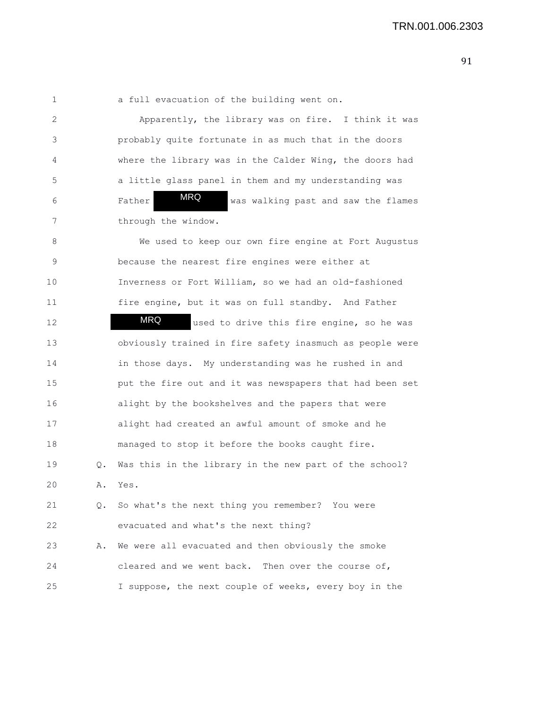1 a full evacuation of the building went on.

2 Apparently, the library was on fire. I think it was 3 probably quite fortunate in as much that in the doors 4 where the library was in the Calder Wing, the doors had 5 a little glass panel in them and my understanding was 6 Father **WKG** was walking past and saw the flames 7 through the window. MRQ

8 We used to keep our own fire engine at Fort Augustus 9 because the nearest fire engines were either at 10 Inverness or Fort William, so we had an old-fashioned 11 fire engine, but it was on full standby. And Father 12 **MRQ** used to drive this fire engine, so he was 13 obviously trained in fire safety inasmuch as people were 14 in those days. My understanding was he rushed in and 15 put the fire out and it was newspapers that had been set 16 alight by the bookshelves and the papers that were 17 alight had created an awful amount of smoke and he 18 managed to stop it before the books caught fire. 19 Q. Was this in the library in the new part of the school? 20 A. Yes. 21 Q. So what's the next thing you remember? You were 22 evacuated and what's the next thing? 23 A. We were all evacuated and then obviously the smoke 24 cleared and we went back. Then over the course of, 25 I suppose, the next couple of weeks, every boy in the MRQ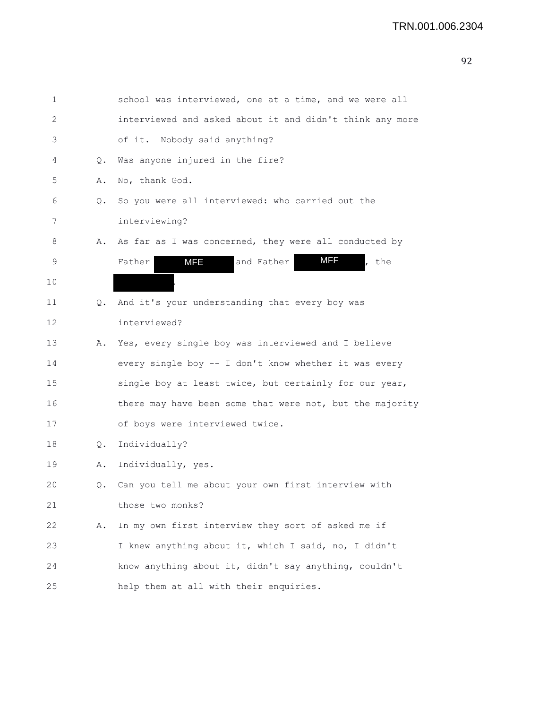| 1  |    | school was interviewed, one at a time, and we were all   |
|----|----|----------------------------------------------------------|
| 2  |    | interviewed and asked about it and didn't think any more |
| 3  |    | of it. Nobody said anything?                             |
| 4  | Q. | Was anyone injured in the fire?                          |
| 5  | Α. | No, thank God.                                           |
| 6  | Q. | So you were all interviewed: who carried out the         |
| 7  |    | interviewing?                                            |
| 8  | Α. | As far as I was concerned, they were all conducted by    |
| 9  |    | MFF<br><b>MFE</b><br>and Father<br>Father<br>, the       |
| 10 |    |                                                          |
| 11 | Q. | And it's your understanding that every boy was           |
| 12 |    | interviewed?                                             |
| 13 | Α. | Yes, every single boy was interviewed and I believe      |
| 14 |    | every single boy -- I don't know whether it was every    |
| 15 |    | single boy at least twice, but certainly for our year,   |
| 16 |    | there may have been some that were not, but the majority |
| 17 |    | of boys were interviewed twice.                          |
| 18 | Q. | Individually?                                            |
| 19 | Α. | Individually, yes.                                       |
| 20 | Q. | Can you tell me about your own first interview with      |
| 21 |    | those two monks?                                         |
| 22 | Α. | In my own first interview they sort of asked me if       |
| 23 |    | I knew anything about it, which I said, no, I didn't     |
| 24 |    | know anything about it, didn't say anything, couldn't    |
| 25 |    | help them at all with their enquiries.                   |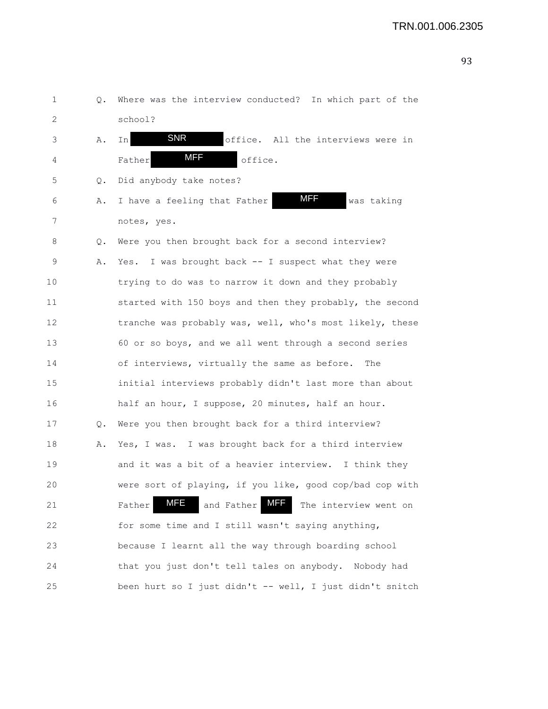1 Q. Where was the interview conducted? In which part of the 2 school? 3 A. In SNR office. All the interviews were in 4 Father **MFF** office. 5 Q. Did anybody take notes? 6 A. I have a feeling that Father **MIF** was taking 7 notes, yes. 8 Q. Were you then brought back for a second interview? 9 A. Yes. I was brought back -- I suspect what they were 10 trying to do was to narrow it down and they probably 11 started with 150 boys and then they probably, the second 12 tranche was probably was, well, who's most likely, these 13 60 or so boys, and we all went through a second series 14 of interviews, virtually the same as before. The 15 initial interviews probably didn't last more than about 16 half an hour, I suppose, 20 minutes, half an hour. 17 Q. Were you then brought back for a third interview? 18 A. Yes, I was. I was brought back for a third interview 19 and it was a bit of a heavier interview. I think they 20 were sort of playing, if you like, good cop/bad cop with 21 Father MFE and Father MFF The interview went on 22 for some time and I still wasn't saying anything, 23 because I learnt all the way through boarding school 24 that you just don't tell tales on anybody. Nobody had 25 been hurt so I just didn't -- well, I just didn't snitch MFF SNR MFF MFE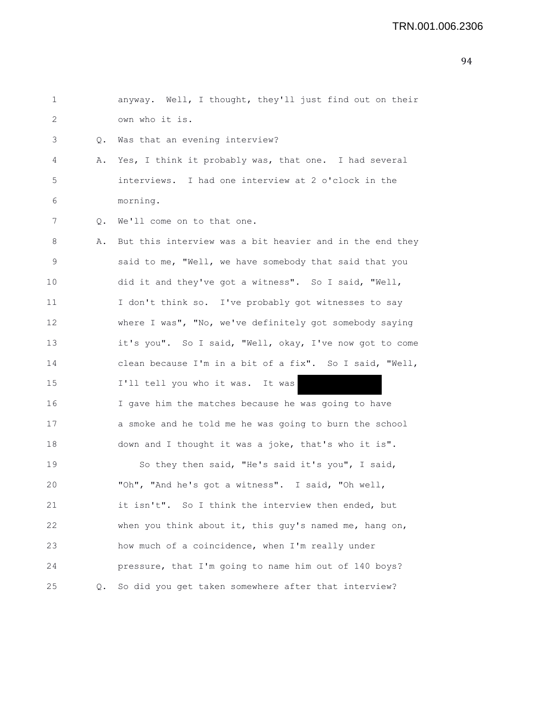| $\mathbf{1}$ |    | anyway. Well, I thought, they'll just find out on their  |
|--------------|----|----------------------------------------------------------|
| 2            |    | own who it is.                                           |
| 3            | Q. | Was that an evening interview?                           |
| 4            | Α. | Yes, I think it probably was, that one. I had several    |
| $\mathsf S$  |    | interviews. I had one interview at 2 o'clock in the      |
| 6            |    | morning.                                                 |
| 7            | Q. | We'll come on to that one.                               |
| 8            | Α. | But this interview was a bit heavier and in the end they |
| 9            |    | said to me, "Well, we have somebody that said that you   |
| 10           |    | did it and they've got a witness". So I said, "Well,     |
| 11           |    | I don't think so. I've probably got witnesses to say     |
| 12           |    | where I was", "No, we've definitely got somebody saying  |
| 13           |    | it's you". So I said, "Well, okay, I've now got to come  |
| 14           |    | clean because I'm in a bit of a fix". So I said, "Well,  |
| 15           |    | I'll tell you who it was. It was                         |
| 16           |    | I gave him the matches because he was going to have      |
| 17           |    | a smoke and he told me he was going to burn the school   |
| 18           |    | down and I thought it was a joke, that's who it is".     |
| 19           |    | So they then said, "He's said it's you", I said,         |
| 20           |    | "Oh", "And he's got a witness". I said, "Oh well,        |
| 21           |    | it isn't". So I think the interview then ended, but      |
| 22           |    | when you think about it, this guy's named me, hang on,   |
| 23           |    | how much of a coincidence, when I'm really under         |
| 24           |    | pressure, that I'm going to name him out of 140 boys?    |
| 25           | Q. | So did you get taken somewhere after that interview?     |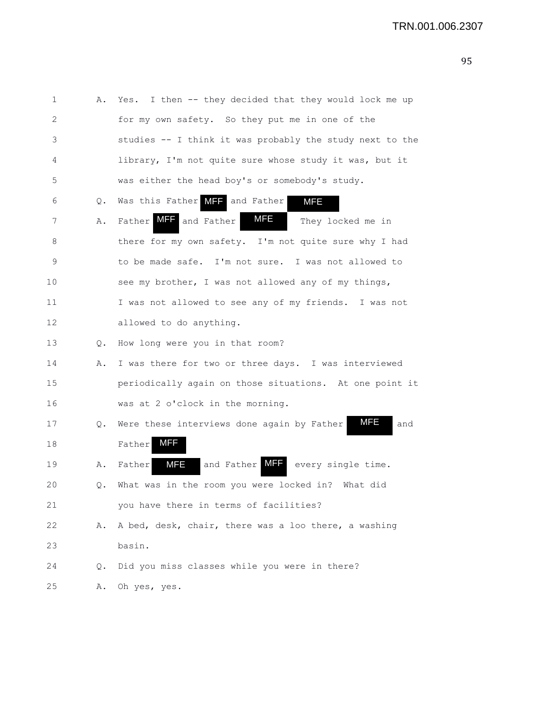| 1  | Α. | I then -- they decided that they would lock me up<br>Yes.       |
|----|----|-----------------------------------------------------------------|
| 2  |    | for my own safety. So they put me in one of the                 |
| 3  |    | studies -- I think it was probably the study next to the        |
| 4  |    | library, I'm not quite sure whose study it was, but it          |
| 5  |    | was either the head boy's or somebody's study.                  |
| 6  | Q. | Was this Father MIT and Father<br><b>MFE</b>                    |
| 7  | Α. | MFE<br>Father MFF and Father<br>They locked me in               |
| 8  |    | there for my own safety. I'm not quite sure why I had           |
| 9  |    | to be made safe. I'm not sure. I was not allowed to             |
| 10 |    | see my brother, I was not allowed any of my things,             |
| 11 |    | I was not allowed to see any of my friends. I was not           |
| 12 |    | allowed to do anything.                                         |
| 13 | Q. | How long were you in that room?                                 |
| 14 | Α. | I was there for two or three days. I was interviewed            |
| 15 |    | periodically again on those situations. At one point it         |
| 16 |    | was at 2 o'clock in the morning.                                |
| 17 | Q. | <b>MFE</b><br>Were these interviews done again by Father<br>and |
| 18 |    | MFF.<br>Father                                                  |
| 19 | Α. | and Father MFF<br><b>MFE</b><br>every single time.<br>Father    |
| 20 | Q. | What was in the room you were locked in? What did               |
| 21 |    | you have there in terms of facilities?                          |
| 22 | Α. | A bed, desk, chair, there was a loo there, a washing            |
| 23 |    | basin.                                                          |
| 24 | Q. | Did you miss classes while you were in there?                   |
| 25 | Α. | Oh yes, yes.                                                    |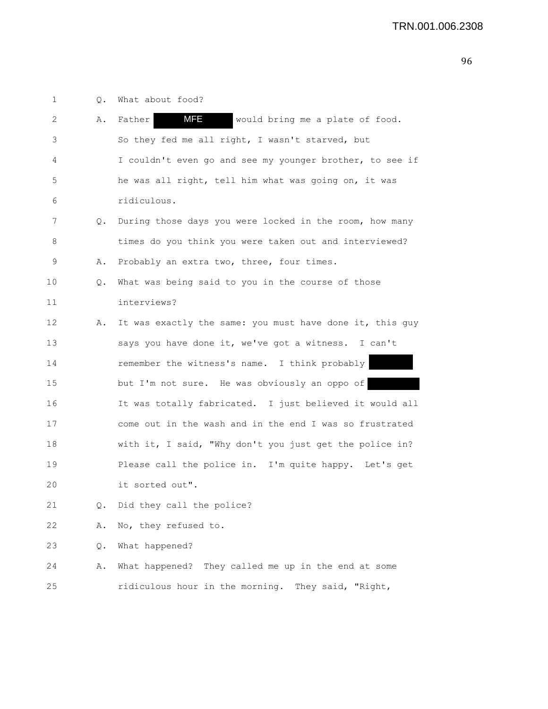1 Q. What about food? 2 A. Father **MFE** would bring me a plate of food. 3 So they fed me all right, I wasn't starved, but 4 I couldn't even go and see my younger brother, to see if 5 he was all right, tell him what was going on, it was 6 ridiculous. 7 Q. During those days you were locked in the room, how many 8 times do you think you were taken out and interviewed? 9 A. Probably an extra two, three, four times. 10 Q. What was being said to you in the course of those 11 interviews? 12 A. It was exactly the same: you must have done it, this guy 13 says you have done it, we've got a witness. I can't 14 remember the witness's name. I think probably 15 but I'm not sure. He was obviously an oppo of 16 It was totally fabricated. I just believed it would all 17 come out in the wash and in the end I was so frustrated 18 with it, I said, "Why don't you just get the police in? 19 Please call the police in. I'm quite happy. Let's get 20 it sorted out". 21 Q. Did they call the police? 22 A. No, they refused to. 23 Q. What happened? 24 A. What happened? They called me up in the end at some 25 ridiculous hour in the morning. They said, "Right, MFE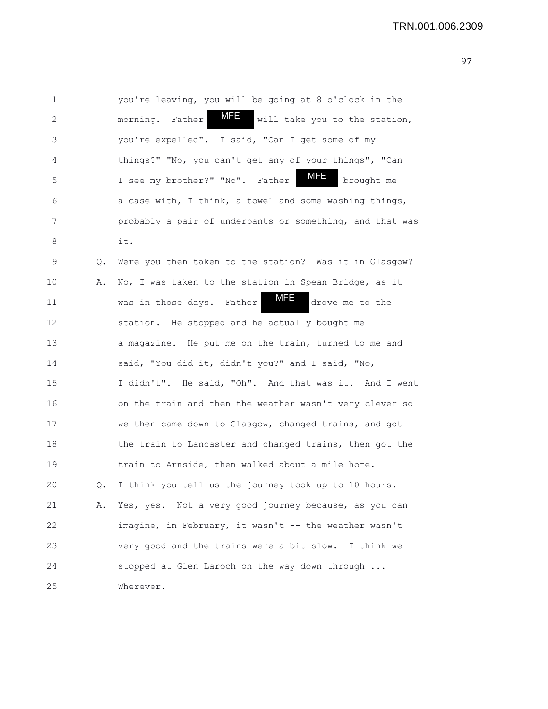| $\mathbf 1$ |    | you're leaving, you will be going at 8 o'clock in the       |
|-------------|----|-------------------------------------------------------------|
| 2           |    | MFE<br>morning. Father<br>will take you to the station,     |
| 3           |    | you're expelled". I said, "Can I get some of my             |
| 4           |    | things?" "No, you can't get any of your things", "Can       |
| 5           |    | <u>MFE</u><br>I see my brother?" "No". Father<br>brought me |
| 6           |    | a case with, I think, a towel and some washing things,      |
| 7           |    | probably a pair of underpants or something, and that was    |
| 8           |    | it.                                                         |
| 9           | Q. | Were you then taken to the station? Was it in Glasgow?      |
| 10          | Α. | No, I was taken to the station in Spean Bridge, as it       |
| 11          |    | MFE<br>drove me to the<br>was in those days. Father         |
| 12          |    | station. He stopped and he actually bought me               |
| 13          |    | a magazine. He put me on the train, turned to me and        |
| 14          |    | said, "You did it, didn't you?" and I said, "No,            |
| 15          |    | I didn't". He said, "Oh". And that was it. And I went       |
| 16          |    | on the train and then the weather wasn't very clever so     |
| 17          |    | we then came down to Glasgow, changed trains, and got       |
| 18          |    | the train to Lancaster and changed trains, then got the     |
| 19          |    | train to Arnside, then walked about a mile home.            |
| 20          | Q. | I think you tell us the journey took up to 10 hours.        |
| 21          | Α. | Yes, yes. Not a very good journey because, as you can       |
| 22          |    | imagine, in February, it wasn't -- the weather wasn't       |
| 23          |    | very good and the trains were a bit slow. I think we        |
| 24          |    | stopped at Glen Laroch on the way down through              |
| 25          |    | Wherever.                                                   |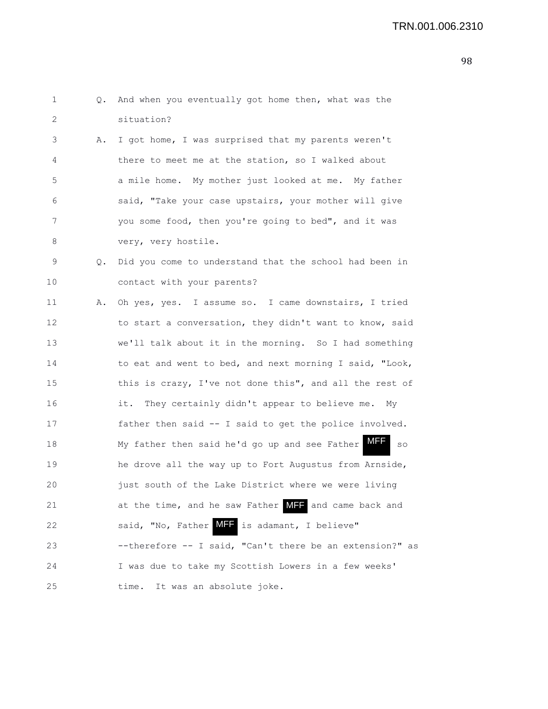| 1  | Q. | And when you eventually got home then, what was the               |
|----|----|-------------------------------------------------------------------|
| 2  |    | situation?                                                        |
| 3  | Α. | I got home, I was surprised that my parents weren't               |
| 4  |    | there to meet me at the station, so I walked about                |
| 5  |    | a mile home. My mother just looked at me. My father               |
| 6  |    | said, "Take your case upstairs, your mother will give             |
| 7  |    | you some food, then you're going to bed", and it was              |
| 8  |    | very, very hostile.                                               |
| 9  | Q. | Did you come to understand that the school had been in            |
| 10 |    | contact with your parents?                                        |
| 11 | Α. | Oh yes, yes. I assume so. I came downstairs, I tried              |
| 12 |    | to start a conversation, they didn't want to know, said           |
| 13 |    | we'll talk about it in the morning. So I had something            |
| 14 |    | to eat and went to bed, and next morning I said, "Look,           |
| 15 |    | this is crazy, I've not done this", and all the rest of           |
| 16 |    | it. They certainly didn't appear to believe me. My                |
| 17 |    | father then said -- I said to get the police involved.            |
| 18 |    | <b>MFF</b><br>My father then said he'd go up and see Father<br>SO |
| 19 |    | he drove all the way up to Fort Augustus from Arnside,            |
| 20 |    | just south of the Lake District where we were living              |
| 21 |    | at the time, and he saw Father MFF and came back and              |
| 22 |    | said, "No, Father MIF is adamant, I believe"                      |
| 23 |    | --therefore -- I said, "Can't there be an extension?" as          |
| 24 |    | I was due to take my Scottish Lowers in a few weeks'              |
| 25 |    | It was an absolute joke.<br>time.                                 |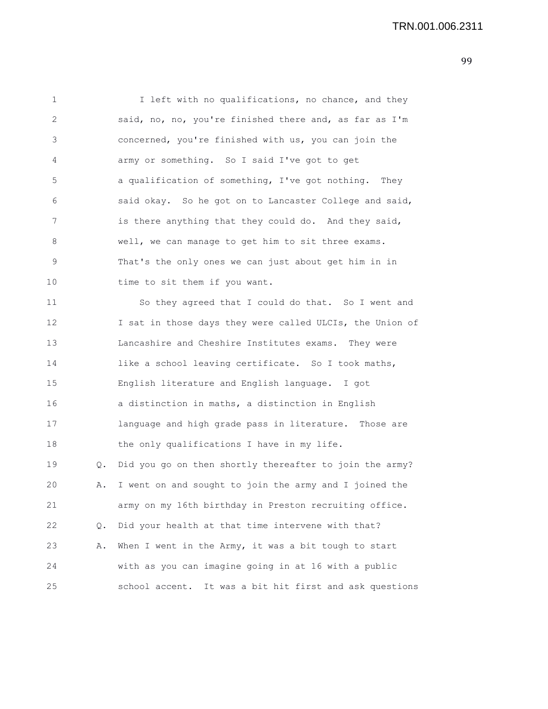1 I left with no qualifications, no chance, and they 2 said, no, no, you're finished there and, as far as I'm 3 concerned, you're finished with us, you can join the 4 army or something. So I said I've got to get 5 a qualification of something, I've got nothing. They 6 said okay. So he got on to Lancaster College and said, 7 is there anything that they could do. And they said, 8 well, we can manage to get him to sit three exams. 9 That's the only ones we can just about get him in in 10 time to sit them if you want. 11 So they agreed that I could do that. So I went and 12 I sat in those days they were called ULCIs, the Union of 13 Lancashire and Cheshire Institutes exams. They were 14 like a school leaving certificate. So I took maths, 15 English literature and English language. I got 16 a distinction in maths, a distinction in English 17 language and high grade pass in literature. Those are 18 the only qualifications I have in my life. 19 Q. Did you go on then shortly thereafter to join the army? 20 A. I went on and sought to join the army and I joined the 21 army on my 16th birthday in Preston recruiting office.

22 Q. Did your health at that time intervene with that? 23 A. When I went in the Army, it was a bit tough to start 24 with as you can imagine going in at 16 with a public 25 school accent. It was a bit hit first and ask questions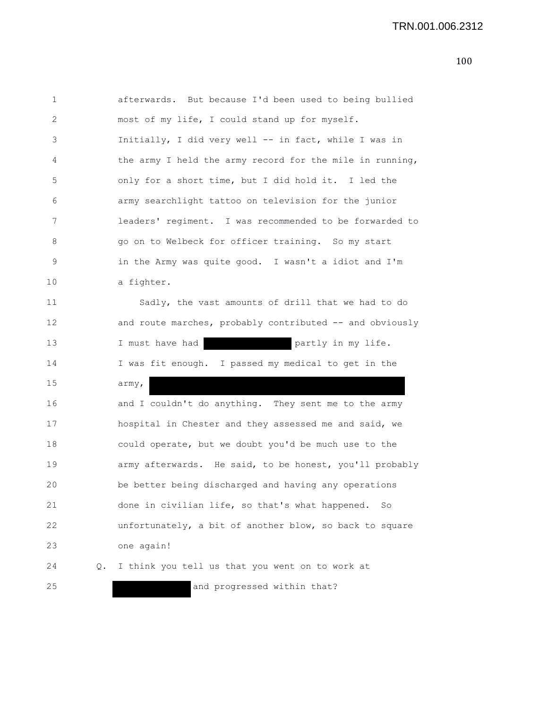```
1 afterwards. But because I'd been used to being bullied
2 most of my life, I could stand up for myself.
3 Initially, I did very well -- in fact, while I was in
4 the army I held the army record for the mile in running,
5 only for a short time, but I did hold it. I led the
6 army searchlight tattoo on television for the junior
7 leaders' regiment. I was recommended to be forwarded to
8 go on to Welbeck for officer training. So my start
9 in the Army was quite good. I wasn't a idiot and I'm
10 a fighter.
11 Sadly, the vast amounts of drill that we had to do
12 and route marches, probably contributed -- and obviously
13 I must have had partly in my life.
14 I was fit enough. I passed my medical to get in the
15 army,
16 and I couldn't do anything. They sent me to the army
17 hospital in Chester and they assessed me and said, we
18 could operate, but we doubt you'd be much use to the
19 army afterwards. He said, to be honest, you'll probably
20 be better being discharged and having any operations
21 done in civilian life, so that's what happened. So
22 unfortunately, a bit of another blow, so back to square
23 one again!
24 Q. I think you tell us that you went on to work at
25 and progressed within that?
```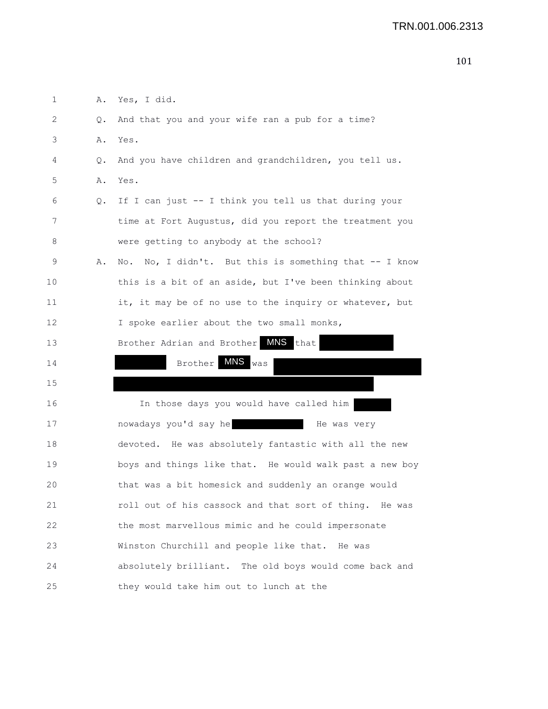| 1                 | Α. | Yes, I did.                                               |
|-------------------|----|-----------------------------------------------------------|
| 2                 | Q. | And that you and your wife ran a pub for a time?          |
| 3                 | Α. | Yes.                                                      |
| 4                 | Q. | And you have children and grandchildren, you tell us.     |
| 5                 | Α. | Yes.                                                      |
| 6                 | Q. | If I can just -- I think you tell us that during your     |
| 7                 |    | time at Fort Augustus, did you report the treatment you   |
| 8                 |    | were getting to anybody at the school?                    |
| 9                 | Α. | No, I didn't. But this is something that -- I know<br>No. |
| 10                |    | this is a bit of an aside, but I've been thinking about   |
| 11                |    | it, it may be of no use to the inquiry or whatever, but   |
| $12 \overline{ }$ |    | I spoke earlier about the two small monks,                |
| 13                |    | Brother Adrian and Brother MNS that                       |
| 14                |    | $MNS$ was<br>Brother                                      |
| 15                |    |                                                           |
| 16                |    | In those days you would have called him                   |
| 17                |    | nowadays you'd say he<br>He was very                      |
| 18                |    | devoted. He was absolutely fantastic with all the new     |
| 19                |    | boys and things like that. He would walk past a new boy   |
| 20                |    | that was a bit homesick and suddenly an orange would      |
| 21                |    | roll out of his cassock and that sort of thing. He was    |
| 22                |    | the most marvellous mimic and he could impersonate        |
| 23                |    | Winston Churchill and people like that. He was            |
| 24                |    | absolutely brilliant. The old boys would come back and    |
| 25                |    | they would take him out to lunch at the                   |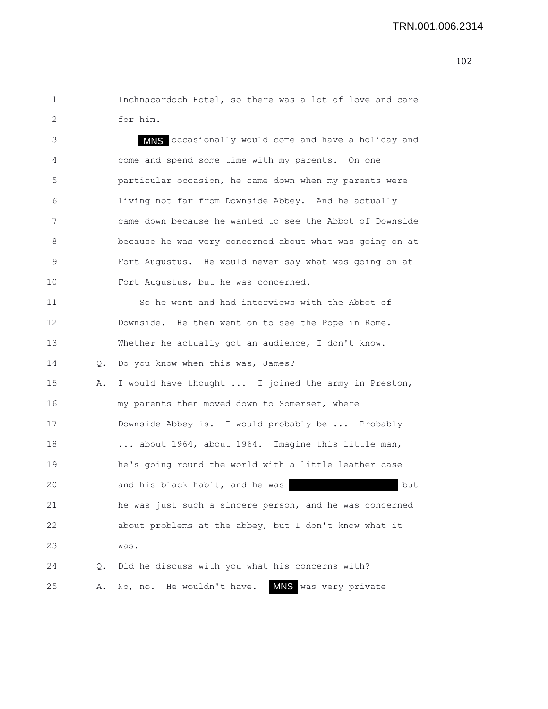1 Inchnacardoch Hotel, so there was a lot of love and care 2 for him.

3 MMS occasionally would come and have a holiday and 4 come and spend some time with my parents. On one 5 particular occasion, he came down when my parents were 6 living not far from Downside Abbey. And he actually 7 came down because he wanted to see the Abbot of Downside 8 because he was very concerned about what was going on at 9 Fort Augustus. He would never say what was going on at 10 Fort Augustus, but he was concerned. 11 So he went and had interviews with the Abbot of 12 Downside. He then went on to see the Pope in Rome. 13 Whether he actually got an audience, I don't know. 14 Q. Do you know when this was, James? 15 A. I would have thought ... I joined the army in Preston, 16 my parents then moved down to Somerset, where 17 Downside Abbey is. I would probably be ... Probably 18 ... about 1964, about 1964. Imagine this little man, 19 he's going round the world with a little leather case 20 and his black habit, and he was but 21 he was just such a sincere person, and he was concerned 22 about problems at the abbey, but I don't know what it 23 was. 24 Q. Did he discuss with you what his concerns with? 25 A. No, no. He wouldn't have. MNS was very private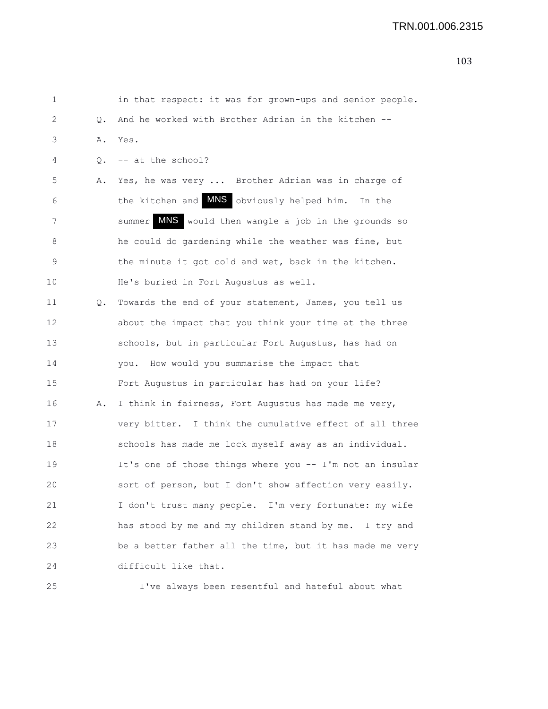1 in that respect: it was for grown-ups and senior people. 2 Q. And he worked with Brother Adrian in the kitchen -- 3 A. Yes. 4 Q. -- at the school? 5 A. Yes, he was very ... Brother Adrian was in charge of 6 the kitchen and **MNS** obviously helped him. In the 7 Summer MNS would then wangle a job in the grounds so 8 he could do gardening while the weather was fine, but 9 the minute it got cold and wet, back in the kitchen. 10 He's buried in Fort Augustus as well. 11 Q. Towards the end of your statement, James, you tell us 12 about the impact that you think your time at the three 13 schools, but in particular Fort Augustus, has had on 14 you. How would you summarise the impact that 15 Fort Augustus in particular has had on your life? 16 A. I think in fairness, Fort Augustus has made me very, 17 very bitter. I think the cumulative effect of all three 18 schools has made me lock myself away as an individual. 19 It's one of those things where you -- I'm not an insular 20 sort of person, but I don't show affection very easily. 21 I don't trust many people. I'm very fortunate: my wife 22 has stood by me and my children stand by me. I try and 23 be a better father all the time, but it has made me very 24 difficult like that. 25 I've always been resentful and hateful about what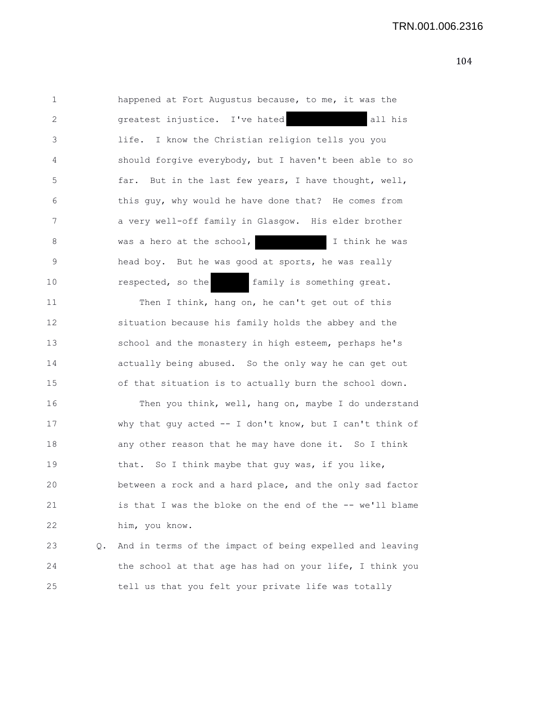1 happened at Fort Augustus because, to me, it was the 2 greatest injustice. I've hated all his 3 life. I know the Christian religion tells you you 4 should forgive everybody, but I haven't been able to so 5 far. But in the last few years, I have thought, well, 6 this guy, why would he have done that? He comes from 7 a very well-off family in Glasgow. His elder brother 8 was a hero at the school, I think he was 9 head boy. But he was good at sports, he was really 10 **respected, so the family is something great.** 11 Then I think, hang on, he can't get out of this 12 situation because his family holds the abbey and the 13 school and the monastery in high esteem, perhaps he's 14 actually being abused. So the only way he can get out 15 of that situation is to actually burn the school down. 16 Then you think, well, hang on, maybe I do understand 17 why that guy acted -- I don't know, but I can't think of 18 any other reason that he may have done it. So I think 19 that. So I think maybe that guy was, if you like, 20 between a rock and a hard place, and the only sad factor 21 is that I was the bloke on the end of the -- we'll blame 22 him, you know. 23 Q. And in terms of the impact of being expelled and leaving 24 the school at that age has had on your life, I think you

25 tell us that you felt your private life was totally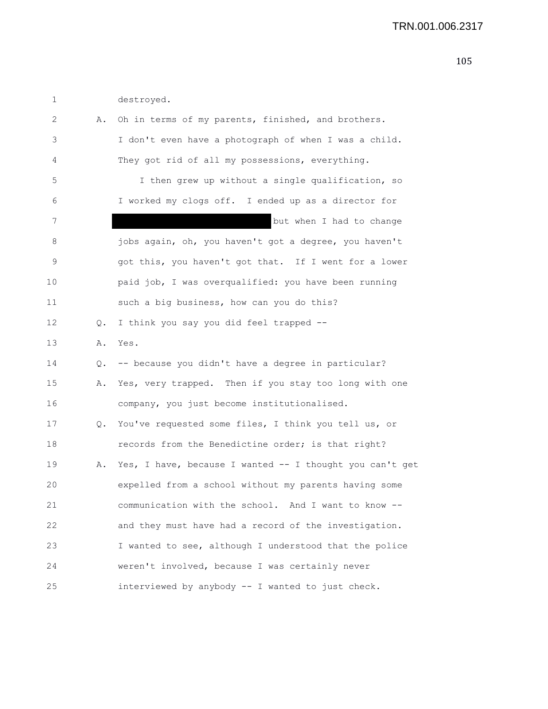| 1  |    | destroyed.                                               |
|----|----|----------------------------------------------------------|
| 2  | Α. | Oh in terms of my parents, finished, and brothers.       |
| 3  |    | I don't even have a photograph of when I was a child.    |
| 4  |    | They got rid of all my possessions, everything.          |
| 5  |    | I then grew up without a single qualification, so        |
| 6  |    | I worked my clogs off. I ended up as a director for      |
| 7  |    | but when I had to change                                 |
| 8  |    | jobs again, oh, you haven't got a degree, you haven't    |
| 9  |    | got this, you haven't got that. If I went for a lower    |
| 10 |    | paid job, I was overqualified: you have been running     |
| 11 |    | such a big business, how can you do this?                |
| 12 | Q. | I think you say you did feel trapped --                  |
| 13 | Α. | Yes.                                                     |
| 14 | Q. | -- because you didn't have a degree in particular?       |
| 15 | Α. | Yes, very trapped. Then if you stay too long with one    |
| 16 |    | company, you just become institutionalised.              |
| 17 | Q. | You've requested some files, I think you tell us, or     |
| 18 |    | records from the Benedictine order; is that right?       |
| 19 | Α. | Yes, I have, because I wanted -- I thought you can't get |
| 20 |    | expelled from a school without my parents having some    |
| 21 |    | communication with the school. And I want to know --     |
| 22 |    | and they must have had a record of the investigation.    |
| 23 |    | I wanted to see, although I understood that the police   |
| 24 |    | weren't involved, because I was certainly never          |
| 25 |    | interviewed by anybody -- I wanted to just check.        |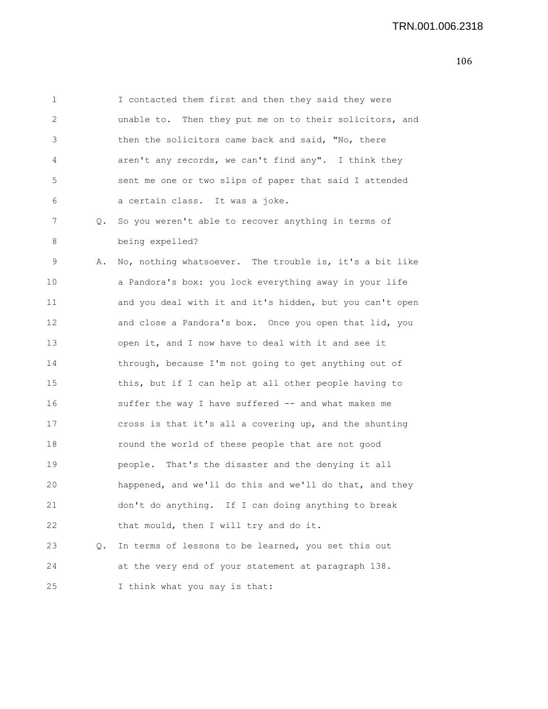1 I contacted them first and then they said they were 2 unable to. Then they put me on to their solicitors, and 3 then the solicitors came back and said, "No, there 4 aren't any records, we can't find any". I think they 5 sent me one or two slips of paper that said I attended 6 a certain class. It was a joke. 7 Q. So you weren't able to recover anything in terms of 8 being expelled? 9 A. No, nothing whatsoever. The trouble is, it's a bit like 10 a Pandora's box: you lock everything away in your life

11 and you deal with it and it's hidden, but you can't open 12 and close a Pandora's box. Once you open that lid, you 13 open it, and I now have to deal with it and see it 14 through, because I'm not going to get anything out of 15 this, but if I can help at all other people having to 16 suffer the way I have suffered -- and what makes me 17 cross is that it's all a covering up, and the shunting 18 round the world of these people that are not good 19 people. That's the disaster and the denying it all 20 happened, and we'll do this and we'll do that, and they 21 don't do anything. If I can doing anything to break 22 that mould, then I will try and do it. 23 Q. In terms of lessons to be learned, you set this out 24 at the very end of your statement at paragraph 138. 25 I think what you say is that: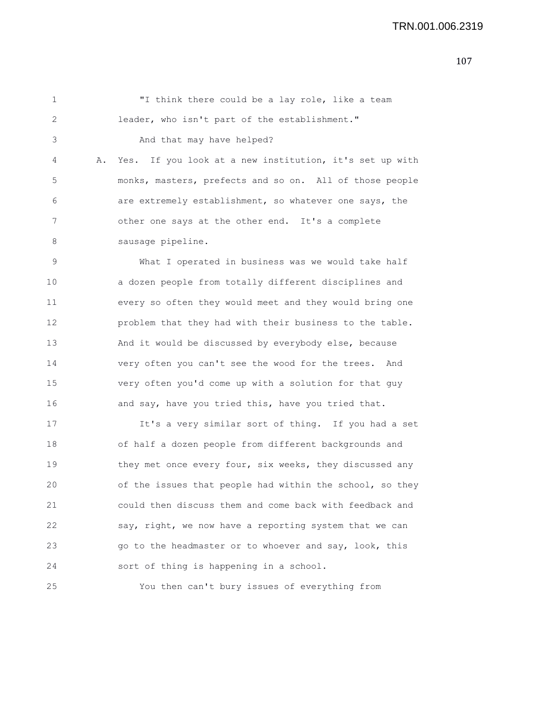1 "I think there could be a lay role, like a team 2 leader, who isn't part of the establishment." 3 And that may have helped? 4 A. Yes. If you look at a new institution, it's set up with 5 monks, masters, prefects and so on. All of those people 6 are extremely establishment, so whatever one says, the 7 other one says at the other end. It's a complete 8 sausage pipeline. 9 What I operated in business was we would take half 10 a dozen people from totally different disciplines and 11 every so often they would meet and they would bring one 12 problem that they had with their business to the table. 13 And it would be discussed by everybody else, because 14 very often you can't see the wood for the trees. And 15 very often you'd come up with a solution for that guy 16 and say, have you tried this, have you tried that. 17 It's a very similar sort of thing. If you had a set 18 of half a dozen people from different backgrounds and 19 they met once every four, six weeks, they discussed any 20 of the issues that people had within the school, so they

21 could then discuss them and come back with feedback and 22 say, right, we now have a reporting system that we can 23 go to the headmaster or to whoever and say, look, this 24 sort of thing is happening in a school.

25 You then can't bury issues of everything from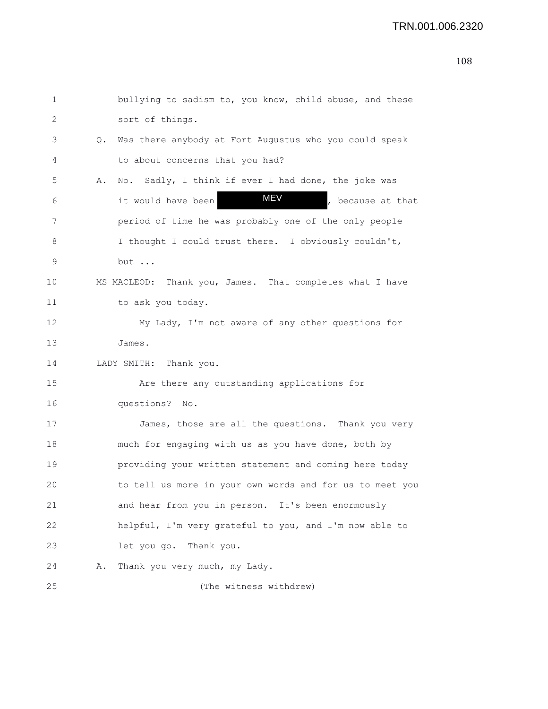| 1  |    | bullying to sadism to, you know, child abuse, and these   |
|----|----|-----------------------------------------------------------|
| 2  |    | sort of things.                                           |
| 3  |    | Q. Was there anybody at Fort Augustus who you could speak |
| 4  |    | to about concerns that you had?                           |
| 5  | Α. | No. Sadly, I think if ever I had done, the joke was       |
| 6  |    | MEV<br>, because at that<br>it would have been            |
| 7  |    | period of time he was probably one of the only people     |
| 8  |    | I thought I could trust there. I obviously couldn't,      |
| 9  |    | but                                                       |
| 10 |    | MS MACLEOD: Thank you, James. That completes what I have  |
| 11 |    | to ask you today.                                         |
| 12 |    | My Lady, I'm not aware of any other questions for         |
| 13 |    | James.                                                    |
| 14 |    | LADY SMITH: Thank you.                                    |
| 15 |    | Are there any outstanding applications for                |
| 16 |    | questions? No.                                            |
| 17 |    | James, those are all the questions. Thank you very        |
| 18 |    | much for engaging with us as you have done, both by       |
| 19 |    | providing your written statement and coming here today    |
| 20 |    | to tell us more in your own words and for us to meet you  |
| 21 |    | and hear from you in person. It's been enormously         |
| 22 |    | helpful, I'm very grateful to you, and I'm now able to    |
| 23 |    | let you go. Thank you.                                    |
| 24 | Α. | Thank you very much, my Lady.                             |
| 25 |    | (The witness withdrew)                                    |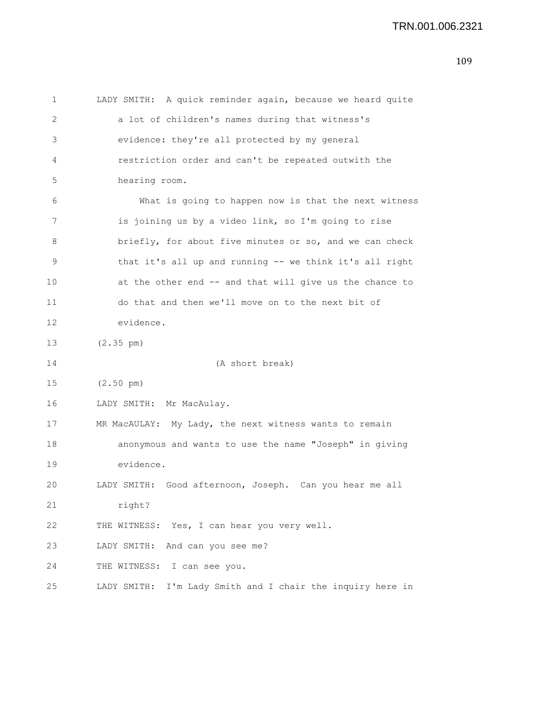1 LADY SMITH: A quick reminder again, because we heard quite 2 a lot of children's names during that witness's 3 evidence: they're all protected by my general 4 restriction order and can't be repeated outwith the 5 hearing room. 6 What is going to happen now is that the next witness 7 is joining us by a video link, so I'm going to rise 8 briefly, for about five minutes or so, and we can check 9 that it's all up and running -- we think it's all right 10 at the other end -- and that will give us the chance to 11 do that and then we'll move on to the next bit of 12 evidence. 13 (2.35 pm) 14 (A short break) 15 (2.50 pm) 16 LADY SMITH: Mr MacAulay. 17 MR MacAULAY: My Lady, the next witness wants to remain 18 anonymous and wants to use the name "Joseph" in giving 19 evidence. 20 LADY SMITH: Good afternoon, Joseph. Can you hear me all 21 right? 22 THE WITNESS: Yes, I can hear you very well. 23 LADY SMITH: And can you see me? 24 THE WITNESS: I can see you. 25 LADY SMITH: I'm Lady Smith and I chair the inquiry here in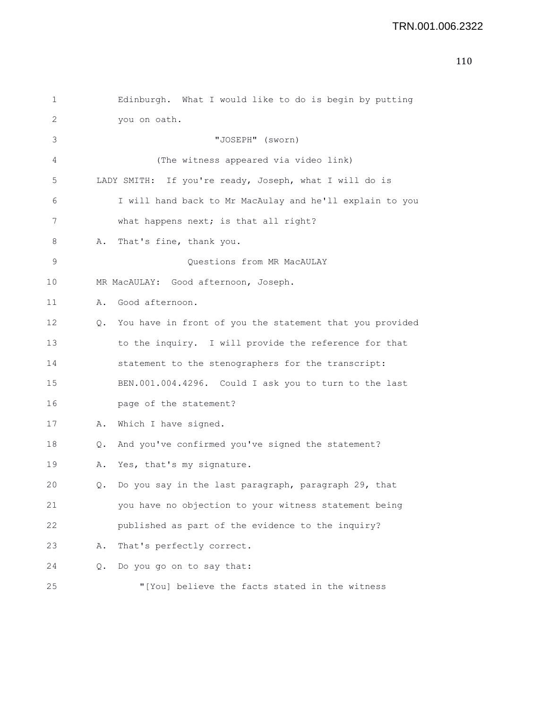```
1 Edinburgh. What I would like to do is begin by putting
2 you on oath.
3 "JOSEPH" (sworn)
4 (The witness appeared via video link)
5 LADY SMITH: If you're ready, Joseph, what I will do is
6 I will hand back to Mr MacAulay and he'll explain to you
7 what happens next; is that all right?
8 A. That's fine, thank you.
9 Questions from MR MacAULAY
10 MR MacAULAY: Good afternoon, Joseph.
11 A. Good afternoon.
12 Q. You have in front of you the statement that you provided
13 to the inquiry. I will provide the reference for that
14 statement to the stenographers for the transcript:
15 BEN.001.004.4296. Could I ask you to turn to the last
16 page of the statement?
17 A. Which I have signed.
18 Q. And you've confirmed you've signed the statement?
19 A. Yes, that's my signature.
20 Q. Do you say in the last paragraph, paragraph 29, that
21 you have no objection to your witness statement being
22 published as part of the evidence to the inquiry?
23 A. That's perfectly correct.
```
24 Q. Do you go on to say that:

25 "[You] believe the facts stated in the witness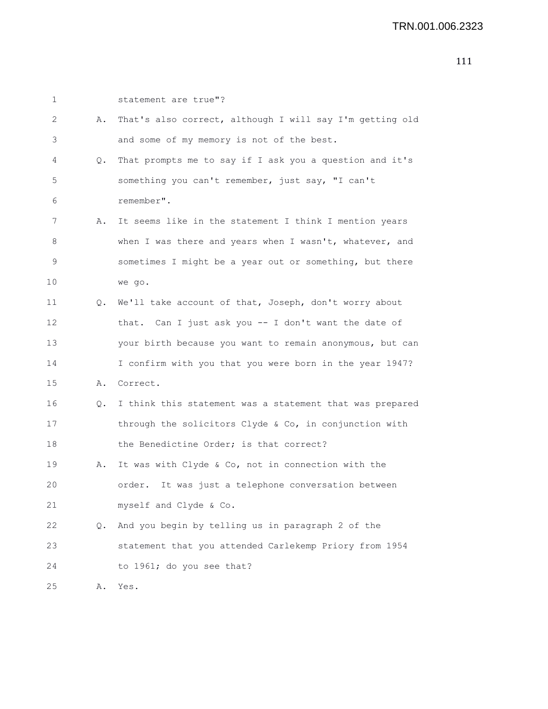| 1  |           | statement are true"?                                     |
|----|-----------|----------------------------------------------------------|
| 2  | Α.        | That's also correct, although I will say I'm getting old |
| 3  |           | and some of my memory is not of the best.                |
| 4  | Q.        | That prompts me to say if I ask you a question and it's  |
| 5  |           | something you can't remember, just say, "I can't         |
| 6  |           | remember".                                               |
| 7  | Α.        | It seems like in the statement I think I mention years   |
| 8  |           | when I was there and years when I wasn't, whatever, and  |
| 9  |           | sometimes I might be a year out or something, but there  |
| 10 |           | we go.                                                   |
| 11 | Q.        | We'll take account of that, Joseph, don't worry about    |
| 12 |           | that. Can I just ask you -- I don't want the date of     |
| 13 |           | your birth because you want to remain anonymous, but can |
| 14 |           | I confirm with you that you were born in the year 1947?  |
| 15 |           | A. Correct.                                              |
| 16 | $\circ$ . | I think this statement was a statement that was prepared |
| 17 |           | through the solicitors Clyde & Co, in conjunction with   |
| 18 |           | the Benedictine Order; is that correct?                  |
| 19 | Α.        | It was with Clyde & Co, not in connection with the       |
| 20 |           | It was just a telephone conversation between<br>order.   |
| 21 |           | myself and Clyde & Co.                                   |
| 22 | Q.        | And you begin by telling us in paragraph 2 of the        |
| 23 |           | statement that you attended Carlekemp Priory from 1954   |
| 24 |           | to 1961; do you see that?                                |
| 25 | Α.        | Yes.                                                     |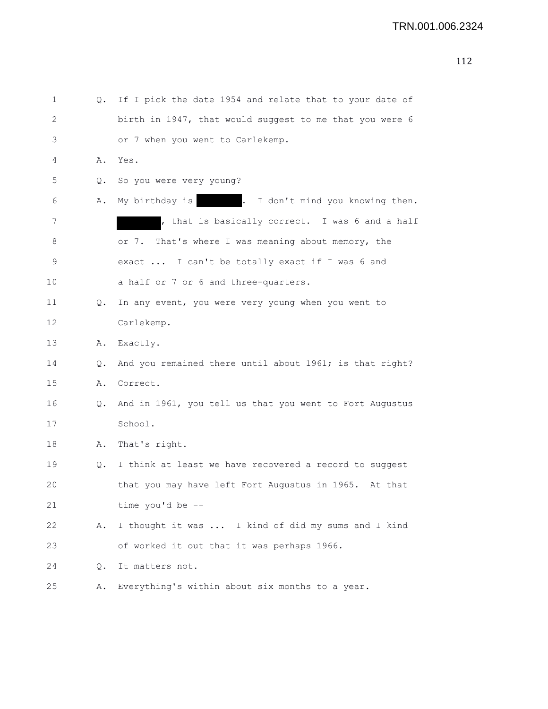| 1  | Q. | If I pick the date 1954 and relate that to your date of |
|----|----|---------------------------------------------------------|
| 2  |    | birth in 1947, that would suggest to me that you were 6 |
| 3  |    | or 7 when you went to Carlekemp.                        |
| 4  |    | A. Yes.                                                 |
| 5  | Q. | So you were very young?                                 |
| 6  | Α. | . I don't mind you knowing then.<br>My birthday is      |
| 7  |    | , that is basically correct. I was 6 and a half         |
| 8  |    | That's where I was meaning about memory, the<br>or 7.   |
| 9  |    | exact  I can't be totally exact if I was 6 and          |
| 10 |    | a half or 7 or 6 and three-quarters.                    |
| 11 | Q. | In any event, you were very young when you went to      |
| 12 |    | Carlekemp.                                              |
| 13 | Α. | Exactly.                                                |
| 14 | Q. | And you remained there until about 1961; is that right? |
| 15 | Α. | Correct.                                                |
| 16 | Q. | And in 1961, you tell us that you went to Fort Augustus |
| 17 |    | School.                                                 |
| 18 | Α. | That's right.                                           |
| 19 | 0. | I think at least we have recovered a record to suggest  |
| 20 |    | that you may have left Fort Augustus in 1965. At that   |
| 21 |    | time you'd be --                                        |
| 22 | Α. | I thought it was  I kind of did my sums and I kind      |
| 23 |    | of worked it out that it was perhaps 1966.              |
| 24 | Q. | It matters not.                                         |
| 25 | Α. | Everything's within about six months to a year.         |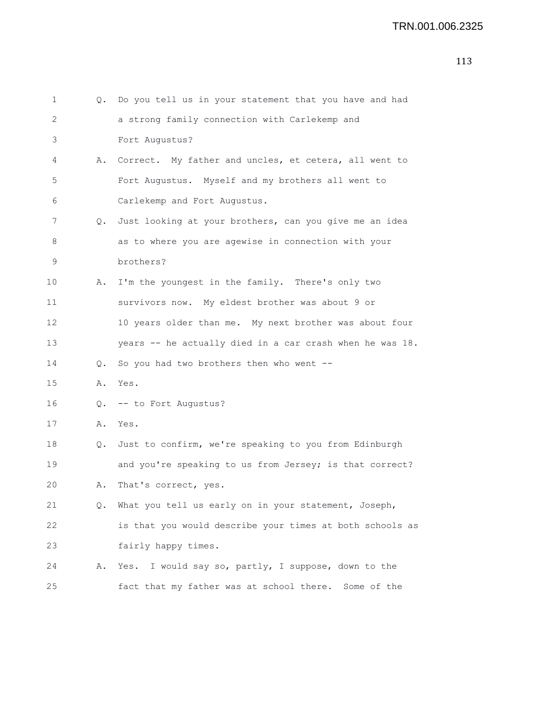| 1  | Q. | Do you tell us in your statement that you have and had    |
|----|----|-----------------------------------------------------------|
| 2  |    | a strong family connection with Carlekemp and             |
| 3  |    | Fort Augustus?                                            |
| 4  | Α. | Correct. My father and uncles, et cetera, all went to     |
| 5  |    | Fort Augustus. Myself and my brothers all went to         |
| 6  |    | Carlekemp and Fort Augustus.                              |
| 7  |    | Q. Just looking at your brothers, can you give me an idea |
| 8  |    | as to where you are agewise in connection with your       |
| 9  |    | brothers?                                                 |
| 10 | Α. | I'm the youngest in the family. There's only two          |
| 11 |    | survivors now. My eldest brother was about 9 or           |
| 12 |    | 10 years older than me. My next brother was about four    |
| 13 |    | years -- he actually died in a car crash when he was 18.  |
| 14 | 0. | So you had two brothers then who went --                  |
| 15 | Α. | Yes.                                                      |
| 16 |    | Q. -- to Fort Augustus?                                   |
| 17 | Α. | Yes.                                                      |
| 18 | Q. | Just to confirm, we're speaking to you from Edinburgh     |
| 19 |    | and you're speaking to us from Jersey; is that correct?   |
| 20 | Α. | That's correct, yes.                                      |
| 21 | Q. | What you tell us early on in your statement, Joseph,      |
| 22 |    | is that you would describe your times at both schools as  |
| 23 |    | fairly happy times.                                       |
| 24 | Α. | Yes. I would say so, partly, I suppose, down to the       |
| 25 |    | fact that my father was at school there. Some of the      |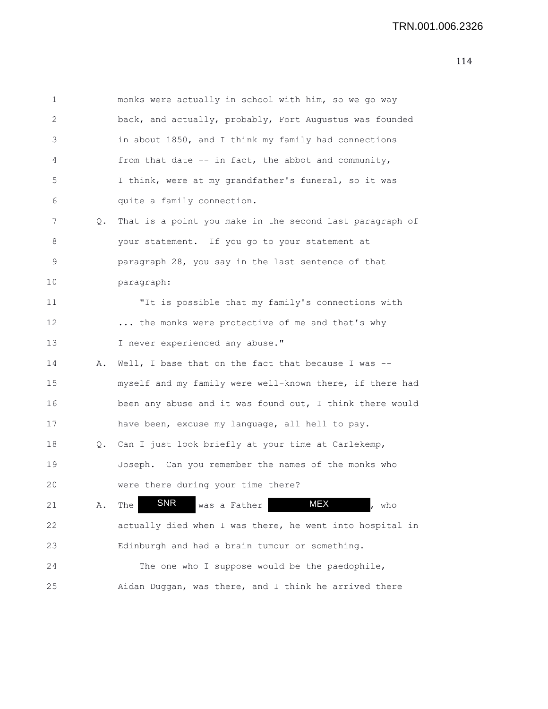| $\mathbf 1$    |    | monks were actually in school with him, so we go way     |
|----------------|----|----------------------------------------------------------|
| $\overline{2}$ |    | back, and actually, probably, Fort Augustus was founded  |
| 3              |    | in about 1850, and I think my family had connections     |
| 4              |    | from that date -- in fact, the abbot and community,      |
| 5              |    | I think, were at my grandfather's funeral, so it was     |
| 6              |    | quite a family connection.                               |
| 7              | Q. | That is a point you make in the second last paragraph of |
| 8              |    | your statement. If you go to your statement at           |
| 9              |    | paragraph 28, you say in the last sentence of that       |
| 10             |    | paragraph:                                               |
| 11             |    | "It is possible that my family's connections with        |
| 12             |    | the monks were protective of me and that's why           |
| 13             |    | I never experienced any abuse."                          |
| 14             | Α. | Well, I base that on the fact that because I was --      |
| 15             |    | myself and my family were well-known there, if there had |
| 16             |    | been any abuse and it was found out, I think there would |
| 17             |    | have been, excuse my language, all hell to pay.          |
| 18             |    | Q. Can I just look briefly at your time at Carlekemp,    |
| 19             |    | Joseph. Can you remember the names of the monks who      |
| 20             |    | were there during your time there?                       |
| 21             | Α. | <b>SNR</b><br>MEX<br>was a Father<br>The<br>who          |
| 22             |    | actually died when I was there, he went into hospital in |
| 23             |    | Edinburgh and had a brain tumour or something.           |
| 24             |    | The one who I suppose would be the paedophile,           |
| 25             |    | Aidan Duggan, was there, and I think he arrived there    |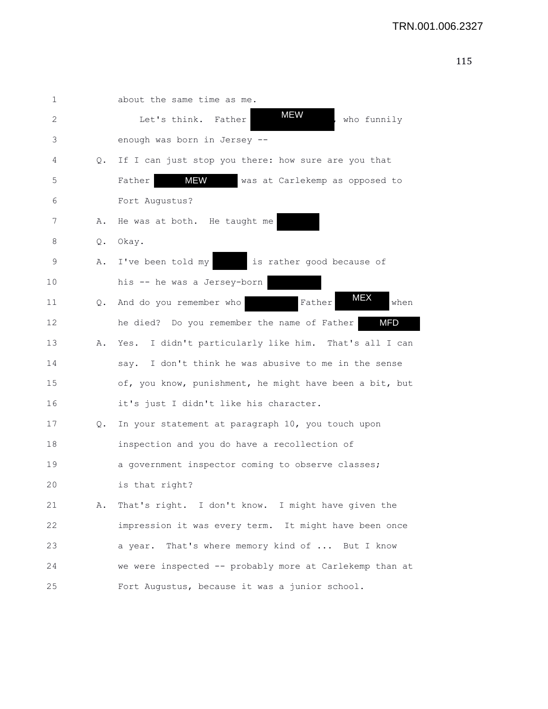| 1  |    | about the same time as me.                                |
|----|----|-----------------------------------------------------------|
| 2  |    | <b>MEW</b><br>Let's think.<br>Father<br>who funnily       |
| 3  |    | enough was born in Jersey --                              |
| 4  | Q. | If I can just stop you there: how sure are you that       |
| 5  |    | <b>MEW</b><br>was at Carlekemp as opposed to<br>Father    |
| 6  |    | Fort Augustus?                                            |
| 7  | Α. | He was at both. He taught me                              |
| 8  | Q. | Okay.                                                     |
| 9  | Α. | I've been told my<br>is rather good because of            |
| 10 |    | his -- he was a Jersey-born                               |
| 11 | Q. | <b>MEX</b><br>And do you remember who<br>Father<br>when   |
| 12 |    | <b>MFD</b><br>he died? Do you remember the name of Father |
| 13 | Α. | I didn't particularly like him. That's all I can<br>Yes.  |
| 14 |    | say. I don't think he was abusive to me in the sense      |
| 15 |    | of, you know, punishment, he might have been a bit, but   |
| 16 |    | it's just I didn't like his character.                    |
| 17 | Q. | In your statement at paragraph 10, you touch upon         |
| 18 |    | inspection and you do have a recollection of              |
| 19 |    | a government inspector coming to observe classes;         |
| 20 |    | is that right?                                            |
| 21 | Α. | That's right. I don't know. I might have given the        |
| 22 |    | impression it was every term. It might have been once     |
| 23 |    | a year. That's where memory kind of  But I know           |
| 24 |    | we were inspected -- probably more at Carlekemp than at   |
| 25 |    | Fort Augustus, because it was a junior school.            |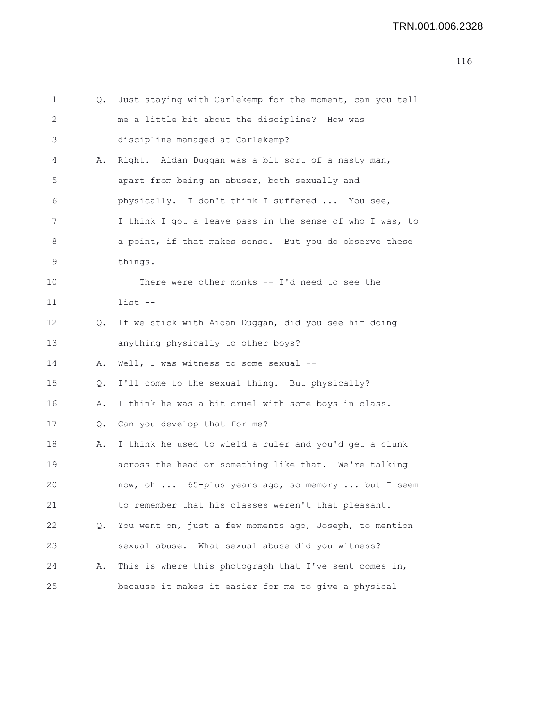```
2 me a little bit about the discipline? How was
3 discipline managed at Carlekemp?
4 A. Right. Aidan Duggan was a bit sort of a nasty man,
5 apart from being an abuser, both sexually and
6 physically. I don't think I suffered ... You see,
7 I think I got a leave pass in the sense of who I was, to
8 a a point, if that makes sense. But you do observe these
9 things.
10 There were other monks -- I'd need to see the
11 list --
12 Q. If we stick with Aidan Duggan, did you see him doing
13 anything physically to other boys?
14 A. Well, I was witness to some sexual --
15 Q. I'll come to the sexual thing. But physically?
16 A. I think he was a bit cruel with some boys in class.
17 Q. Can you develop that for me?
18 A. I think he used to wield a ruler and you'd get a clunk
19 across the head or something like that. We're talking
20 now, oh ... 65-plus years ago, so memory ... but I seem
21 to remember that his classes weren't that pleasant.
22 Q. You went on, just a few moments ago, Joseph, to mention
23 sexual abuse. What sexual abuse did you witness?
24 A. This is where this photograph that I've sent comes in,
25 because it makes it easier for me to give a physical
```
1 Q. Just staying with Carlekemp for the moment, can you tell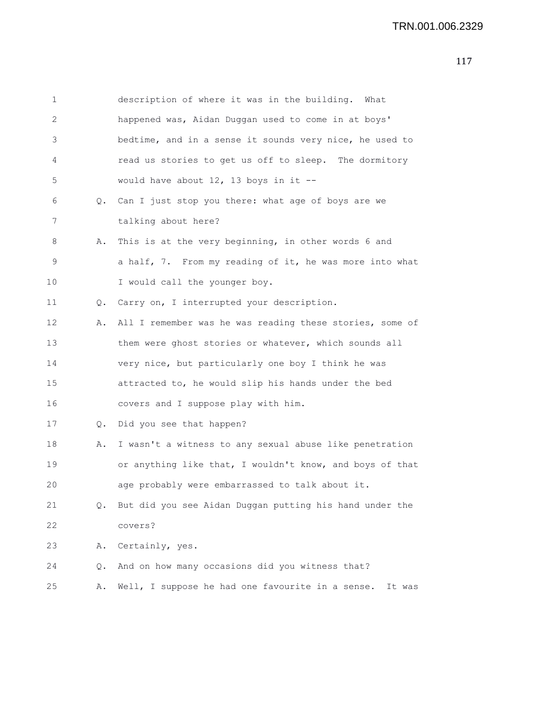| 1  |    | description of where it was in the building. What          |
|----|----|------------------------------------------------------------|
| 2  |    | happened was, Aidan Duggan used to come in at boys'        |
| 3  |    | bedtime, and in a sense it sounds very nice, he used to    |
| 4  |    | read us stories to get us off to sleep. The dormitory      |
| 5  |    | would have about $12$ , 13 boys in it --                   |
| 6  |    | Q. Can I just stop you there: what age of boys are we      |
| 7  |    | talking about here?                                        |
| 8  | Α. | This is at the very beginning, in other words 6 and        |
| 9  |    | a half, 7. From my reading of it, he was more into what    |
| 10 |    | I would call the younger boy.                              |
| 11 | Q. | Carry on, I interrupted your description.                  |
| 12 | Α. | All I remember was he was reading these stories, some of   |
| 13 |    | them were ghost stories or whatever, which sounds all      |
| 14 |    | very nice, but particularly one boy I think he was         |
| 15 |    | attracted to, he would slip his hands under the bed        |
| 16 |    | covers and I suppose play with him.                        |
| 17 | Q. | Did you see that happen?                                   |
| 18 | Α. | I wasn't a witness to any sexual abuse like penetration    |
| 19 |    | or anything like that, I wouldn't know, and boys of that   |
| 20 |    | age probably were embarrassed to talk about it.            |
| 21 | Q. | But did you see Aidan Duggan putting his hand under the    |
| 22 |    | covers?                                                    |
| 23 | Α. | Certainly, yes.                                            |
| 24 | Q. | And on how many occasions did you witness that?            |
| 25 | Α. | Well, I suppose he had one favourite in a sense.<br>It was |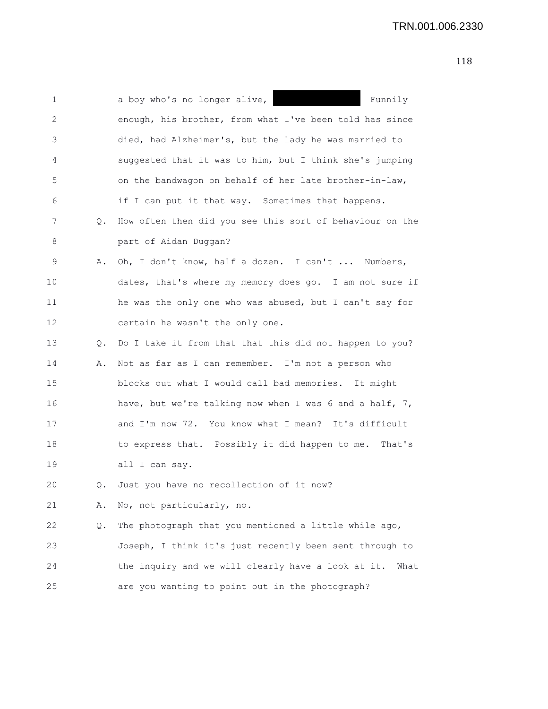| 1  |    | a boy who's no longer alive,  <br>Funnily                  |
|----|----|------------------------------------------------------------|
| 2  |    | enough, his brother, from what I've been told has since    |
| 3  |    | died, had Alzheimer's, but the lady he was married to      |
| 4  |    | suggested that it was to him, but I think she's jumping    |
| 5  |    | on the bandwagon on behalf of her late brother-in-law,     |
| 6  |    | if I can put it that way. Sometimes that happens.          |
| 7  | Q. | How often then did you see this sort of behaviour on the   |
| 8  |    | part of Aidan Duggan?                                      |
| 9  | Α. | Oh, I don't know, half a dozen. I can't  Numbers,          |
| 10 |    | dates, that's where my memory does go. I am not sure if    |
| 11 |    | he was the only one who was abused, but I can't say for    |
| 12 |    | certain he wasn't the only one.                            |
| 13 | Q. | Do I take it from that that this did not happen to you?    |
| 14 | Α. | Not as far as I can remember. I'm not a person who         |
| 15 |    | blocks out what I would call bad memories. It might        |
| 16 |    | have, but we're talking now when I was 6 and a half, 7,    |
| 17 |    | and I'm now 72. You know what I mean? It's difficult       |
| 18 |    | to express that. Possibly it did happen to me. That's      |
| 19 |    | all I can say.                                             |
| 20 | Q. | Just you have no recollection of it now?                   |
| 21 | Α. | No, not particularly, no.                                  |
| 22 | Q. | The photograph that you mentioned a little while ago,      |
| 23 |    | Joseph, I think it's just recently been sent through to    |
| 24 |    | the inquiry and we will clearly have a look at it.<br>What |
| 25 |    | are you wanting to point out in the photograph?            |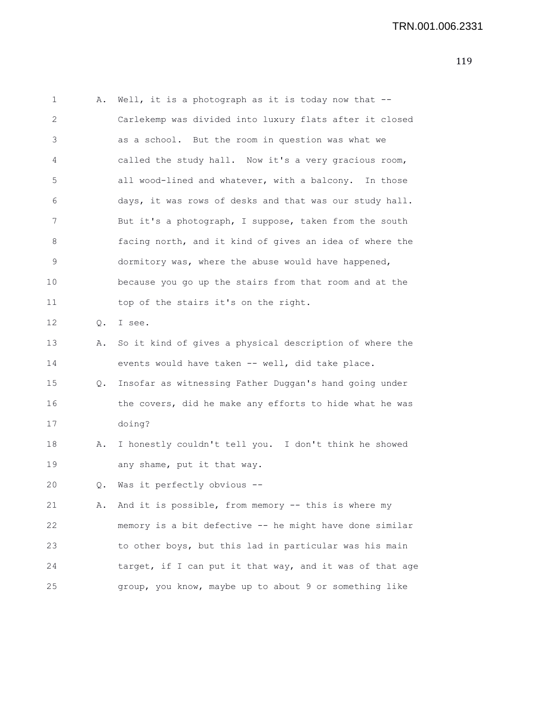1 A. Well, it is a photograph as it is today now that -- 2 Carlekemp was divided into luxury flats after it closed 3 as a school. But the room in question was what we 4 called the study hall. Now it's a very gracious room, 5 all wood-lined and whatever, with a balcony. In those 6 days, it was rows of desks and that was our study hall. 7 But it's a photograph, I suppose, taken from the south 8 facing north, and it kind of gives an idea of where the 9 dormitory was, where the abuse would have happened, 10 because you go up the stairs from that room and at the 11 top of the stairs it's on the right. 12 Q. I see. 13 A. So it kind of gives a physical description of where the 14 events would have taken -- well, did take place. 15 Q. Insofar as witnessing Father Duggan's hand going under 16 the covers, did he make any efforts to hide what he was 17 doing? 18 A. I honestly couldn't tell you. I don't think he showed 19 any shame, put it that way. 20 Q. Was it perfectly obvious -- 21 A. And it is possible, from memory -- this is where my 22 memory is a bit defective -- he might have done similar 23 to other boys, but this lad in particular was his main 24 target, if I can put it that way, and it was of that age 25 group, you know, maybe up to about 9 or something like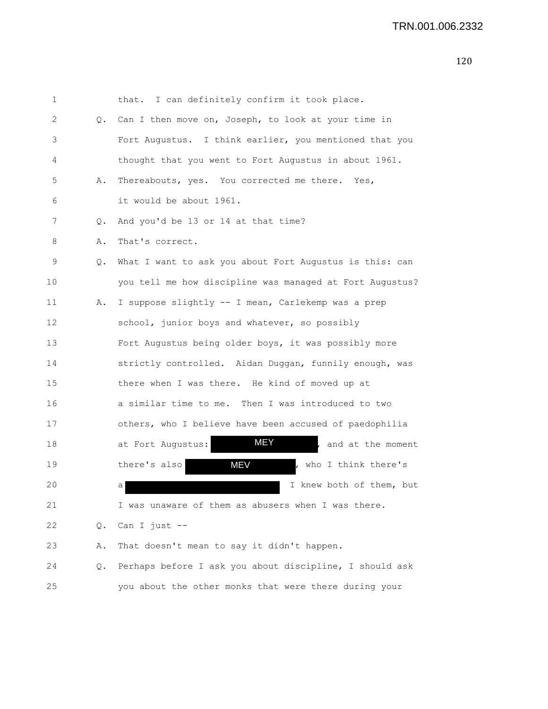| 1  |    | I can definitely confirm it took place.<br>that.         |
|----|----|----------------------------------------------------------|
| 2  | Q. | Can I then move on, Joseph, to look at your time in      |
| 3  |    | Fort Augustus. I think earlier, you mentioned that you   |
| 4  |    | thought that you went to Fort Augustus in about 1961.    |
| 5  | Α. | Thereabouts, yes. You corrected me there. Yes,           |
| 6  |    | it would be about 1961.                                  |
| 7  | Q. | And you'd be 13 or 14 at that time?                      |
| 8  | Α. | That's correct.                                          |
| 9  | Q. | What I want to ask you about Fort Augustus is this: can  |
| 10 |    | you tell me how discipline was managed at Fort Augustus? |
| 11 | Α. | I suppose slightly -- I mean, Carlekemp was a prep       |
| 12 |    | school, junior boys and whatever, so possibly            |
| 13 |    | Fort Augustus being older boys, it was possibly more     |
| 14 |    | strictly controlled. Aidan Duggan, funnily enough, was   |
| 15 |    | there when I was there. He kind of moved up at           |
| 16 |    | a similar time to me. Then I was introduced to two       |
| 17 |    | others, who I believe have been accused of paedophilia   |
| 18 |    | MEY<br>at Fort Augustus:<br>and at the moment            |
| 19 |    | <b>MEV</b><br>who I think there's<br>there's also        |
| 20 |    | I knew both of them, but<br>а                            |
| 21 |    | I was unaware of them as abusers when I was there.       |
| 22 | Q. | Can I just --                                            |
| 23 | Α. | That doesn't mean to say it didn't happen.               |
| 24 | Q. | Perhaps before I ask you about discipline, I should ask  |
| 25 |    | you about the other monks that were there during your    |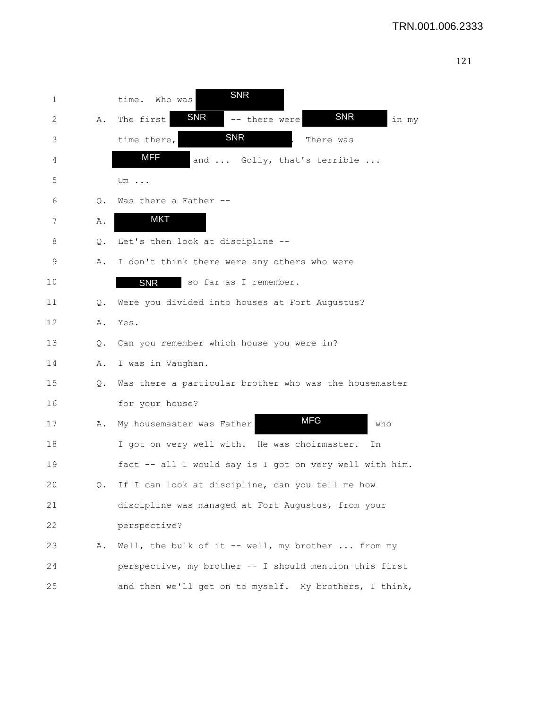| 1  |    | <b>SNR</b><br>time.<br>Who was                           |
|----|----|----------------------------------------------------------|
| 2  | Α. | SNR<br><b>SNR</b><br>The first<br>-- there were<br>in my |
| 3  |    | <b>SNR</b><br>time there,<br>There was                   |
| 4  |    | <b>MFF</b><br>and  Golly, that's terrible                |
| 5  |    | Um $\ldots$                                              |
| 6  | Q. | Was there a Father --                                    |
| 7  | Α. | <b>MKT</b>                                               |
| 8  | Q. | Let's then look at discipline --                         |
| 9  | Α. | I don't think there were any others who were             |
| 10 |    | <b>SNR</b><br>so far as I remember.                      |
| 11 | Q. | Were you divided into houses at Fort Augustus?           |
| 12 | Α. | Yes.                                                     |
| 13 | Q. | Can you remember which house you were in?                |
| 14 | Α. | I was in Vaughan.                                        |
| 15 | Q. | Was there a particular brother who was the housemaster   |
| 16 |    | for your house?                                          |
| 17 | Α. | <b>MFG</b><br>My housemaster was Father<br>who           |
| 18 |    | I got on very well with. He was choirmaster.<br>Ιn       |
| 19 |    | fact -- all I would say is I got on very well with him.  |
| 20 | Q. | If I can look at discipline, can you tell me how         |
| 21 |    | discipline was managed at Fort Augustus, from your       |
| 22 |    | perspective?                                             |
| 23 | Α. | Well, the bulk of it -- well, my brother  from my        |
| 24 |    | perspective, my brother -- I should mention this first   |
| 25 |    | and then we'll get on to myself. My brothers, I think,   |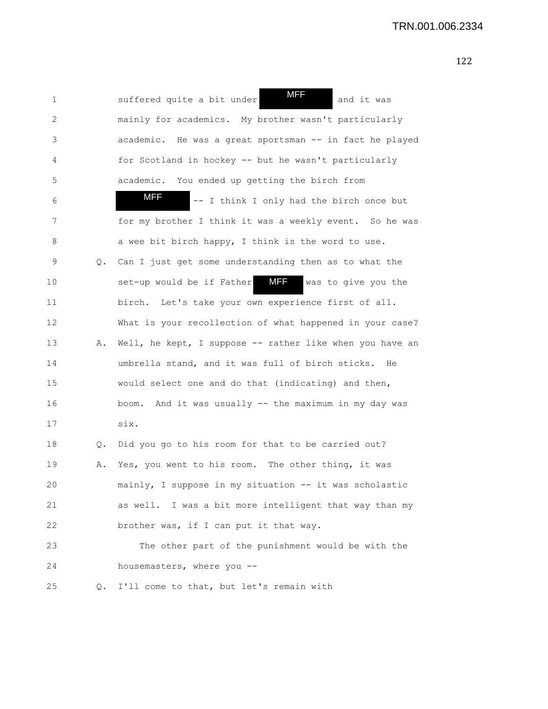| 1  |       | MFF<br>suffered quite a bit under<br>and it was                |
|----|-------|----------------------------------------------------------------|
| 2  |       | mainly for academics. My brother wasn't particularly           |
| 3  |       | academic. He was a great sportsman -- in fact he played        |
| 4  |       | for Scotland in hockey -- but he wasn't particularly           |
| 5  |       | academic. You ended up getting the birch from                  |
| 6  |       | MFF<br>-- I think I only had the birch once but                |
| 7  |       | for my brother I think it was a weekly event. So he was        |
| 8  |       | a wee bit birch happy, I think is the word to use.             |
| 9  | Q.    | Can I just get some understanding then as to what the          |
| 10 |       | <b>MFF</b><br>set-up would be if Father<br>was to give you the |
| 11 |       | birch. Let's take your own experience first of all.            |
| 12 |       | What is your recollection of what happened in your case?       |
| 13 | Α.    | Well, he kept, I suppose -- rather like when you have an       |
| 14 |       | umbrella stand, and it was full of birch sticks. He            |
| 15 |       | would select one and do that (indicating) and then,            |
| 16 |       | boom. And it was usually -- the maximum in my day was          |
| 17 |       | six.                                                           |
| 18 | $Q$ . | Did you go to his room for that to be carried out?             |
| 19 | Α.    | Yes, you went to his room. The other thing, it was             |
| 20 |       | mainly, I suppose in my situation -- it was scholastic         |
| 21 |       | as well. I was a bit more intelligent that way than my         |
| 22 |       | brother was, if I can put it that way.                         |
| 23 |       | The other part of the punishment would be with the             |
| 24 |       | housemasters, where you --                                     |
| 25 | Q.    | I'll come to that, but let's remain with                       |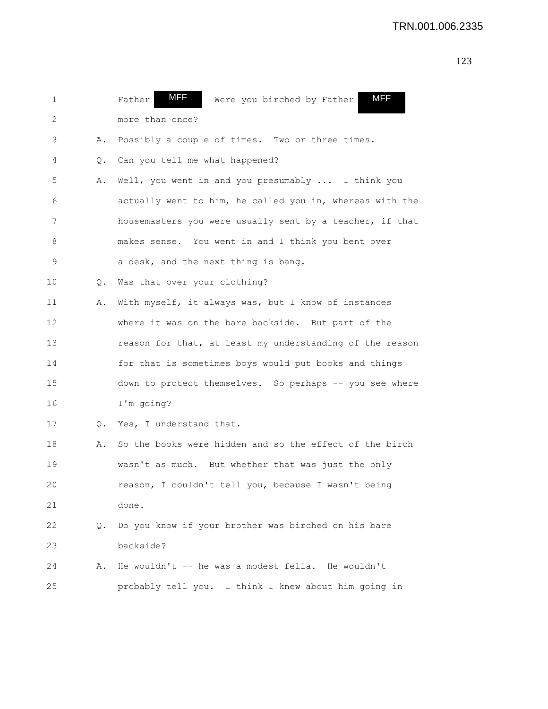| 1  |    | MFF<br><b>MFF</b><br>Father<br>Were you birched by Father |
|----|----|-----------------------------------------------------------|
| 2  |    | more than once?                                           |
| 3  | Α. | Possibly a couple of times. Two or three times.           |
| 4  | Q. | Can you tell me what happened?                            |
| 5  | Α. | Well, you went in and you presumably  I think you         |
| 6  |    | actually went to him, he called you in, whereas with the  |
| 7  |    | housemasters you were usually sent by a teacher, if that  |
| 8  |    | makes sense. You went in and I think you bent over        |
| 9  |    | a desk, and the next thing is bang.                       |
| 10 | Q. | Was that over your clothing?                              |
| 11 | Α. | With myself, it always was, but I know of instances       |
| 12 |    | where it was on the bare backside. But part of the        |
| 13 |    | reason for that, at least my understanding of the reason  |
| 14 |    | for that is sometimes boys would put books and things     |
| 15 |    | down to protect themselves. So perhaps -- you see where   |
| 16 |    | I'm going?                                                |
| 17 | Q. | Yes, I understand that.                                   |
| 18 | Α. | So the books were hidden and so the effect of the birch   |
| 19 |    | wasn't as much. But whether that was just the only        |
| 20 |    | reason, I couldn't tell you, because I wasn't being       |
| 21 |    | done.                                                     |
| 22 | Q. | Do you know if your brother was birched on his bare       |
| 23 |    | backside?                                                 |
| 24 | Α. | He wouldn't -- he was a modest fella. He wouldn't         |
| 25 |    | probably tell you. I think I knew about him going in      |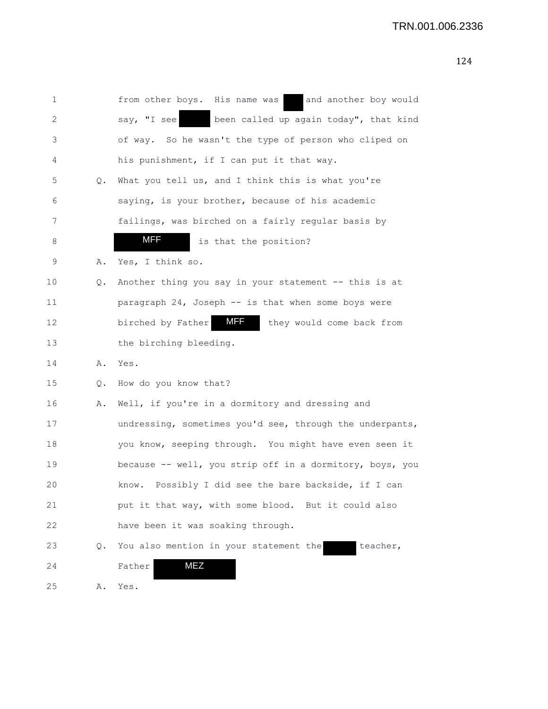| 1  |    | from other boys. His name was<br>and another boy would       |
|----|----|--------------------------------------------------------------|
| 2  |    | been called up again today", that kind<br>say, "I see        |
| 3  |    | of way. So he wasn't the type of person who cliped on        |
| 4  |    | his punishment, if I can put it that way.                    |
| 5  | Q. | What you tell us, and I think this is what you're            |
| 6  |    | saying, is your brother, because of his academic             |
| 7  |    | failings, was birched on a fairly regular basis by           |
| 8  |    | MFF<br>is that the position?                                 |
| 9  | Α. | Yes, I think so.                                             |
| 10 | Q. | Another thing you say in your statement -- this is at        |
| 11 |    | paragraph 24, Joseph -- is that when some boys were          |
| 12 |    | <b>MFF</b><br>birched by Father<br>they would come back from |
| 13 |    | the birching bleeding.                                       |
| 14 | Α. | Yes.                                                         |
| 15 | Q. | How do you know that?                                        |
| 16 | Α. | Well, if you're in a dormitory and dressing and              |
| 17 |    | undressing, sometimes you'd see, through the underpants,     |
| 18 |    | you know, seeping through. You might have even seen it       |
| 19 |    | because -- well, you strip off in a dormitory, boys, you     |
| 20 |    | Possibly I did see the bare backside, if I can<br>know.      |
| 21 |    | put it that way, with some blood. But it could also          |
| 22 |    | have been it was soaking through.                            |
| 23 | Q. | You also mention in your statement the<br>teacher,           |
| 24 |    | <b>MEZ</b><br>Father                                         |
| 25 | Α. | Yes.                                                         |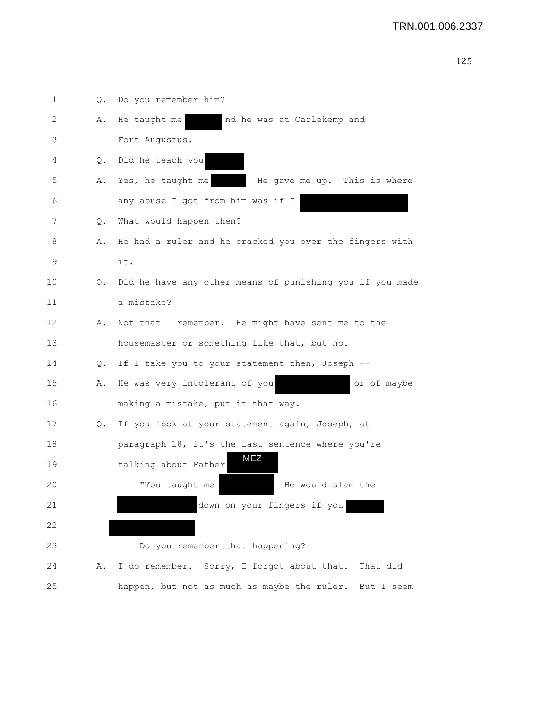| 1  | Q. | Do you remember him?                                     |
|----|----|----------------------------------------------------------|
| 2  | Α. | He taught me<br>nd he was at Carlekemp and               |
| 3  |    | Fort Augustus.                                           |
| 4  | Q. | Did he teach you                                         |
| 5  | Α. | Yes, he taught me<br>He gave me up. This is where        |
| 6  |    | any abuse I got from him was if I                        |
| 7  | Q. | What would happen then?                                  |
| 8  | Α. | He had a ruler and he cracked you over the fingers with  |
| 9  |    | it.                                                      |
| 10 | Q. | Did he have any other means of punishing you if you made |
| 11 |    | a mistake?                                               |
| 12 | Α. | Not that I remember. He might have sent me to the        |
| 13 |    | housemaster or something like that, but no.              |
| 14 | Q. | If I take you to your statement then, Joseph --          |
| 15 | Α. | He was very intolerant of you<br>or of maybe             |
| 16 |    | making a mistake, put it that way.                       |
| 17 | Q. | If you look at your statement again, Joseph, at          |
| 18 |    | paragraph 18, it's the last sentence where you're        |
| 19 |    | MEZ<br>talking about Father                              |
| 20 |    | "You taught me<br>He would slam the                      |
| 21 |    | down on your fingers if you                              |
| 22 |    |                                                          |
| 23 |    | Do you remember that happening?                          |
| 24 | Α. | I do remember. Sorry, I forgot about that. That did      |
| 25 |    | happen, but not as much as maybe the ruler. But I seem   |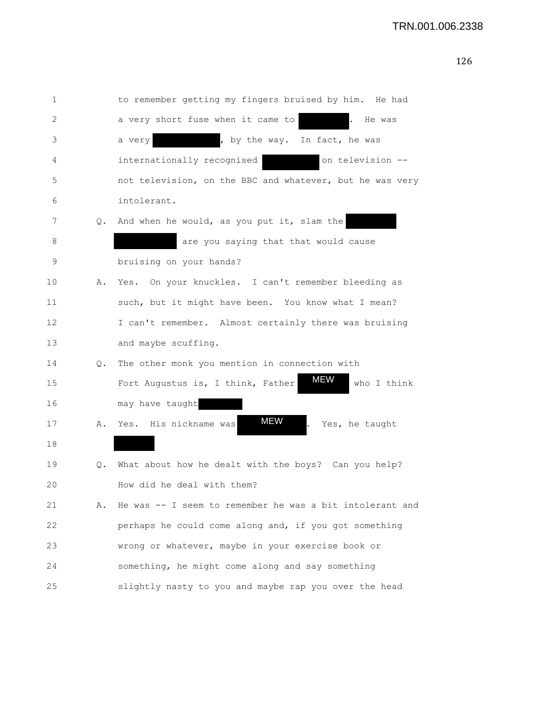| 1  |    | to remember getting my fingers bruised by him. He had          |
|----|----|----------------------------------------------------------------|
| 2  |    | a very short fuse when it came to<br>He was                    |
| 3  |    | , by the way. In fact, he was<br>a very                        |
| 4  |    | internationally recognised<br>on television --                 |
| 5  |    | not television, on the BBC and whatever, but he was very       |
| 6  |    | intolerant.                                                    |
| 7  | Q. | And when he would, as you put it, slam the                     |
| 8  |    | are you saying that that would cause                           |
| 9  |    | bruising on your hands?                                        |
| 10 | Α. | Yes. On your knuckles. I can't remember bleeding as            |
| 11 |    | such, but it might have been. You know what I mean?            |
| 12 |    | I can't remember. Almost certainly there was bruising          |
| 13 |    | and maybe scuffing.                                            |
| 14 | Q. | The other monk you mention in connection with                  |
| 15 |    | <b>MEW</b><br>Fort Augustus is, I think, Father<br>who I think |
| 16 |    | may have taught                                                |
| 17 | Α. | MEW<br>Yes. His nickname was<br>Yes, he taught                 |
| 18 |    |                                                                |
| 19 | Q. | What about how he dealt with the boys? Can you help?           |
| 20 |    | How did he deal with them?                                     |
| 21 | Α. | He was -- I seem to remember he was a bit intolerant and       |
| 22 |    | perhaps he could come along and, if you got something          |
| 23 |    | wrong or whatever, maybe in your exercise book or              |
| 24 |    | something, he might come along and say something               |
| 25 |    | slightly nasty to you and maybe rap you over the head          |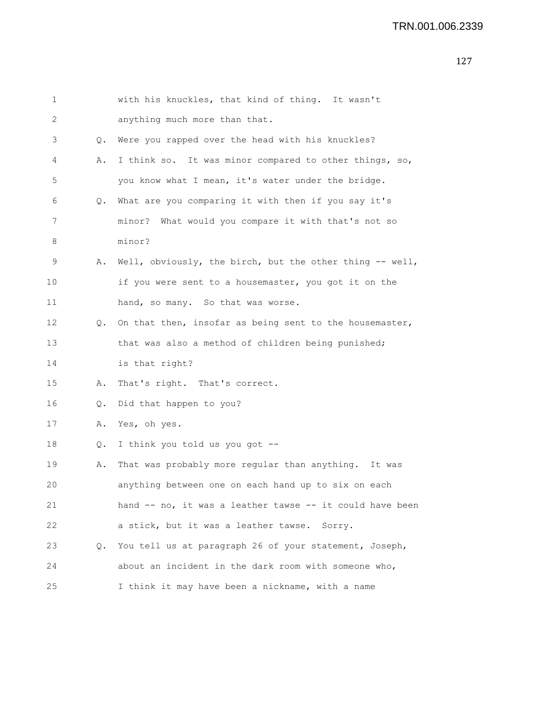## TRN.001.006.2339

| 1  |       | with his knuckles, that kind of thing. It wasn't         |
|----|-------|----------------------------------------------------------|
| 2  |       | anything much more than that.                            |
| 3  | $Q$ . | Were you rapped over the head with his knuckles?         |
| 4  | Α.    | I think so. It was minor compared to other things, so,   |
| 5  |       | you know what I mean, it's water under the bridge.       |
| 6  | Q.    | What are you comparing it with then if you say it's      |
| 7  |       | minor? What would you compare it with that's not so      |
| 8  |       | minor?                                                   |
| 9  | Α.    | Well, obviously, the birch, but the other thing -- well, |
| 10 |       | if you were sent to a housemaster, you got it on the     |
| 11 |       | hand, so many. So that was worse.                        |
| 12 | Q.    | On that then, insofar as being sent to the housemaster,  |
| 13 |       | that was also a method of children being punished;       |
| 14 |       | is that right?                                           |
| 15 | Α.    | That's right. That's correct.                            |
| 16 | Q.    | Did that happen to you?                                  |
| 17 | Α.    | Yes, oh yes.                                             |
| 18 | Q.    | I think you told us you got --                           |
| 19 | Α.    | That was probably more regular than anything. It was     |
| 20 |       | anything between one on each hand up to six on each      |
| 21 |       | hand -- no, it was a leather tawse -- it could have been |
| 22 |       | a stick, but it was a leather tawse. Sorry.              |
| 23 | Q.    | You tell us at paragraph 26 of your statement, Joseph,   |
| 24 |       | about an incident in the dark room with someone who,     |
|    |       |                                                          |

25 I think it may have been a nickname, with a name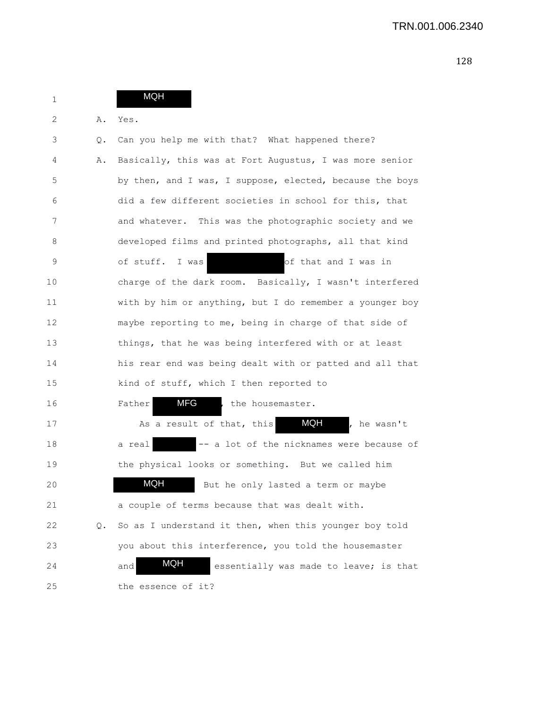| $\mathbf 1$ |    | <b>MQH</b>                                                  |
|-------------|----|-------------------------------------------------------------|
| 2           | Α. | Yes.                                                        |
| 3           | Q. | Can you help me with that? What happened there?             |
| 4           | Α. | Basically, this was at Fort Augustus, I was more senior     |
| 5           |    | by then, and I was, I suppose, elected, because the boys    |
| 6           |    | did a few different societies in school for this, that      |
| 7           |    | and whatever. This was the photographic society and we      |
| 8           |    | developed films and printed photographs, all that kind      |
| 9           |    | of that and I was in<br>of stuff.<br>I was                  |
| 10          |    | charge of the dark room. Basically, I wasn't interfered     |
| 11          |    | with by him or anything, but I do remember a younger boy    |
| 12          |    | maybe reporting to me, being in charge of that side of      |
| 13          |    | things, that he was being interfered with or at least       |
| 14          |    | his rear end was being dealt with or patted and all that    |
| 15          |    | kind of stuff, which I then reported to                     |
| 16          |    | MFG<br>, the housemaster.<br>Father                         |
| 17          |    | <b>MQH</b><br>As a result of that, this<br>, he wasn't      |
| 18          |    | -- a lot of the nicknames were because of<br>a real         |
| 19          |    | the physical looks or something. But we called him          |
| 20          |    | <b>MQH</b><br>But he only lasted a term or maybe            |
| 21          |    | a couple of terms because that was dealt with.              |
| 22          | Q. | So as I understand it then, when this younger boy told      |
| 23          |    | you about this interference, you told the housemaster       |
| 24          |    | <b>MQH</b><br>essentially was made to leave; is that<br>and |
| 25          |    | the essence of it?                                          |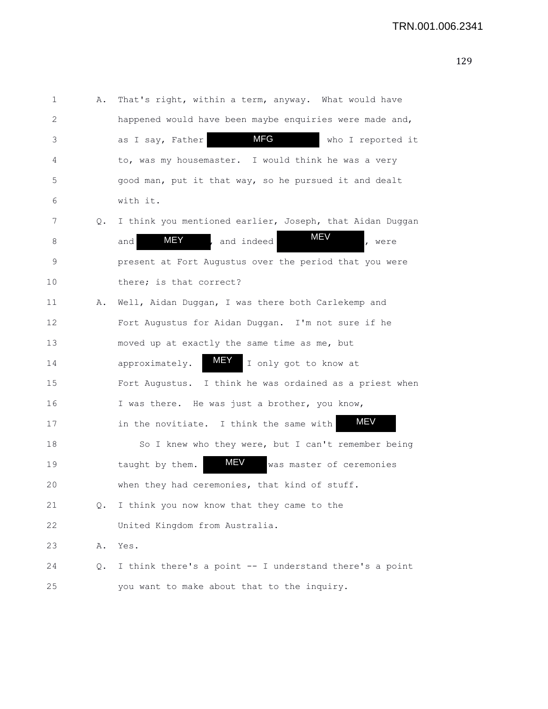1 A. That's right, within a term, anyway. What would have 2 happened would have been maybe enquiries were made and, 3 as I say, Father **MFG** who I reported it 4 to, was my housemaster. I would think he was a very 5 good man, put it that way, so he pursued it and dealt 6 with it. 7 Q. I think you mentioned earlier, Joseph, that Aidan Duggan 8 and MEY , and indeed MEV , were 9 present at Fort Augustus over the period that you were 10 there; is that correct? 11 A. Well, Aidan Duggan, I was there both Carlekemp and 12 Fort Augustus for Aidan Duggan. I'm not sure if he 13 moved up at exactly the same time as me, but 14 approximately.  $\blacksquare$  I only got to know at 15 Fort Augustus. I think he was ordained as a priest when 16 I was there. He was just a brother, you know, 17 in the novitiate. I think the same with 18 So I knew who they were, but I can't remember being 19 taught by them. MEV was master of ceremonies 20 when they had ceremonies, that kind of stuff. 21 Q. I think you now know that they came to the 22 United Kingdom from Australia. 23 A. Yes. 24 Q. I think there's a point -- I understand there's a point 25 you want to make about that to the inquiry. MFG MEY MEY MEV MEV MEV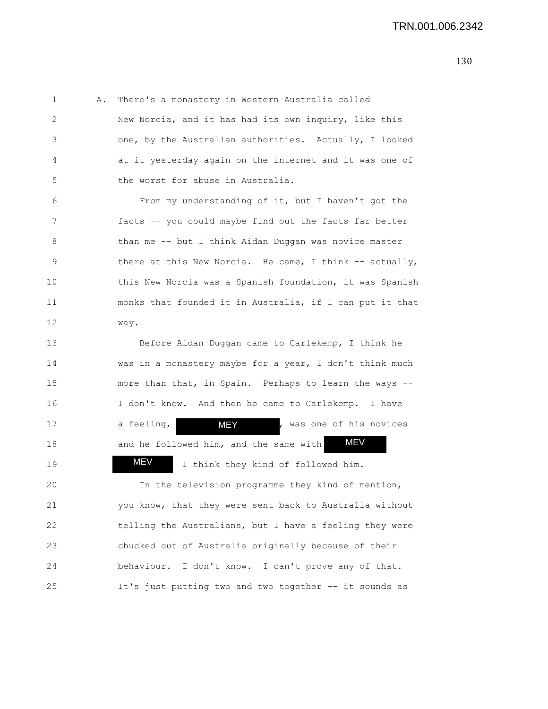1 A. There's a monastery in Western Australia called 2 New Norcia, and it has had its own inquiry, like this 3 one, by the Australian authorities. Actually, I looked 4 at it yesterday again on the internet and it was one of 5 the worst for abuse in Australia.

6 From my understanding of it, but I haven't got the 7 facts -- you could maybe find out the facts far better 8 than me -- but I think Aidan Duggan was novice master 9 there at this New Norcia. He came, I think -- actually, 10 this New Norcia was a Spanish foundation, it was Spanish 11 monks that founded it in Australia, if I can put it that 12 way.

13 Before Aidan Duggan came to Carlekemp, I think he 14 was in a monastery maybe for a year, I don't think much 15 more than that, in Spain. Perhaps to learn the ways -- 16 I don't know. And then he came to Carlekemp. I have 17 a feeling,  $M=Y$  , was one of his novices 18 and he followed him, and the same with 19 **MEV** I think they kind of followed him. 20 In the television programme they kind of mention, MEV MEY **MEV** 

21 you know, that they were sent back to Australia without 22 telling the Australians, but I have a feeling they were 23 chucked out of Australia originally because of their 24 behaviour. I don't know. I can't prove any of that. 25 It's just putting two and two together -- it sounds as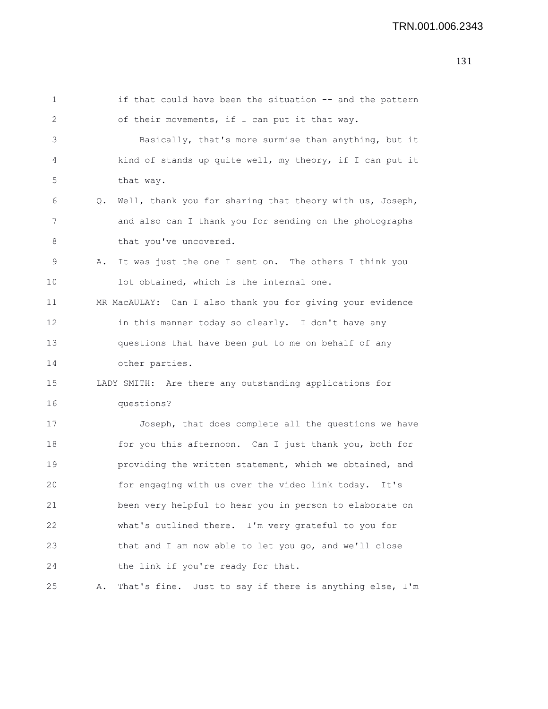| 1  | if that could have been the situation -- and the pattern       |
|----|----------------------------------------------------------------|
| 2  | of their movements, if I can put it that way.                  |
| 3  | Basically, that's more surmise than anything, but it           |
| 4  | kind of stands up quite well, my theory, if I can put it       |
| 5  | that way.                                                      |
| 6  | Well, thank you for sharing that theory with us, Joseph,<br>Q. |
| 7  | and also can I thank you for sending on the photographs        |
| 8  | that you've uncovered.                                         |
| 9  | It was just the one I sent on. The others I think you<br>Α.    |
| 10 | lot obtained, which is the internal one.                       |
| 11 | MR MacAULAY: Can I also thank you for giving your evidence     |
| 12 | in this manner today so clearly. I don't have any              |
| 13 | questions that have been put to me on behalf of any            |
| 14 | other parties.                                                 |
| 15 | LADY SMITH: Are there any outstanding applications for         |
| 16 | questions?                                                     |
| 17 | Joseph, that does complete all the questions we have           |
| 18 | for you this afternoon. Can I just thank you, both for         |
| 19 | providing the written statement, which we obtained, and        |
| 20 | for engaging with us over the video link today. It's           |
| 21 | been very helpful to hear you in person to elaborate on        |
| 22 | what's outlined there. I'm very grateful to you for            |
| 23 | that and I am now able to let you go, and we'll close          |
| 24 | the link if you're ready for that.                             |
| 25 | That's fine. Just to say if there is anything else, I'm<br>Α.  |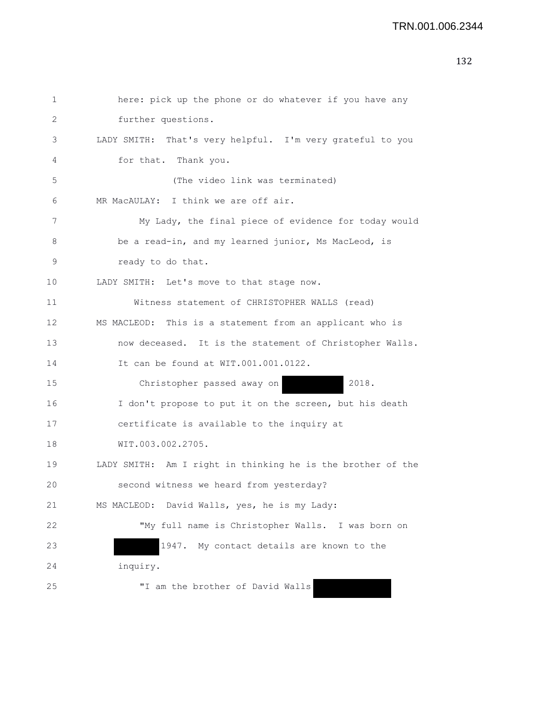| 1  | here: pick up the phone or do whatever if you have any      |
|----|-------------------------------------------------------------|
| 2  | further questions.                                          |
| 3  | LADY SMITH: That's very helpful. I'm very grateful to you   |
| 4  | for that. Thank you.                                        |
| 5  | (The video link was terminated)                             |
| 6  | MR MacAULAY: I think we are off air.                        |
| 7  | My Lady, the final piece of evidence for today would        |
| 8  | be a read-in, and my learned junior, Ms MacLeod, is         |
| 9  | ready to do that.                                           |
| 10 | LADY SMITH: Let's move to that stage now.                   |
| 11 | Witness statement of CHRISTOPHER WALLS (read)               |
| 12 | MS MACLEOD: This is a statement from an applicant who is    |
| 13 | now deceased. It is the statement of Christopher Walls.     |
| 14 | It can be found at WIT.001.001.0122.                        |
| 15 | 2018.<br>Christopher passed away on                         |
| 16 | I don't propose to put it on the screen, but his death      |
| 17 | certificate is available to the inquiry at                  |
| 18 | WIT.003.002.2705.                                           |
| 19 | LADY SMITH: Am I right in thinking he is the brother of the |
| 20 | second witness we heard from yesterday?                     |
| 21 | MS MACLEOD: David Walls, yes, he is my Lady:                |
| 22 | "My full name is Christopher Walls. I was born on           |
| 23 | 1947. My contact details are known to the                   |
| 24 | inquiry.                                                    |
| 25 | "I am the brother of David Walls                            |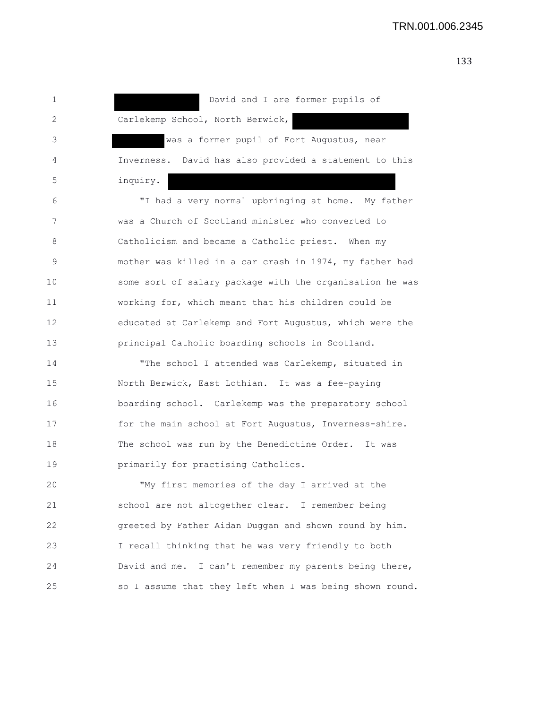1 David and I are former pupils of 2 Carlekemp School, North Berwick, 3 was a former pupil of Fort Augustus, near 4 Inverness. David has also provided a statement to this 5 inquiry. 6 "I had a very normal upbringing at home. My father 7 was a Church of Scotland minister who converted to 8 Catholicism and became a Catholic priest. When my 9 mother was killed in a car crash in 1974, my father had 10 some sort of salary package with the organisation he was 11 working for, which meant that his children could be 12 educated at Carlekemp and Fort Augustus, which were the 13 principal Catholic boarding schools in Scotland. 14 "The school I attended was Carlekemp, situated in 15 North Berwick, East Lothian. It was a fee-paying 16 boarding school. Carlekemp was the preparatory school 17 for the main school at Fort Augustus, Inverness-shire. 18 The school was run by the Benedictine Order. It was 19 **primarily for practising Catholics.** 20 "My first memories of the day I arrived at the 21 school are not altogether clear. I remember being 22 greeted by Father Aidan Duggan and shown round by him. 23 I recall thinking that he was very friendly to both 24 David and me. I can't remember my parents being there, 25 so I assume that they left when I was being shown round.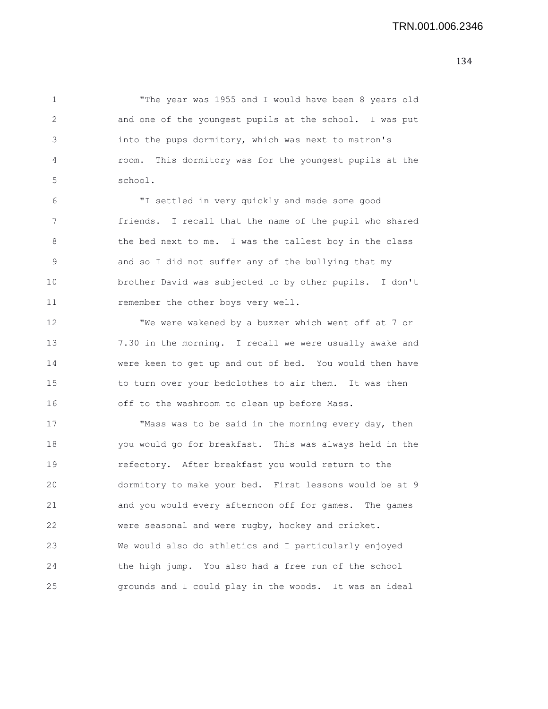1 "The year was 1955 and I would have been 8 years old 2 and one of the youngest pupils at the school. I was put 3 into the pups dormitory, which was next to matron's 4 room. This dormitory was for the youngest pupils at the 5 school.

6 "I settled in very quickly and made some good 7 friends. I recall that the name of the pupil who shared 8 the bed next to me. I was the tallest boy in the class 9 and so I did not suffer any of the bullying that my 10 brother David was subjected to by other pupils. I don't 11 remember the other boys very well.

12 "We were wakened by a buzzer which went off at 7 or 13 7.30 in the morning. I recall we were usually awake and 14 were keen to get up and out of bed. You would then have 15 to turn over your bedclothes to air them. It was then 16 off to the washroom to clean up before Mass.

17 "Mass was to be said in the morning every day, then 18 you would go for breakfast. This was always held in the 19 refectory. After breakfast you would return to the 20 dormitory to make your bed. First lessons would be at 9 21 and you would every afternoon off for games. The games 22 were seasonal and were rugby, hockey and cricket. 23 We would also do athletics and I particularly enjoyed 24 the high jump. You also had a free run of the school 25 grounds and I could play in the woods. It was an ideal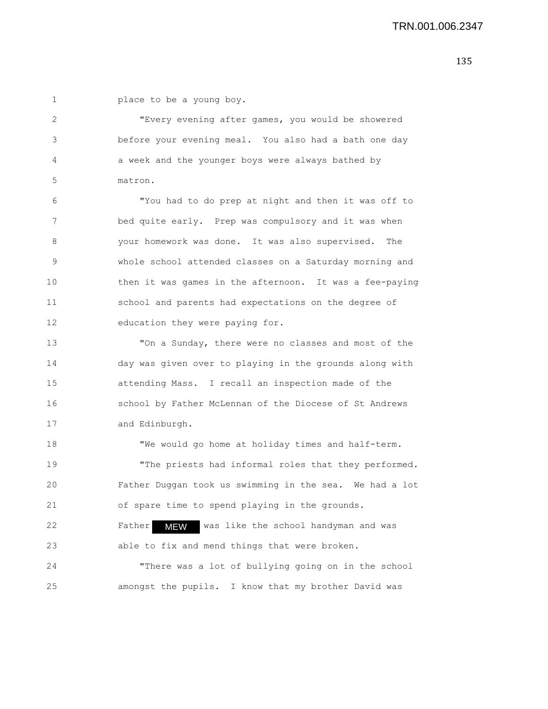1 **place to be a young boy.** 

2 "Every evening after games, you would be showered 3 before your evening meal. You also had a bath one day 4 a week and the younger boys were always bathed by 5 matron.

6 "You had to do prep at night and then it was off to 7 bed quite early. Prep was compulsory and it was when 8 your homework was done. It was also supervised. The 9 whole school attended classes on a Saturday morning and 10 then it was games in the afternoon. It was a fee-paying 11 school and parents had expectations on the degree of 12 education they were paying for.

13 "On a Sunday, there were no classes and most of the 14 day was given over to playing in the grounds along with 15 attending Mass. I recall an inspection made of the 16 school by Father McLennan of the Diocese of St Andrews 17 and Edinburgh.

18 "We would go home at holiday times and half-term. 19 The priests had informal roles that they performed. 20 Father Duggan took us swimming in the sea. We had a lot 21 of spare time to spend playing in the grounds.

22 Father MEW was like the school handyman and was 23 able to fix and mend things that were broken.

24 "There was a lot of bullying going on in the school 25 amongst the pupils. I know that my brother David was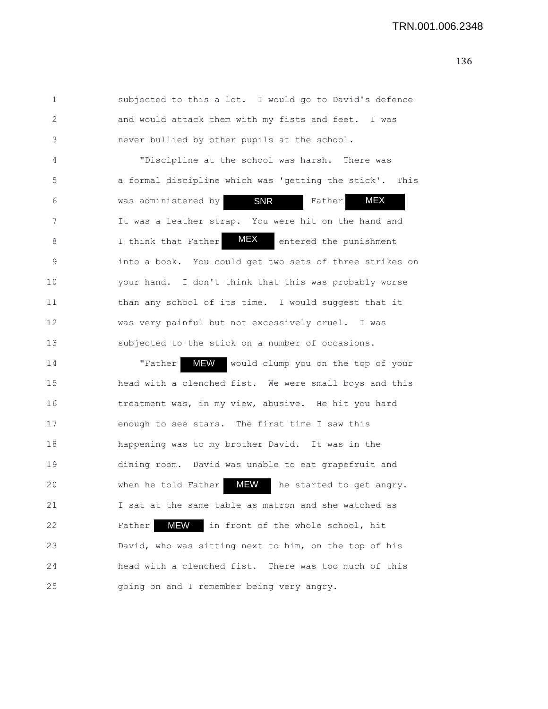1 subjected to this a lot. I would go to David's defence 2 and would attack them with my fists and feet. I was 3 never bullied by other pupils at the school.

4 "Discipline at the school was harsh. There was 5 a formal discipline which was 'getting the stick'. This 6 was administered by **SNR** Father 7 It was a leather strap. You were hit on the hand and 8 I think that Father **MEX** entered the punishment 9 into a book. You could get two sets of three strikes on 10 your hand. I don't think that this was probably worse 11 than any school of its time. I would suggest that it 12 was very painful but not excessively cruel. I was 13 subjected to the stick on a number of occasions. MEX MEX SNR

14 Trather MEW would clump you on the top of your 15 head with a clenched fist. We were small boys and this 16 treatment was, in my view, abusive. He hit you hard 17 enough to see stars. The first time I saw this 18 happening was to my brother David. It was in the 19 dining room. David was unable to eat grapefruit and 20 When he told Father MEW he started to get angry. 21 I sat at the same table as matron and she watched as 22 Father MEW in front of the whole school, hit 23 David, who was sitting next to him, on the top of his 24 head with a clenched fist. There was too much of this 25 going on and I remember being very angry.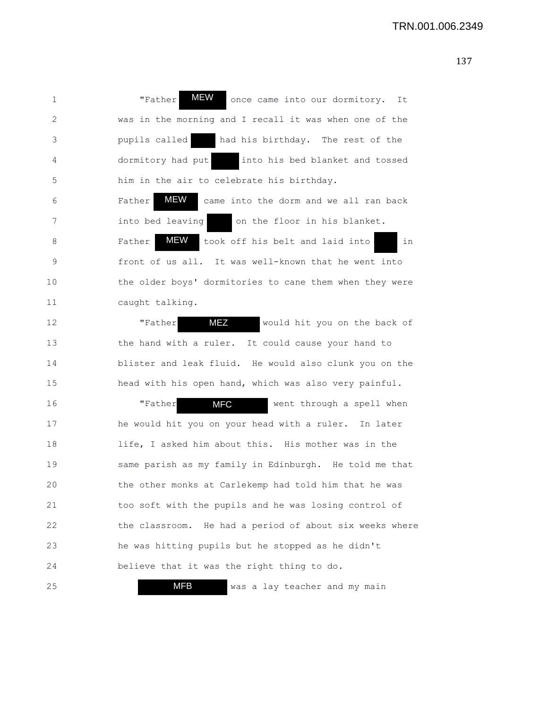| 1  | MEW<br>"Father<br>once came into our dormitory. It            |
|----|---------------------------------------------------------------|
| 2  | was in the morning and I recall it was when one of the        |
| 3  | pupils called<br>had his birthday. The rest of the            |
| 4  | into his bed blanket and tossed<br>dormitory had put          |
| 5  | him in the air to celebrate his birthday.                     |
| 6  | MEW<br>Father<br>came into the dorm and we all ran back       |
| 7  | on the floor in his blanket.<br>into bed leaving              |
| 8  | <b>MEW</b><br>Father<br>took off his belt and laid into<br>in |
| 9  | front of us all. It was well-known that he went into          |
| 10 | the older boys' dormitories to cane them when they were       |
| 11 | caught talking.                                               |
| 12 | <b>MEZ</b><br>"Father<br>would hit you on the back of         |
| 13 | the hand with a ruler. It could cause your hand to            |
| 14 | blister and leak fluid. He would also clunk you on the        |
| 15 | head with his open hand, which was also very painful.         |
| 16 | <b>MFC</b><br>"Father<br>went through a spell when            |
| 17 | he would hit you on your head with a ruler. In later          |
| 18 | life, I asked him about this. His mother was in the           |
| 19 | same parish as my family in Edinburgh. He told me that        |
| 20 | the other monks at Carlekemp had told him that he was         |
| 21 | too soft with the pupils and he was losing control of         |
| 22 | the classroom. He had a period of about six weeks where       |
| 23 | he was hitting pupils but he stopped as he didn't             |
| 24 | believe that it was the right thing to do.                    |
| 25 | <b>MFB</b><br>was a lay teacher and my main                   |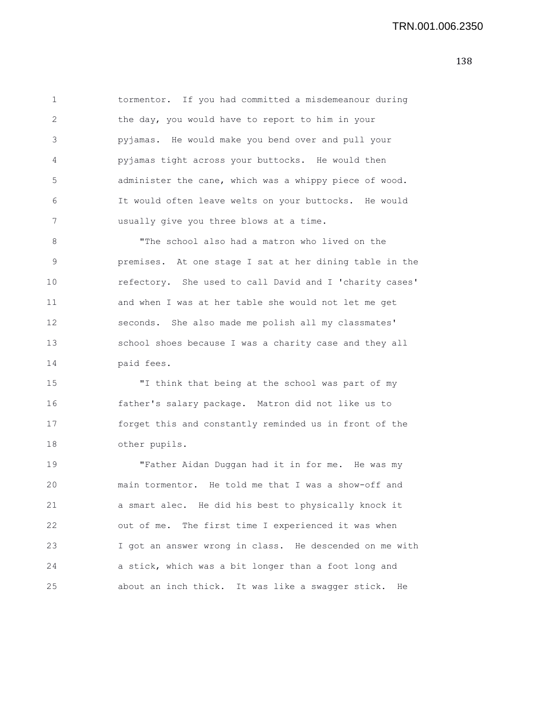1 tormentor. If you had committed a misdemeanour during 2 the day, you would have to report to him in your 3 pyjamas. He would make you bend over and pull your 4 pyjamas tight across your buttocks. He would then 5 administer the cane, which was a whippy piece of wood. 6 It would often leave welts on your buttocks. He would 7 usually give you three blows at a time.

8 "The school also had a matron who lived on the 9 premises. At one stage I sat at her dining table in the 10 refectory. She used to call David and I 'charity cases' 11 and when I was at her table she would not let me get 12 seconds. She also made me polish all my classmates' 13 school shoes because I was a charity case and they all 14 paid fees.

15 "I think that being at the school was part of my 16 father's salary package. Matron did not like us to 17 forget this and constantly reminded us in front of the 18 other pupils.

19 "Father Aidan Duggan had it in for me. He was my 20 main tormentor. He told me that I was a show-off and 21 a smart alec. He did his best to physically knock it 22 out of me. The first time I experienced it was when 23 I got an answer wrong in class. He descended on me with 24 a stick, which was a bit longer than a foot long and 25 about an inch thick. It was like a swagger stick. He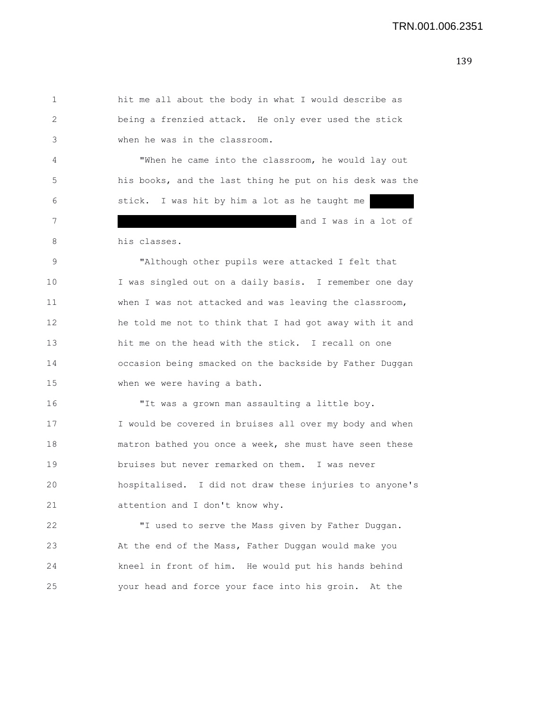1 hit me all about the body in what I would describe as 2 being a frenzied attack. He only ever used the stick 3 when he was in the classroom. 4 "When he came into the classroom, he would lay out 5 his books, and the last thing he put on his desk was the 6 stick. I was hit by him a lot as he taught me 7 and I was in a lot of 8 his classes. 9 "Although other pupils were attacked I felt that 10 I was singled out on a daily basis. I remember one day 11 when I was not attacked and was leaving the classroom, 12 he told me not to think that I had got away with it and 13 hit me on the head with the stick. I recall on one 14 occasion being smacked on the backside by Father Duggan 15 when we were having a bath. 16 "It was a grown man assaulting a little boy. 17 I would be covered in bruises all over my body and when 18 matron bathed you once a week, she must have seen these 19 bruises but never remarked on them. I was never 20 hospitalised. I did not draw these injuries to anyone's 21 attention and I don't know why. 22 "I used to serve the Mass given by Father Duggan.

23 At the end of the Mass, Father Duggan would make you 24 kneel in front of him. He would put his hands behind 25 your head and force your face into his groin. At the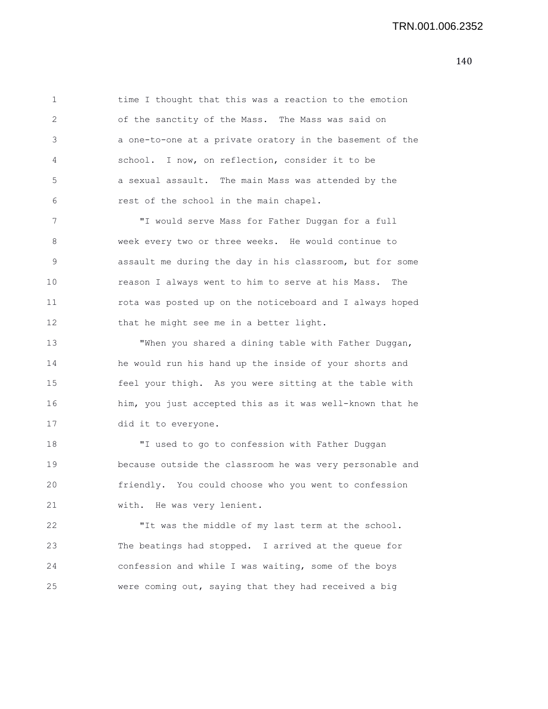1 time I thought that this was a reaction to the emotion 2 of the sanctity of the Mass. The Mass was said on 3 a one-to-one at a private oratory in the basement of the 4 school. I now, on reflection, consider it to be 5 a sexual assault. The main Mass was attended by the 6 rest of the school in the main chapel.

7 "I would serve Mass for Father Duggan for a full 8 week every two or three weeks. He would continue to 9 assault me during the day in his classroom, but for some 10 reason I always went to him to serve at his Mass. The 11 rota was posted up on the noticeboard and I always hoped 12 that he might see me in a better light.

13 "When you shared a dining table with Father Duggan, 14 he would run his hand up the inside of your shorts and 15 feel your thigh. As you were sitting at the table with 16 him, you just accepted this as it was well-known that he 17 did it to everyone.

18 "I used to go to confession with Father Duggan 19 because outside the classroom he was very personable and 20 friendly. You could choose who you went to confession 21 with. He was very lenient.

22 "It was the middle of my last term at the school. 23 The beatings had stopped. I arrived at the queue for 24 confession and while I was waiting, some of the boys 25 were coming out, saying that they had received a big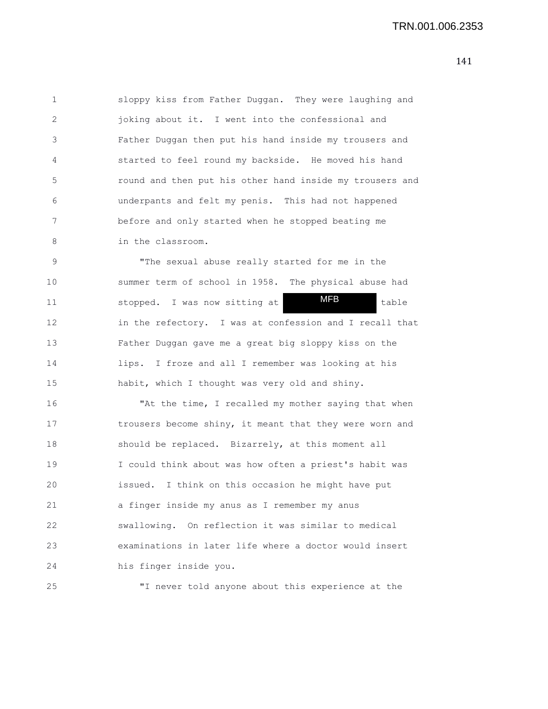1 sloppy kiss from Father Duggan. They were laughing and 2 joking about it. I went into the confessional and 3 Father Duggan then put his hand inside my trousers and 4 started to feel round my backside. He moved his hand 5 round and then put his other hand inside my trousers and 6 underpants and felt my penis. This had not happened 7 before and only started when he stopped beating me 8 in the classroom.

9 "The sexual abuse really started for me in the 10 summer term of school in 1958. The physical abuse had 11 stopped. I was now sitting at **MFB** table 12 in the refectory. I was at confession and I recall that 13 Father Duggan gave me a great big sloppy kiss on the 14 lips. I froze and all I remember was looking at his 15 habit, which I thought was very old and shiny. MFB

16 "At the time, I recalled my mother saying that when 17 trousers become shiny, it meant that they were worn and 18 should be replaced. Bizarrely, at this moment all 19 I could think about was how often a priest's habit was 20 issued. I think on this occasion he might have put 21 a finger inside my anus as I remember my anus 22 swallowing. On reflection it was similar to medical 23 examinations in later life where a doctor would insert 24 his finger inside you.

25 "I never told anyone about this experience at the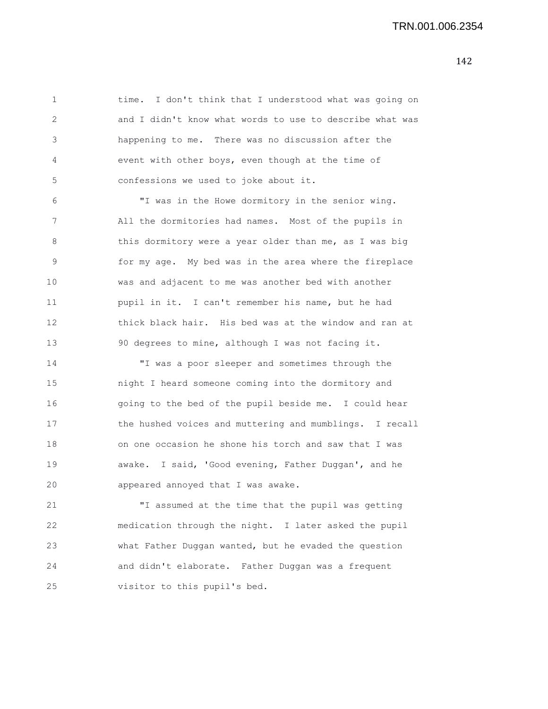1 time. I don't think that I understood what was going on 2 and I didn't know what words to use to describe what was 3 happening to me. There was no discussion after the 4 event with other boys, even though at the time of 5 confessions we used to joke about it.

6 "I was in the Howe dormitory in the senior wing. 7 All the dormitories had names. Most of the pupils in 8 this dormitory were a year older than me, as I was big 9 for my age. My bed was in the area where the fireplace 10 was and adjacent to me was another bed with another 11 pupil in it. I can't remember his name, but he had 12 thick black hair. His bed was at the window and ran at 13 90 degrees to mine, although I was not facing it.

14 "I was a poor sleeper and sometimes through the 15 night I heard someone coming into the dormitory and 16 going to the bed of the pupil beside me. I could hear 17 the hushed voices and muttering and mumblings. I recall 18 on one occasion he shone his torch and saw that I was 19 awake. I said, 'Good evening, Father Duggan', and he 20 appeared annoyed that I was awake.

21 "I assumed at the time that the pupil was getting 22 medication through the night. I later asked the pupil 23 what Father Duggan wanted, but he evaded the question 24 and didn't elaborate. Father Duggan was a frequent 25 visitor to this pupil's bed.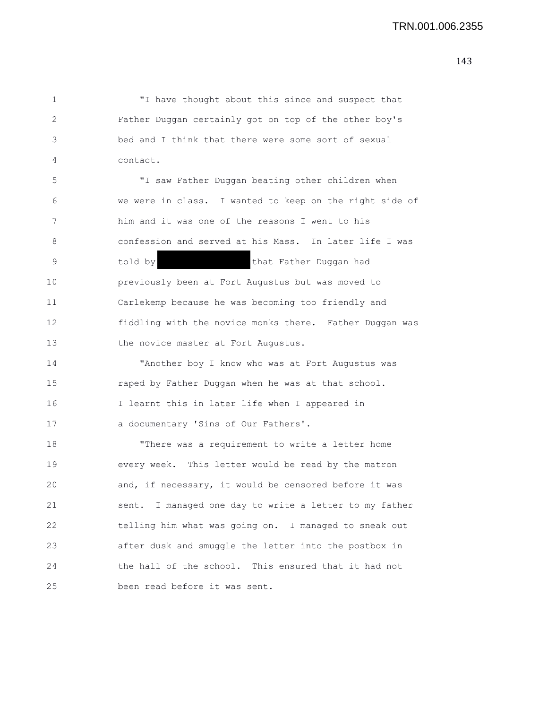1 "I have thought about this since and suspect that 2 Father Duggan certainly got on top of the other boy's 3 bed and I think that there were some sort of sexual 4 contact. 5 "I saw Father Duggan beating other children when 6 we were in class. I wanted to keep on the right side of 7 him and it was one of the reasons I went to his 8 confession and served at his Mass. In later life I was 9 told by the that Father Duggan had 10 previously been at Fort Augustus but was moved to 11 Carlekemp because he was becoming too friendly and 12 fiddling with the novice monks there. Father Duggan was 13 the novice master at Fort Augustus. 14 "Another boy I know who was at Fort Augustus was

15 raped by Father Duggan when he was at that school. 16 I learnt this in later life when I appeared in 17 a documentary 'Sins of Our Fathers'.

18 "There was a requirement to write a letter home 19 every week. This letter would be read by the matron 20 and, if necessary, it would be censored before it was 21 sent. I managed one day to write a letter to my father 22 telling him what was going on. I managed to sneak out 23 after dusk and smuggle the letter into the postbox in 24 the hall of the school. This ensured that it had not 25 been read before it was sent.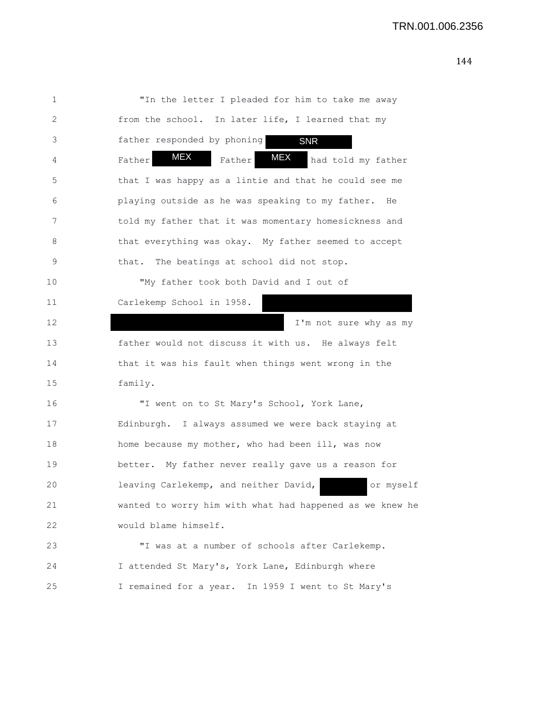| 1  | "In the letter I pleaded for him to take me away            |
|----|-------------------------------------------------------------|
| 2  | from the school. In later life, I learned that my           |
| 3  | father responded by phoning<br><b>SNR</b>                   |
| 4  | <b>MEX</b><br>MEX<br>Father<br>had told my father<br>Father |
| 5  | that I was happy as a lintie and that he could see me       |
| 6  | playing outside as he was speaking to my father. He         |
| 7  | told my father that it was momentary homesickness and       |
| 8  | that everything was okay. My father seemed to accept        |
| 9  | The beatings at school did not stop.<br>that.               |
| 10 | "My father took both David and I out of                     |
| 11 | Carlekemp School in 1958.                                   |
| 12 | I'm not sure why as my                                      |
| 13 | father would not discuss it with us. He always felt         |
| 14 | that it was his fault when things went wrong in the         |
| 15 | family.                                                     |
| 16 | "I went on to St Mary's School, York Lane,                  |
| 17 | Edinburgh. I always assumed we were back staying at         |
| 18 | home because my mother, who had been ill, was now           |
| 19 | better. My father never really gave us a reason for         |
| 20 | leaving Carlekemp, and neither David,<br>or myself          |
| 21 | wanted to worry him with what had happened as we knew he    |
| 22 | would blame himself.                                        |
| 23 | "I was at a number of schools after Carlekemp.              |
| 24 | I attended St Mary's, York Lane, Edinburgh where            |
| 25 | I remained for a year. In 1959 I went to St Mary's          |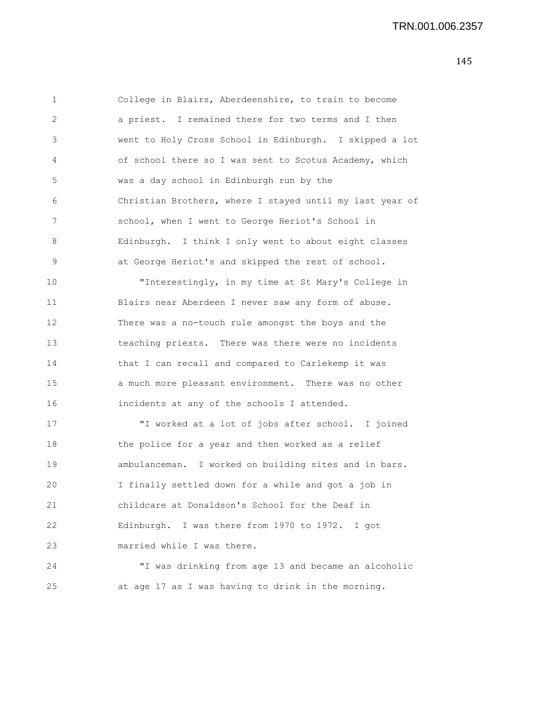| 1  | College in Blairs, Aberdeenshire, to train to become     |
|----|----------------------------------------------------------|
| 2  | a priest. I remained there for two terms and I then      |
| 3  | went to Holy Cross School in Edinburgh. I skipped a lot  |
| 4  | of school there so I was sent to Scotus Academy, which   |
| 5  | was a day school in Edinburgh run by the                 |
| 6  | Christian Brothers, where I stayed until my last year of |
| 7  | school, when I went to George Heriot's School in         |
| 8  | Edinburgh. I think I only went to about eight classes    |
| 9  | at George Heriot's and skipped the rest of school.       |
| 10 | "Interestingly, in my time at St Mary's College in       |
| 11 | Blairs near Aberdeen I never saw any form of abuse.      |
| 12 | There was a no-touch rule amongst the boys and the       |
| 13 | teaching priests. There was there were no incidents      |
| 14 | that I can recall and compared to Carlekemp it was       |
| 15 | a much more pleasant environment. There was no other     |
| 16 | incidents at any of the schools I attended.              |
| 17 | "I worked at a lot of jobs after school. I joined        |
| 18 | the police for a year and then worked as a relief        |
| 19 | ambulanceman. I worked on building sites and in bars.    |
| 20 | I finally settled down for a while and got a job in      |
| 21 | childcare at Donaldson's School for the Deaf in          |
| 22 | Edinburgh. I was there from 1970 to 1972. I got          |
| 23 | married while I was there.                               |
| 24 | "I was drinking from age 13 and became an alcoholic      |
| 25 | at age 17 as I was having to drink in the morning.       |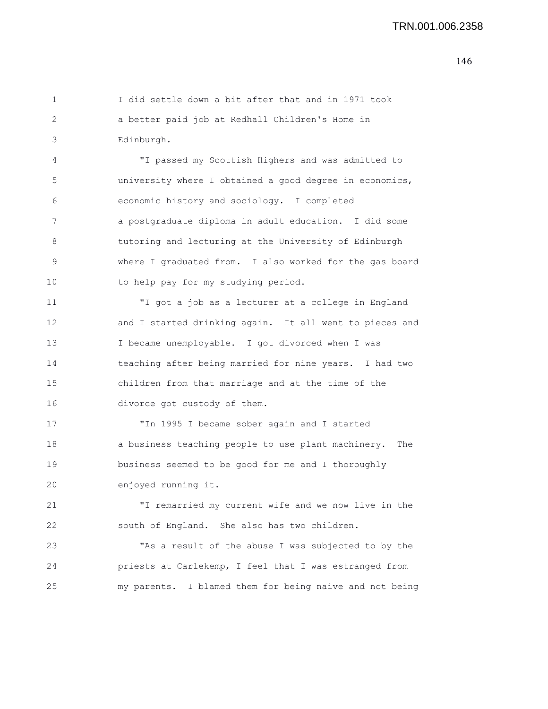1 I did settle down a bit after that and in 1971 took 2 a better paid job at Redhall Children's Home in 3 Edinburgh. 4 "I passed my Scottish Highers and was admitted to 5 university where I obtained a good degree in economics, 6 economic history and sociology. I completed 7 a postgraduate diploma in adult education. I did some 8 tutoring and lecturing at the University of Edinburgh 9 where I graduated from. I also worked for the gas board 10 to help pay for my studying period. 11 "I got a job as a lecturer at a college in England 12 and I started drinking again. It all went to pieces and 13 I became unemployable. I got divorced when I was 14 teaching after being married for nine years. I had two 15 children from that marriage and at the time of the 16 divorce got custody of them. 17 "In 1995 I became sober again and I started

18 a business teaching people to use plant machinery. The 19 business seemed to be good for me and I thoroughly 20 enjoyed running it.

21 "I remarried my current wife and we now live in the 22 south of England. She also has two children.

23 "As a result of the abuse I was subjected to by the 24 priests at Carlekemp, I feel that I was estranged from 25 my parents. I blamed them for being naive and not being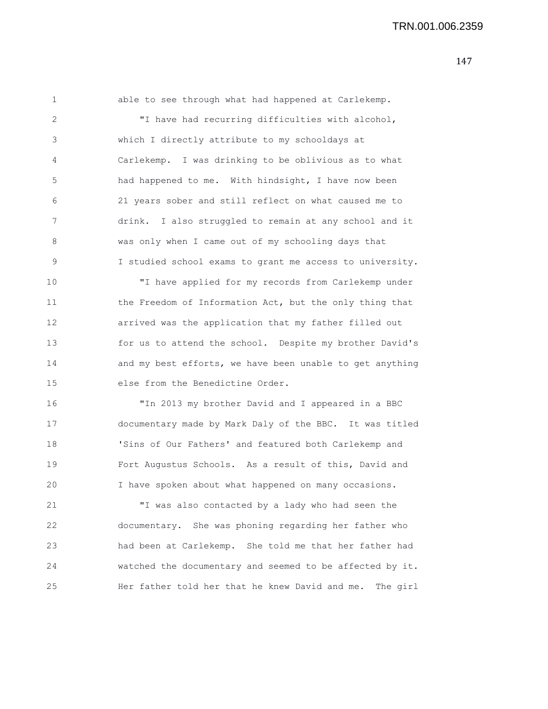1 able to see through what had happened at Carlekemp. 2 "I have had recurring difficulties with alcohol, 3 which I directly attribute to my schooldays at 4 Carlekemp. I was drinking to be oblivious as to what 5 had happened to me. With hindsight, I have now been 6 21 years sober and still reflect on what caused me to 7 drink. I also struggled to remain at any school and it 8 was only when I came out of my schooling days that 9 I studied school exams to grant me access to university. 10 "I have applied for my records from Carlekemp under 11 the Freedom of Information Act, but the only thing that 12 arrived was the application that my father filled out 13 for us to attend the school. Despite my brother David's 14 and my best efforts, we have been unable to get anything 15 else from the Benedictine Order.

16 "In 2013 my brother David and I appeared in a BBC 17 documentary made by Mark Daly of the BBC. It was titled 18 'Sins of Our Fathers' and featured both Carlekemp and 19 Fort Augustus Schools. As a result of this, David and 20 I have spoken about what happened on many occasions.

21 "I was also contacted by a lady who had seen the 22 documentary. She was phoning regarding her father who 23 had been at Carlekemp. She told me that her father had 24 watched the documentary and seemed to be affected by it. 25 Her father told her that he knew David and me. The girl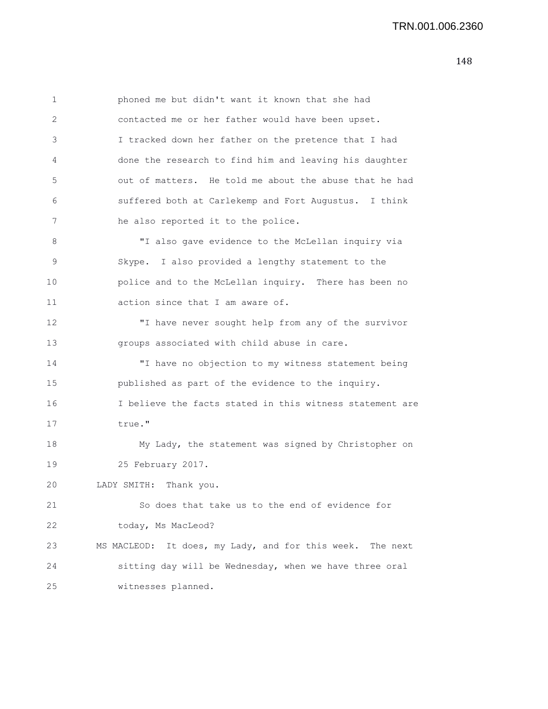1 phoned me but didn't want it known that she had 2 contacted me or her father would have been upset. 3 I tracked down her father on the pretence that I had 4 done the research to find him and leaving his daughter 5 out of matters. He told me about the abuse that he had 6 suffered both at Carlekemp and Fort Augustus. I think 7 he also reported it to the police. 8 "I also gave evidence to the McLellan inquiry via 9 Skype. I also provided a lengthy statement to the 10 police and to the McLellan inquiry. There has been no 11 action since that I am aware of. 12 "I have never sought help from any of the survivor 13 groups associated with child abuse in care. 14 "I have no objection to my witness statement being 15 published as part of the evidence to the inquiry. 16 I believe the facts stated in this witness statement are 17 true." 18 My Lady, the statement was signed by Christopher on 19 25 February 2017. 20 LADY SMITH: Thank you. 21 So does that take us to the end of evidence for 22 today, Ms MacLeod? 23 MS MACLEOD: It does, my Lady, and for this week. The next 24 sitting day will be Wednesday, when we have three oral 25 witnesses planned.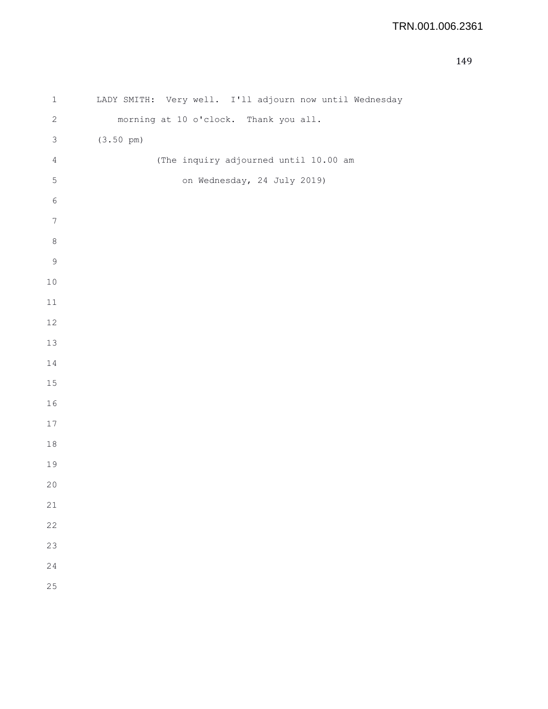| $\mathbf 1$    | LADY SMITH: Very well. I'll adjourn now until Wednesday |
|----------------|---------------------------------------------------------|
| $\mathbf{2}$   | morning at 10 o'clock. Thank you all.                   |
| $\mathsf 3$    | $(3.50 \text{ pm})$                                     |
| $\sqrt{4}$     | (The inquiry adjourned until 10.00 am                   |
| $\mathsf S$    | on Wednesday, 24 July 2019)                             |
| $\epsilon$     |                                                         |
| $\overline{7}$ |                                                         |
| $\,8\,$        |                                                         |
| $\mathsf 9$    |                                                         |
| $10$           |                                                         |
| $11$           |                                                         |
| $12$           |                                                         |
| $13$           |                                                         |
| 14             |                                                         |
| $15$           |                                                         |
| 16             |                                                         |
| $17\,$         |                                                         |
| 18             |                                                         |
| 19             |                                                         |
| $20$           |                                                         |
| 21             |                                                         |
| 22             |                                                         |
| 23             |                                                         |
| 24             |                                                         |
| 25             |                                                         |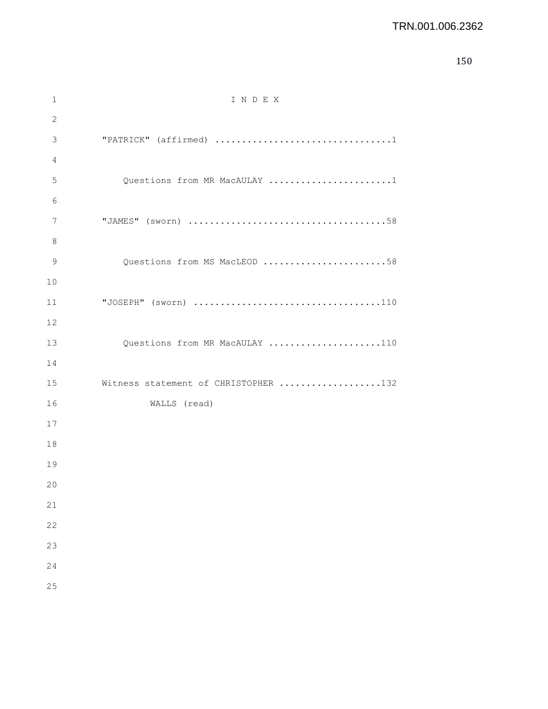```
150
```

| 1  | INDEX                                |
|----|--------------------------------------|
| 2  |                                      |
| 3  |                                      |
| 4  |                                      |
| 5  | Questions from MR MacAULAY 1         |
| 6  |                                      |
| 7  |                                      |
| 8  |                                      |
| 9  | Questions from MS MacLEOD 58         |
| 10 |                                      |
| 11 |                                      |
| 12 |                                      |
| 13 | Questions from MR MacAULAY 110       |
| 14 |                                      |
| 15 | Witness statement of CHRISTOPHER 132 |
| 16 | WALLS (read)                         |
| 17 |                                      |
| 18 |                                      |
| 19 |                                      |
| 20 |                                      |
| 21 |                                      |
| 22 |                                      |
| 23 |                                      |
| 24 |                                      |
| 25 |                                      |